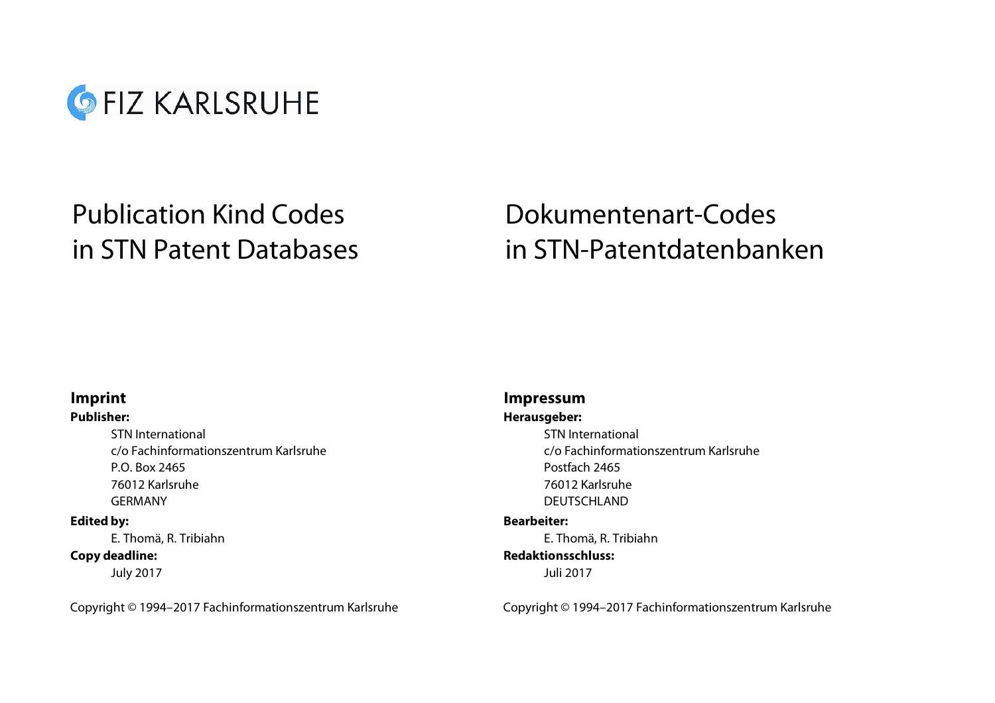

# Publication Kind Codes in STN Patent Databases

# Dokumentenart-Codes in STN-Patentdatenbanken

# **Imprint**

# **Publisher:**

STN Internationalc/o Fachinformationszentrum KarlsruheP.O. Box 2465 76012 KarlsruheGERMANY

# **Edited by:**

E. Thomä, R. Tribiahn E. Thomä, R. Tribiahn **Copy deadline:**

July 2017

# **Impressum**

# **Herausgeber:**

STN Internationalc/o Fachinformationszentrum KarlsruhePostfach 2465 76012 KarlsruheDEUTSCHLAND

# **Bearbeiter:**

# **Redaktionsschluss:**

Juli 2017

Copyright © 1994–2017 Fachinformationszentrum Karlsruhe Copyright © 1994–2017 Fachinformationszentrum Karlsruhe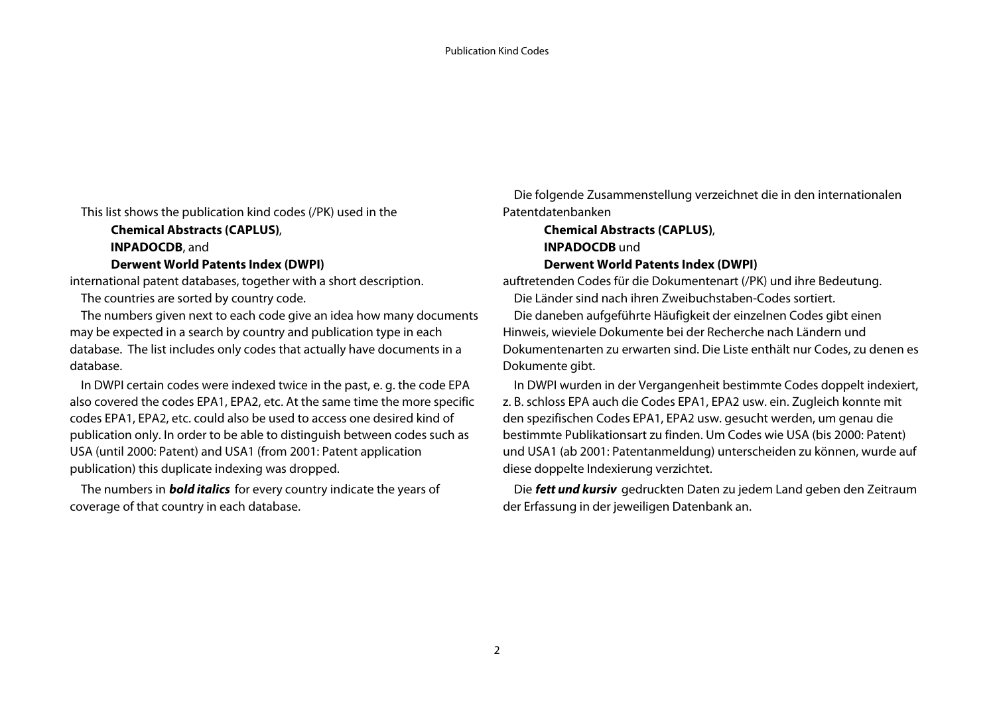This list shows the publication kind codes (/PK) used in the

**INPADOCDB**, and **INPADOCDB** *und* 

### **Derwent World Patents Index (DWPI)**

 The numbers given next to each code give an idea how many documents may be expected in a search by country and publication type in each database. The list includes only codes that actually have documents in a database.

 In DWPI certain codes were indexed twice in the past, e. g. the code EPA also covered the codes EPA1, EPA2, etc. At the same time the more specific codes EPA1, EPA2, etc. could also be used to access one desired kind of publication only. In order to be able to distinguish between codes such as USA (until 2000: Patent) and USA1 (from 2001: Patent application publication) this duplicate indexing was dropped.

 The numbers in **bold italics** for every country indicate the years of coverage of that country in each database.

 Die folgende Zusammenstellung verzeichnet die in den internationalen Patentdatenbanken

# **Chemical Abstracts (CAPLUS)**, **Chemical Abstracts (CAPLUS)**, **Derwent World Patents Index (DWPI)**

international patent databases, together with a short description. auftretenden Codes für die Dokumentenart (/PK) und ihre Bedeutung. The countries are sorted by country code. Die Länder sind nach ihren Zweibuchstaben-Codes sortiert.

 Die daneben aufgeführte Häufigkeit der einzelnen Codes gibt einen Hinweis, wieviele Dokumente bei der Recherche nach Ländern und Dokumentenarten zu erwarten sind. Die Liste enthält nur Codes, zu denen es Dokumente gibt.

 In DWPI wurden in der Vergangenheit bestimmte Codes doppelt indexiert, z. B. schloss EPA auch die Codes EPA1, EPA2 usw. ein. Zugleich konnte mit den spezifischen Codes EPA1, EPA2 usw. gesucht werden, um genau die bestimmte Publikationsart zu finden. Um Codes wie USA (bis 2000: Patent) und USA1 (ab 2001: Patentanmeldung) unterscheiden zu können, wurde auf diese doppelte Indexierung verzichtet.

 Die **fett und kursiv** gedruckten Daten zu jedem Land geben den Zeitraum der Erfassung in der jeweiligen Datenbank an.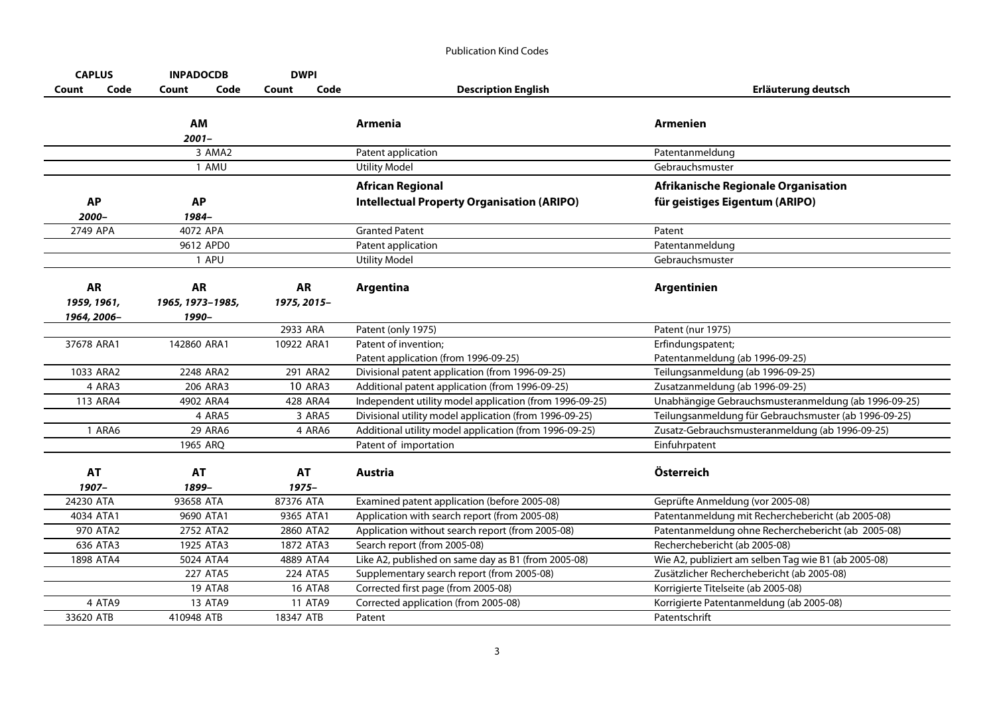| <b>CAPLUS</b> |      | <b>INPADOCDB</b> |                   | <b>DWPI</b> |                  |                                                                                                                  |                                                                                                          |
|---------------|------|------------------|-------------------|-------------|------------------|------------------------------------------------------------------------------------------------------------------|----------------------------------------------------------------------------------------------------------|
| Count         | Code | Count            | Code              | Count       | Code             | <b>Description English</b>                                                                                       | Erläuterung deutsch                                                                                      |
|               |      |                  |                   |             |                  |                                                                                                                  |                                                                                                          |
|               |      | AM               |                   |             |                  | Armenia                                                                                                          | Armenien                                                                                                 |
|               |      | 2001–            |                   |             |                  |                                                                                                                  |                                                                                                          |
|               |      |                  | 3 AMA2            |             |                  | Patent application                                                                                               | Patentanmeldung                                                                                          |
|               |      |                  | 1 AMU             |             |                  | <b>Utility Model</b>                                                                                             | Gebrauchsmuster                                                                                          |
|               |      |                  |                   |             |                  | <b>African Regional</b>                                                                                          | Afrikanische Regionale Organisation                                                                      |
| <b>AP</b>     |      | <b>AP</b>        |                   |             |                  | <b>Intellectual Property Organisation (ARIPO)</b>                                                                | für geistiges Eigentum (ARIPO)                                                                           |
| 2000-         |      | 1984-            |                   |             |                  |                                                                                                                  |                                                                                                          |
| 2749 APA      |      | 4072 APA         |                   |             |                  | <b>Granted Patent</b>                                                                                            | Patent                                                                                                   |
|               |      | 9612 APD0        |                   |             |                  | Patent application                                                                                               | Patentanmeldung                                                                                          |
|               |      |                  | 1 APU             |             |                  | <b>Utility Model</b>                                                                                             | Gebrauchsmuster                                                                                          |
|               |      |                  |                   |             |                  |                                                                                                                  |                                                                                                          |
| <b>AR</b>     |      | <b>AR</b>        |                   | <b>AR</b>   |                  | Argentina                                                                                                        | <b>Argentinien</b>                                                                                       |
| 1959, 1961,   |      | 1965, 1973-1985, |                   | 1975, 2015- |                  |                                                                                                                  |                                                                                                          |
| 1964, 2006-   |      | 1990-            |                   |             |                  |                                                                                                                  |                                                                                                          |
|               |      |                  |                   | 2933 ARA    |                  | Patent (only 1975)                                                                                               | Patent (nur 1975)                                                                                        |
| 37678 ARA1    |      | 142860 ARA1      |                   | 10922 ARA1  |                  | Patent of invention;                                                                                             | Erfindungspatent;                                                                                        |
|               |      |                  |                   |             |                  | Patent application (from 1996-09-25)                                                                             | Patentanmeldung (ab 1996-09-25)                                                                          |
| 1033 ARA2     |      | 2248 ARA2        |                   |             | 291 ARA2         | Divisional patent application (from 1996-09-25)                                                                  | Teilungsanmeldung (ab 1996-09-25)                                                                        |
| 4 ARA3        |      |                  | 206 ARA3          |             | <b>10 ARA3</b>   | Additional patent application (from 1996-09-25)                                                                  | Zusatzanmeldung (ab 1996-09-25)                                                                          |
| 113 ARA4      |      | 4902 ARA4        |                   |             | 428 ARA4         | Independent utility model application (from 1996-09-25)                                                          | Unabhängige Gebrauchsmusteranmeldung (ab 1996-09-25)                                                     |
| 1 ARA6        |      |                  | 4 ARA5<br>29 ARA6 |             | 3 ARA5<br>4 ARA6 | Divisional utility model application (from 1996-09-25)<br>Additional utility model application (from 1996-09-25) | Teilungsanmeldung für Gebrauchsmuster (ab 1996-09-25)<br>Zusatz-Gebrauchsmusteranmeldung (ab 1996-09-25) |
|               |      |                  |                   |             |                  |                                                                                                                  |                                                                                                          |
|               |      | 1965 ARQ         |                   |             |                  | Patent of importation                                                                                            | Einfuhrpatent                                                                                            |
| <b>AT</b>     |      | <b>AT</b>        |                   | <b>AT</b>   |                  | <b>Austria</b>                                                                                                   | Österreich                                                                                               |
| 1907-         |      | 1899-            |                   | 1975-       |                  |                                                                                                                  |                                                                                                          |
| 24230 ATA     |      | 93658 ATA        |                   | 87376 ATA   |                  | Examined patent application (before 2005-08)                                                                     | Geprüfte Anmeldung (vor 2005-08)                                                                         |
| 4034 ATA1     |      | 9690 ATA1        |                   | 9365 ATA1   |                  | Application with search report (from 2005-08)                                                                    | Patentanmeldung mit Recherchebericht (ab 2005-08)                                                        |
| 970 ATA2      |      | 2752 ATA2        |                   | 2860 ATA2   |                  | Application without search report (from 2005-08)                                                                 | Patentanmeldung ohne Recherchebericht (ab 2005-08)                                                       |
| 636 ATA3      |      | 1925 ATA3        |                   | 1872 ATA3   |                  | Search report (from 2005-08)                                                                                     | Recherchebericht (ab 2005-08)                                                                            |
| 1898 ATA4     |      | 5024 ATA4        |                   | 4889 ATA4   |                  | Like A2, published on same day as B1 (from 2005-08)                                                              | Wie A2, publiziert am selben Tag wie B1 (ab 2005-08)                                                     |
|               |      |                  | 227 ATA5          |             | 224 ATA5         | Supplementary search report (from 2005-08)                                                                       | Zusätzlicher Recherchebericht (ab 2005-08)                                                               |
|               |      |                  | <b>19 ATA8</b>    |             | <b>16 ATA8</b>   | Corrected first page (from 2005-08)                                                                              | Korrigierte Titelseite (ab 2005-08)                                                                      |
| 4 ATA9        |      |                  | 13 ATA9           |             | <b>11 ATA9</b>   | Corrected application (from 2005-08)                                                                             | Korrigierte Patentanmeldung (ab 2005-08)                                                                 |
| 33620 ATB     |      | 410948 ATB       |                   | 18347 ATB   |                  | Patent                                                                                                           | Patentschrift                                                                                            |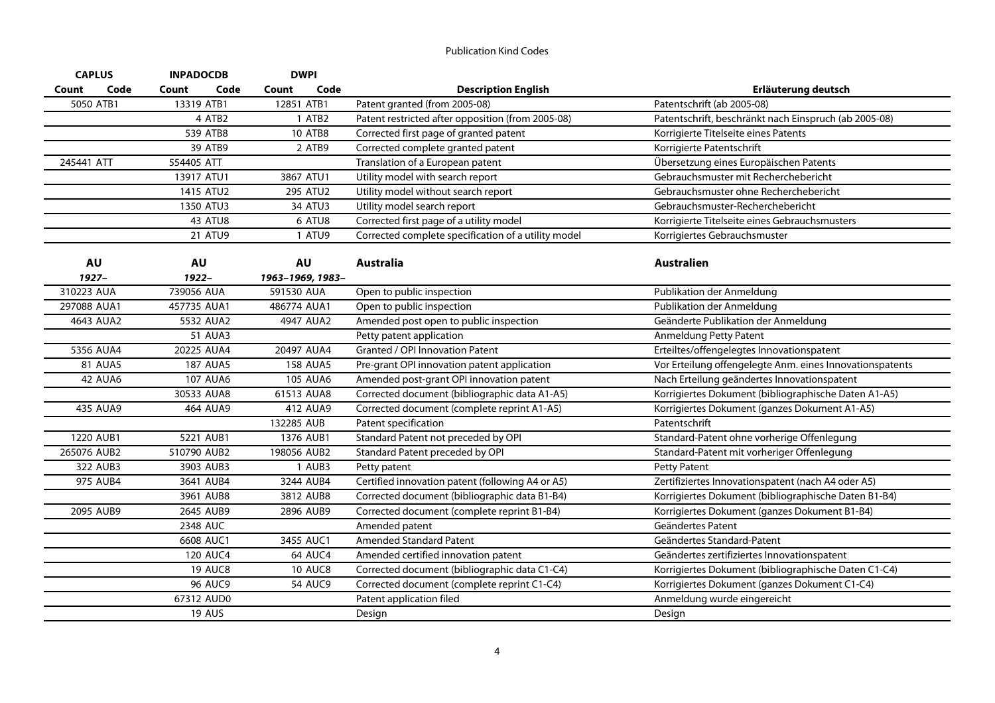| <b>CAPLUS</b>  | <b>INPADOCDB</b> | <b>DWPI</b>      |                                                     |                                                          |
|----------------|------------------|------------------|-----------------------------------------------------|----------------------------------------------------------|
| Code<br>Count  | Count<br>Code    | Code<br>Count    | <b>Description English</b>                          | Erläuterung deutsch                                      |
| 5050 ATB1      | 13319 ATB1       | 12851 ATB1       | Patent granted (from 2005-08)                       | Patentschrift (ab 2005-08)                               |
|                | 4 ATB2           | 1 ATB2           | Patent restricted after opposition (from 2005-08)   | Patentschrift, beschränkt nach Einspruch (ab 2005-08)    |
|                | 539 ATB8         | <b>10 ATB8</b>   | Corrected first page of granted patent              | Korrigierte Titelseite eines Patents                     |
|                | 39 ATB9          | 2 ATB9           | Corrected complete granted patent                   | Korrigierte Patentschrift                                |
| 245441 ATT     | 554405 ATT       |                  | Translation of a European patent                    | Übersetzung eines Europäischen Patents                   |
|                | 13917 ATU1       | 3867 ATU1        | Utility model with search report                    | Gebrauchsmuster mit Recherchebericht                     |
|                | 1415 ATU2        | 295 ATU2         | Utility model without search report                 | Gebrauchsmuster ohne Recherchebericht                    |
|                | 1350 ATU3        | 34 ATU3          | Utility model search report                         | Gebrauchsmuster-Recherchebericht                         |
|                | 43 ATU8          | 6 ATU8           | Corrected first page of a utility model             | Korrigierte Titelseite eines Gebrauchsmusters            |
|                | 21 ATU9          | 1 ATU9           | Corrected complete specification of a utility model | Korrigiertes Gebrauchsmuster                             |
| <b>AU</b>      | <b>AU</b>        | <b>AU</b>        | <b>Australia</b>                                    | <b>Australien</b>                                        |
| $1927 -$       | $1922 -$         | 1963-1969, 1983- |                                                     |                                                          |
| 310223 AUA     | 739056 AUA       | 591530 AUA       | Open to public inspection                           | Publikation der Anmeldung                                |
| 297088 AUA1    | 457735 AUA1      | 486774 AUA1      | Open to public inspection                           | Publikation der Anmeldung                                |
| 4643 AUA2      | 5532 AUA2        | 4947 AUA2        | Amended post open to public inspection              | Geänderte Publikation der Anmeldung                      |
|                | <b>51 AUA3</b>   |                  | Petty patent application                            | Anmeldung Petty Patent                                   |
| 5356 AUA4      | 20225 AUA4       | 20497 AUA4       | Granted / OPI Innovation Patent                     | Erteiltes/offengelegtes Innovationspatent                |
| <b>81 AUA5</b> | <b>187 AUA5</b>  | <b>158 AUA5</b>  | Pre-grant OPI innovation patent application         | Vor Erteilung offengelegte Anm. eines Innovationspatents |
| <b>42 AUA6</b> | <b>107 AUA6</b>  | 105 AUA6         | Amended post-grant OPI innovation patent            | Nach Erteilung geändertes Innovationspatent              |
|                | 30533 AUA8       | 61513 AUA8       | Corrected document (bibliographic data A1-A5)       | Korrigiertes Dokument (bibliographische Daten A1-A5)     |
| 435 AUA9       | 464 AUA9         | 412 AUA9         | Corrected document (complete reprint A1-A5)         | Korrigiertes Dokument (ganzes Dokument A1-A5)            |
|                |                  | 132285 AUB       | Patent specification                                | Patentschrift                                            |
| 1220 AUB1      | 5221 AUB1        | 1376 AUB1        | Standard Patent not preceded by OPI                 | Standard-Patent ohne vorherige Offenlegung               |
| 265076 AUB2    | 510790 AUB2      | 198056 AUB2      | Standard Patent preceded by OPI                     | Standard-Patent mit vorheriger Offenlegung               |
| 322 AUB3       | 3903 AUB3        | 1 AUB3           | Petty patent                                        | <b>Petty Patent</b>                                      |
| 975 AUB4       | 3641 AUB4        | 3244 AUB4        | Certified innovation patent (following A4 or A5)    | Zertifiziertes Innovationspatent (nach A4 oder A5)       |
|                | 3961 AUB8        | 3812 AUB8        | Corrected document (bibliographic data B1-B4)       | Korrigiertes Dokument (bibliographische Daten B1-B4)     |
| 2095 AUB9      | 2645 AUB9        | 2896 AUB9        | Corrected document (complete reprint B1-B4)         | Korrigiertes Dokument (ganzes Dokument B1-B4)            |
|                | 2348 AUC         |                  | Amended patent                                      | Geändertes Patent                                        |
|                | 6608 AUC1        | 3455 AUC1        | <b>Amended Standard Patent</b>                      | Geändertes Standard-Patent                               |
|                | <b>120 AUC4</b>  | 64 AUC4          | Amended certified innovation patent                 | Geändertes zertifiziertes Innovationspatent              |
|                | <b>19 AUC8</b>   | <b>10 AUC8</b>   | Corrected document (bibliographic data C1-C4)       | Korrigiertes Dokument (bibliographische Daten C1-C4)     |
|                | <b>96 AUC9</b>   | <b>54 AUC9</b>   | Corrected document (complete reprint C1-C4)         | Korrigiertes Dokument (ganzes Dokument C1-C4)            |
|                | 67312 AUD0       |                  | Patent application filed                            | Anmeldung wurde eingereicht                              |
|                | <b>19 AUS</b>    |                  | Design                                              | Design                                                   |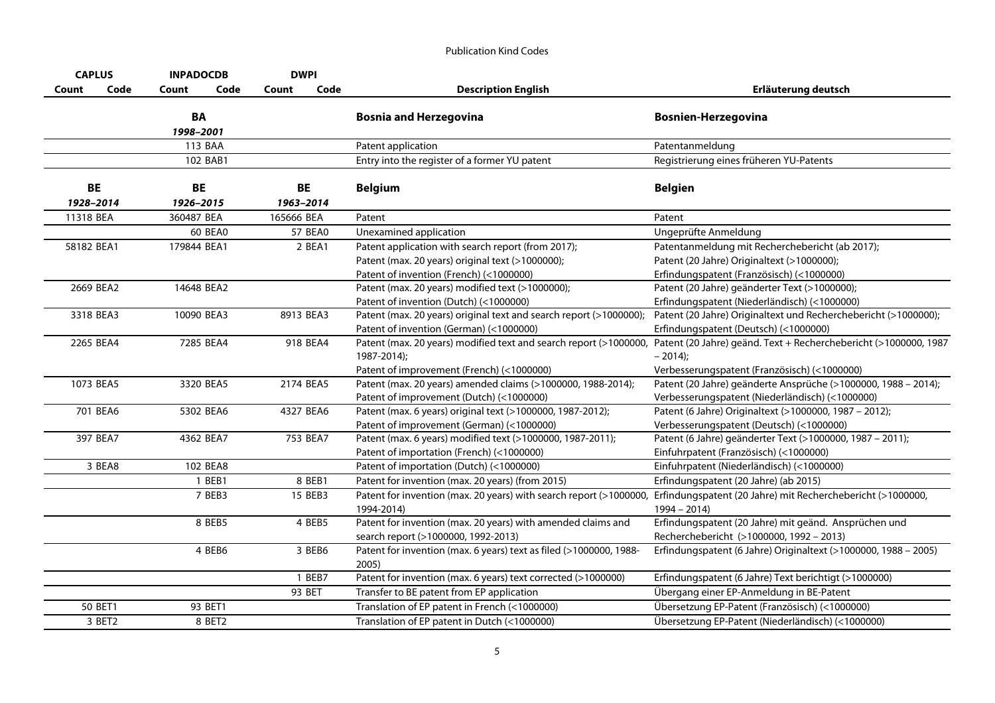| <b>CAPLUS</b>   |          | <b>INPADOCDB</b> |          | <b>DWPI</b>     |          |                                                                                                                                                   |                                                                                                                                            |
|-----------------|----------|------------------|----------|-----------------|----------|---------------------------------------------------------------------------------------------------------------------------------------------------|--------------------------------------------------------------------------------------------------------------------------------------------|
| Count           | Code     | Count            | Code     | Count           | Code     | <b>Description English</b>                                                                                                                        | Erläuterung deutsch                                                                                                                        |
|                 |          | BA<br>1998-2001  |          |                 |          | <b>Bosnia and Herzegovina</b>                                                                                                                     | <b>Bosnien-Herzegovina</b>                                                                                                                 |
|                 |          | 113 BAA          |          |                 |          | Patent application                                                                                                                                | Patentanmeldung                                                                                                                            |
|                 |          |                  | 102 BAB1 |                 |          | Entry into the register of a former YU patent                                                                                                     | Registrierung eines früheren YU-Patents                                                                                                    |
| BE<br>1928-2014 |          | BE<br>1926-2015  |          | BE<br>1963-2014 |          | <b>Belgium</b>                                                                                                                                    | <b>Belgien</b>                                                                                                                             |
| 11318 BEA       |          | 360487 BEA       |          | 165666 BEA      |          | Patent                                                                                                                                            | Patent                                                                                                                                     |
|                 |          |                  | 60 BEA0  |                 | 57 BEA0  | Unexamined application                                                                                                                            | Ungeprüfte Anmeldung                                                                                                                       |
| 58182 BEA1      |          | 179844 BEA1      |          |                 | 2 BEA1   | Patent application with search report (from 2017);<br>Patent (max. 20 years) original text (>1000000);<br>Patent of invention (French) (<1000000) | Patentanmeldung mit Recherchebericht (ab 2017);<br>Patent (20 Jahre) Originaltext (>1000000);<br>Erfindungspatent (Französisch) (<1000000) |
| 2669 BEA2       |          | 14648 BEA2       |          |                 |          | Patent (max. 20 years) modified text (>1000000);<br>Patent of invention (Dutch) (<1000000)                                                        | Patent (20 Jahre) geänderter Text (>1000000);<br>Erfindungspatent (Niederländisch) (<1000000)                                              |
| 3318 BEA3       |          | 10090 BEA3       |          | 8913 BEA3       |          | Patent (max. 20 years) original text and search report (>1000000);<br>Patent of invention (German) (<1000000)                                     | Patent (20 Jahre) Originaltext und Recherchebericht (>1000000);<br>Erfindungspatent (Deutsch) (<1000000)                                   |
| 2265 BEA4       |          | 7285 BEA4        |          |                 | 918 BEA4 | Patent (max. 20 years) modified text and search report (>1000000,<br>1987-2014);<br>Patent of improvement (French) (<1000000)                     | Patent (20 Jahre) geänd. Text + Recherchebericht (>1000000, 1987<br>$-2014$ :<br>Verbesserungspatent (Französisch) (<1000000)              |
| 1073 BEA5       |          | 3320 BEA5        |          | 2174 BEA5       |          | Patent (max. 20 years) amended claims (>1000000, 1988-2014);<br>Patent of improvement (Dutch) (<1000000)                                          | Patent (20 Jahre) geänderte Ansprüche (>1000000, 1988 - 2014);<br>Verbesserungspatent (Niederländisch) (<1000000)                          |
|                 | 701 BEA6 | 5302 BEA6        |          | 4327 BEA6       |          | Patent (max. 6 years) original text (>1000000, 1987-2012);<br>Patent of improvement (German) (<1000000)                                           | Patent (6 Jahre) Originaltext (>1000000, 1987 - 2012);<br>Verbesserungspatent (Deutsch) (<1000000)                                         |
|                 | 397 BEA7 | 4362 BEA7        |          |                 | 753 BEA7 | Patent (max. 6 years) modified text (>1000000, 1987-2011);<br>Patent of importation (French) (<1000000)                                           | Patent (6 Jahre) geänderter Text (>1000000, 1987 - 2011);<br>Einfuhrpatent (Französisch) (<1000000)                                        |
|                 | 3 BEA8   |                  | 102 BEA8 |                 |          | Patent of importation (Dutch) (<1000000)                                                                                                          | Einfuhrpatent (Niederländisch) (<1000000)                                                                                                  |
|                 |          |                  | 1 BEB1   |                 | 8 BEB1   | Patent for invention (max. 20 years) (from 2015)                                                                                                  | Erfindungspatent (20 Jahre) (ab 2015)                                                                                                      |
|                 |          |                  | 7 BEB3   |                 | 15 BEB3  | Patent for invention (max. 20 years) with search report (>1000000,<br>1994-2014)                                                                  | Erfindungspatent (20 Jahre) mit Recherchebericht (>1000000,<br>$1994 - 2014$                                                               |
|                 |          |                  | 8 BEB5   |                 | 4 BEB5   | Patent for invention (max. 20 years) with amended claims and<br>search report (>1000000, 1992-2013)                                               | Erfindungspatent (20 Jahre) mit geänd. Ansprüchen und<br>Recherchebericht (>1000000, 1992 - 2013)                                          |
|                 |          |                  | 4 BEB6   |                 | 3 BEB6   | Patent for invention (max. 6 years) text as filed (>1000000, 1988-<br>2005)                                                                       | Erfindungspatent (6 Jahre) Originaltext (>1000000, 1988 - 2005)                                                                            |
|                 |          |                  |          |                 | 1 BEB7   | Patent for invention (max. 6 years) text corrected (>1000000)                                                                                     | Erfindungspatent (6 Jahre) Text berichtigt (>1000000)                                                                                      |
|                 |          |                  |          | 93 BET          |          | Transfer to BE patent from EP application                                                                                                         | Übergang einer EP-Anmeldung in BE-Patent                                                                                                   |
|                 | 50 BET1  |                  | 93 BET1  |                 |          | Translation of EP patent in French (<1000000)                                                                                                     | Übersetzung EP-Patent (Französisch) (<1000000)                                                                                             |
|                 | 3 BET2   |                  | 8 BET2   |                 |          | Translation of EP patent in Dutch (<1000000)                                                                                                      | Übersetzung EP-Patent (Niederländisch) (<1000000)                                                                                          |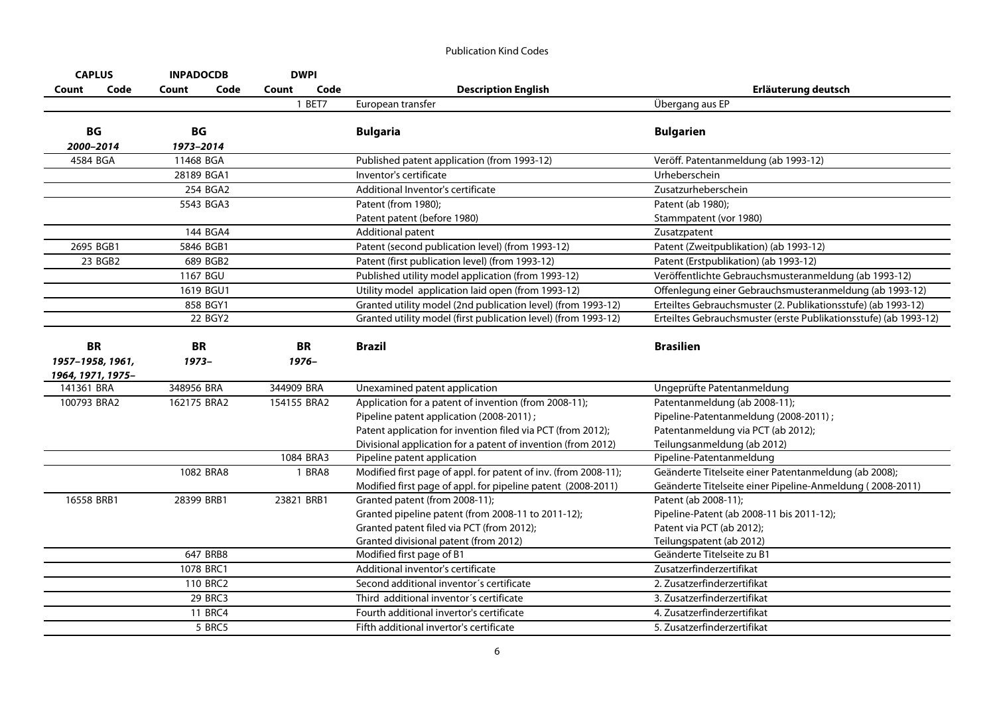|             | <b>CAPLUS</b>                                      |                      | <b>INPADOCDB</b> |            | <b>DWPI</b>           |                                                                                                                                                                                                                                  |                                                                                                                                             |
|-------------|----------------------------------------------------|----------------------|------------------|------------|-----------------------|----------------------------------------------------------------------------------------------------------------------------------------------------------------------------------------------------------------------------------|---------------------------------------------------------------------------------------------------------------------------------------------|
| Count       | Code                                               | Count                | Code             | Count      | Code                  | <b>Description English</b>                                                                                                                                                                                                       | Erläuterung deutsch                                                                                                                         |
|             |                                                    |                      |                  |            | 1 BET7                | European transfer                                                                                                                                                                                                                | Übergang aus EP                                                                                                                             |
|             | BG<br>2000-2014                                    | BG<br>1973-2014      |                  |            |                       | <b>Bulgaria</b>                                                                                                                                                                                                                  | <b>Bulgarien</b>                                                                                                                            |
|             | 4584 BGA                                           | 11468 BGA            |                  |            |                       | Published patent application (from 1993-12)                                                                                                                                                                                      | Veröff. Patentanmeldung (ab 1993-12)                                                                                                        |
|             |                                                    | 28189 BGA1           |                  |            |                       | Inventor's certificate                                                                                                                                                                                                           | Urheberschein                                                                                                                               |
|             |                                                    |                      | 254 BGA2         |            |                       | Additional Inventor's certificate                                                                                                                                                                                                | Zusatzurheberschein                                                                                                                         |
|             |                                                    |                      | 5543 BGA3        |            |                       | Patent (from 1980);                                                                                                                                                                                                              | Patent (ab 1980);                                                                                                                           |
|             |                                                    |                      |                  |            |                       | Patent patent (before 1980)                                                                                                                                                                                                      | Stammpatent (vor 1980)                                                                                                                      |
|             |                                                    |                      | 144 BGA4         |            |                       | Additional patent                                                                                                                                                                                                                | Zusatzpatent                                                                                                                                |
|             | 2695 BGB1                                          |                      | 5846 BGB1        |            |                       | Patent (second publication level) (from 1993-12)                                                                                                                                                                                 | Patent (Zweitpublikation) (ab 1993-12)                                                                                                      |
|             | 23 BGB2                                            |                      | 689 BGB2         |            |                       | Patent (first publication level) (from 1993-12)                                                                                                                                                                                  | Patent (Erstpublikation) (ab 1993-12)                                                                                                       |
|             |                                                    |                      | 1167 BGU         |            |                       | Published utility model application (from 1993-12)                                                                                                                                                                               | Veröffentlichte Gebrauchsmusteranmeldung (ab 1993-12)                                                                                       |
|             |                                                    |                      | 1619 BGU1        |            |                       | Utility model application laid open (from 1993-12)                                                                                                                                                                               | Offenlegung einer Gebrauchsmusteranmeldung (ab 1993-12)                                                                                     |
|             |                                                    |                      | 858 BGY1         |            |                       | Granted utility model (2nd publication level) (from 1993-12)                                                                                                                                                                     | Erteiltes Gebrauchsmuster (2. Publikationsstufe) (ab 1993-12)                                                                               |
|             |                                                    |                      | 22 BGY2          |            |                       | Granted utility model (first publication level) (from 1993-12)                                                                                                                                                                   | Erteiltes Gebrauchsmuster (erste Publikationsstufe) (ab 1993-12)                                                                            |
|             | <b>BR</b><br>1957-1958, 1961,<br>1964, 1971, 1975- | <b>BR</b><br>$1973-$ |                  |            | <b>BR</b><br>$1976 -$ | <b>Brazil</b>                                                                                                                                                                                                                    | <b>Brasilien</b>                                                                                                                            |
| 141361 BRA  |                                                    | 348956 BRA           |                  | 344909 BRA |                       | Unexamined patent application                                                                                                                                                                                                    | Ungeprüfte Patentanmeldung                                                                                                                  |
| 100793 BRA2 |                                                    | 162175 BRA2          |                  |            | 154155 BRA2           | Application for a patent of invention (from 2008-11);<br>Pipeline patent application (2008-2011);<br>Patent application for invention filed via PCT (from 2012);<br>Divisional application for a patent of invention (from 2012) | Patentanmeldung (ab 2008-11);<br>Pipeline-Patentanmeldung (2008-2011);<br>Patentanmeldung via PCT (ab 2012);<br>Teilungsanmeldung (ab 2012) |
|             |                                                    |                      |                  |            | 1084 BRA3             | Pipeline patent application                                                                                                                                                                                                      | Pipeline-Patentanmeldung                                                                                                                    |
|             |                                                    |                      | 1082 BRA8        |            | 1 BRA8                | Modified first page of appl. for patent of inv. (from 2008-11);<br>Modified first page of appl. for pipeline patent (2008-2011)                                                                                                  | Geänderte Titelseite einer Patentanmeldung (ab 2008);<br>Geänderte Titelseite einer Pipeline-Anmeldung (2008-2011)                          |
| 16558 BRB1  |                                                    | 28399 BRB1           |                  |            | 23821 BRB1            | Granted patent (from 2008-11);<br>Granted pipeline patent (from 2008-11 to 2011-12);<br>Granted patent filed via PCT (from 2012);<br>Granted divisional patent (from 2012)                                                       | Patent (ab 2008-11);<br>Pipeline-Patent (ab 2008-11 bis 2011-12);<br>Patent via PCT (ab 2012);<br>Teilungspatent (ab 2012)                  |
|             |                                                    |                      | 647 BRB8         |            |                       | Modified first page of B1                                                                                                                                                                                                        | Geänderte Titelseite zu B1                                                                                                                  |
|             |                                                    |                      | 1078 BRC1        |            |                       | Additional inventor's certificate                                                                                                                                                                                                | Zusatzerfinderzertifikat                                                                                                                    |
|             |                                                    |                      | 110 BRC2         |            |                       | Second additional inventor's certificate                                                                                                                                                                                         | 2. Zusatzerfinderzertifikat                                                                                                                 |
|             |                                                    |                      | 29 BRC3          |            |                       | Third additional inventor's certificate                                                                                                                                                                                          | 3. Zusatzerfinderzertifikat                                                                                                                 |
|             |                                                    |                      | 11 BRC4          |            |                       | Fourth additional invertor's certificate                                                                                                                                                                                         | 4. Zusatzerfinderzertifikat                                                                                                                 |
|             |                                                    |                      | 5 BRC5           |            |                       | Fifth additional invertor's certificate                                                                                                                                                                                          | 5. Zusatzerfinderzertifikat                                                                                                                 |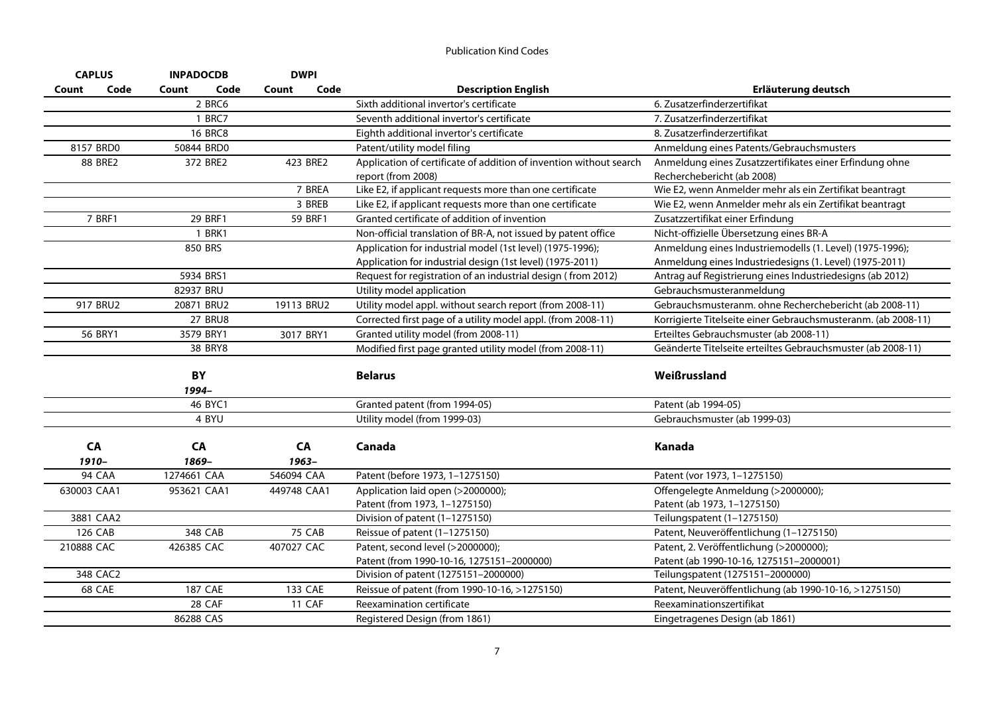| <b>CAPLUS</b>  |       | <b>INPADOCDB</b> | <b>DWPI</b>   |                                                                    |                                                               |
|----------------|-------|------------------|---------------|--------------------------------------------------------------------|---------------------------------------------------------------|
| Code<br>Count  | Count | Code             | Code<br>Count | <b>Description English</b>                                         | Erläuterung deutsch                                           |
|                |       | 2 BRC6           |               | Sixth additional invertor's certificate                            | 6. Zusatzerfinderzertifikat                                   |
|                |       | 1 BRC7           |               | Seventh additional invertor's certificate                          | 7. Zusatzerfinderzertifikat                                   |
|                |       | <b>16 BRC8</b>   |               | Eighth additional invertor's certificate                           | 8. Zusatzerfinderzertifikat                                   |
| 8157 BRD0      |       | 50844 BRD0       |               | Patent/utility model filing                                        | Anmeldung eines Patents/Gebrauchsmusters                      |
| <b>88 BRE2</b> |       | 372 BRE2         | 423 BRE2      | Application of certificate of addition of invention without search | Anmeldung eines Zusatzzertifikates einer Erfindung ohne       |
|                |       |                  |               | report (from 2008)                                                 | Recherchebericht (ab 2008)                                    |
|                |       |                  | 7 BREA        | Like E2, if applicant requests more than one certificate           | Wie E2, wenn Anmelder mehr als ein Zertifikat beantragt       |
|                |       |                  | 3 BREB        | Like E2, if applicant requests more than one certificate           | Wie E2, wenn Anmelder mehr als ein Zertifikat beantragt       |
| 7 BRF1         |       | 29 BRF1          | 59 BRF1       | Granted certificate of addition of invention                       | Zusatzzertifikat einer Erfindung                              |
|                |       | 1 BRK1           |               | Non-official translation of BR-A, not issued by patent office      | Nicht-offizielle Übersetzung eines BR-A                       |
|                |       | 850 BRS          |               | Application for industrial model (1st level) (1975-1996);          | Anmeldung eines Industriemodells (1. Level) (1975-1996);      |
|                |       |                  |               | Application for industrial design (1st level) (1975-2011)          | Anmeldung eines Industriedesigns (1. Level) (1975-2011)       |
|                |       | 5934 BRS1        |               | Request for registration of an industrial design (from 2012)       | Antrag auf Registrierung eines Industriedesigns (ab 2012)     |
|                |       | 82937 BRU        |               | Utility model application                                          | Gebrauchsmusteranmeldung                                      |
| 917 BRU2       |       | 20871 BRU2       | 19113 BRU2    | Utility model appl. without search report (from 2008-11)           | Gebrauchsmusteranm. ohne Recherchebericht (ab 2008-11)        |
|                |       | <b>27 BRU8</b>   |               | Corrected first page of a utility model appl. (from 2008-11)       | Korrigierte Titelseite einer Gebrauchsmusteranm. (ab 2008-11) |
| 56 BRY1        |       | 3579 BRY1        | 3017 BRY1     | Granted utility model (from 2008-11)                               | Erteiltes Gebrauchsmuster (ab 2008-11)                        |
|                |       | 38 BRY8          |               | Modified first page granted utility model (from 2008-11)           | Geänderte Titelseite erteiltes Gebrauchsmuster (ab 2008-11)   |
|                |       |                  |               |                                                                    |                                                               |
|                |       | BY               |               | <b>Belarus</b>                                                     | Weißrussland                                                  |
|                |       | 1994-            |               |                                                                    |                                                               |
|                |       | 46 BYC1          |               | Granted patent (from 1994-05)                                      | Patent (ab 1994-05)                                           |
|                |       | 4 BYU            |               | Utility model (from 1999-03)                                       | Gebrauchsmuster (ab 1999-03)                                  |
|                |       |                  |               |                                                                    |                                                               |
| CA             |       | CA               | CA            | Canada                                                             | Kanada                                                        |
| $1910 -$       |       | 1869-            | $1963 -$      |                                                                    |                                                               |
| 94 CAA         |       | 1274661 CAA      | 546094 CAA    | Patent (before 1973, 1-1275150)                                    | Patent (vor 1973, 1-1275150)                                  |
| 630003 CAA1    |       | 953621 CAA1      | 449748 CAA1   | Application laid open (>2000000);                                  | Offengelegte Anmeldung (>2000000);                            |
|                |       |                  |               | Patent (from 1973, 1-1275150)                                      | Patent (ab 1973, 1-1275150)                                   |
| 3881 CAA2      |       |                  |               | Division of patent (1-1275150)                                     | Teilungspatent (1-1275150)                                    |
| 126 CAB        |       | 348 CAB          | 75 CAB        | Reissue of patent (1-1275150)                                      | Patent, Neuveröffentlichung (1-1275150)                       |
| 210888 CAC     |       | 426385 CAC       | 407027 CAC    | Patent, second level (>2000000);                                   | Patent, 2. Veröffentlichung (>2000000);                       |
|                |       |                  |               | Patent (from 1990-10-16, 1275151-2000000)                          | Patent (ab 1990-10-16, 1275151-2000001)                       |
| 348 CAC2       |       |                  |               | Division of patent (1275151-2000000)                               | Teilungspatent (1275151-2000000)                              |
| 68 CAE         |       | <b>187 CAE</b>   | 133 CAE       | Reissue of patent (from 1990-10-16, >1275150)                      | Patent, Neuveröffentlichung (ab 1990-10-16, >1275150)         |
|                |       | 28 CAF           | 11 CAF        | Reexamination certificate                                          | Reexaminationszertifikat                                      |
|                |       | 86288 CAS        |               | Registered Design (from 1861)                                      | Eingetragenes Design (ab 1861)                                |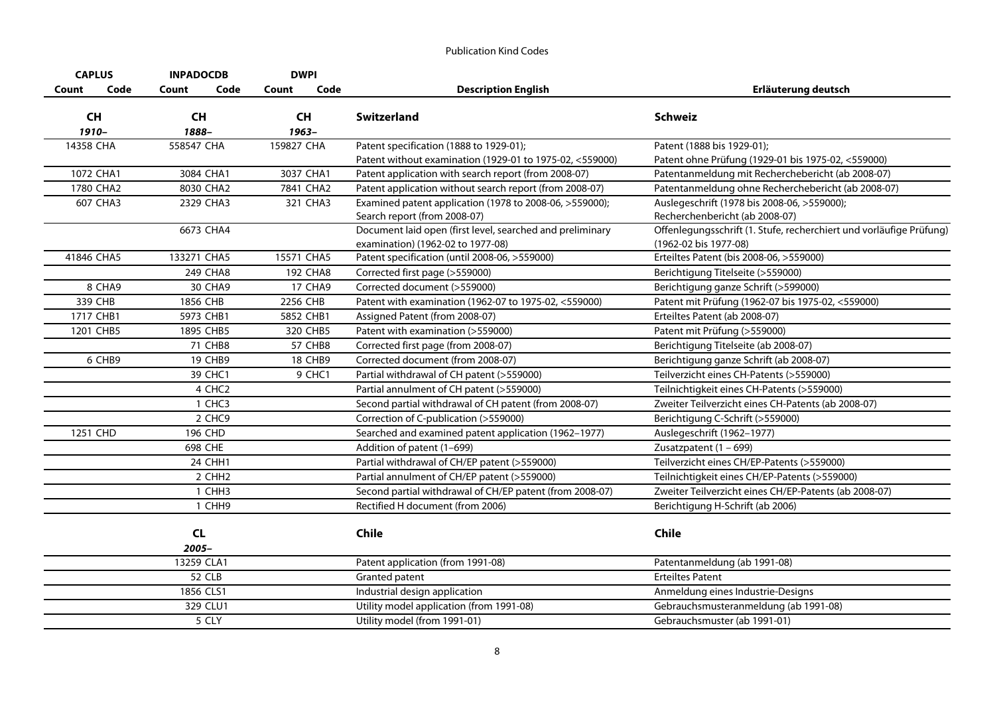| <b>CAPLUS</b> |          | <b>INPADOCDB</b>   | <b>DWPI</b>           |                                                           |                                                                     |
|---------------|----------|--------------------|-----------------------|-----------------------------------------------------------|---------------------------------------------------------------------|
| Count         | Code     | Count              | Code<br>Code<br>Count | <b>Description English</b>                                | Erläuterung deutsch                                                 |
| <b>CH</b>     |          | <b>CH</b>          | <b>CH</b>             | <b>Switzerland</b>                                        | <b>Schweiz</b>                                                      |
| 1910-         |          | 1888-              | 1963-                 |                                                           |                                                                     |
| 14358 CHA     |          | 558547 CHA         | 159827 CHA            | Patent specification (1888 to 1929-01);                   | Patent (1888 bis 1929-01);                                          |
|               |          |                    |                       | Patent without examination (1929-01 to 1975-02, <559000)  | Patent ohne Prüfung (1929-01 bis 1975-02, <559000)                  |
| 1072 CHA1     |          | 3084 CHA1          | 3037 CHA1             | Patent application with search report (from 2008-07)      | Patentanmeldung mit Recherchebericht (ab 2008-07)                   |
| 1780 CHA2     |          | 8030 CHA2          | 7841 CHA2             | Patent application without search report (from 2008-07)   | Patentanmeldung ohne Recherchebericht (ab 2008-07)                  |
|               | 607 CHA3 | 2329 CHA3          | 321 CHA3              | Examined patent application (1978 to 2008-06, >559000);   | Auslegeschrift (1978 bis 2008-06, >559000);                         |
|               |          |                    |                       | Search report (from 2008-07)                              | Recherchenbericht (ab 2008-07)                                      |
|               |          | 6673 CHA4          |                       | Document laid open (first level, searched and preliminary | Offenlegungsschrift (1. Stufe, recherchiert und vorläufige Prüfung) |
|               |          |                    |                       | examination) (1962-02 to 1977-08)                         | (1962-02 bis 1977-08)                                               |
| 41846 CHA5    |          | 133271 CHA5        | 15571 CHA5            | Patent specification (until 2008-06, >559000)             | Erteiltes Patent (bis 2008-06, >559000)                             |
|               |          | 249 CHA8           | 192 CHA8              | Corrected first page (>559000)                            | Berichtigung Titelseite (>559000)                                   |
|               | 8 CHA9   | 30 CHA9            | 17 CHA9               | Corrected document (>559000)                              | Berichtigung ganze Schrift (>599000)                                |
| 339 CHB       |          | 1856 CHB           | 2256 CHB              | Patent with examination (1962-07 to 1975-02, <559000)     | Patent mit Prüfung (1962-07 bis 1975-02, <559000)                   |
| 1717 CHB1     |          | 5973 CHB1          | 5852 CHB1             | Assigned Patent (from 2008-07)                            | Erteiltes Patent (ab 2008-07)                                       |
| 1201 CHB5     |          | 1895 CHB5          | 320 CHB5              | Patent with examination (>559000)                         | Patent mit Prüfung (>559000)                                        |
|               |          | 71 CHB8            | 57 CHB8               | Corrected first page (from 2008-07)                       | Berichtigung Titelseite (ab 2008-07)                                |
|               | 6 CHB9   | <b>19 CHB9</b>     | <b>18 CHB9</b>        | Corrected document (from 2008-07)                         | Berichtigung ganze Schrift (ab 2008-07)                             |
|               |          | 39 CHC1            | 9 CHC1                | Partial withdrawal of CH patent (>559000)                 | Teilverzicht eines CH-Patents (>559000)                             |
|               |          | 4 CHC <sub>2</sub> |                       | Partial annulment of CH patent (>559000)                  | Teilnichtigkeit eines CH-Patents (>559000)                          |
|               |          | 1 CHC3             |                       | Second partial withdrawal of CH patent (from 2008-07)     | Zweiter Teilverzicht eines CH-Patents (ab 2008-07)                  |
|               |          | 2 CHC9             |                       | Correction of C-publication (>559000)                     | Berichtigung C-Schrift (>559000)                                    |
| 1251 CHD      |          | 196 CHD            |                       | Searched and examined patent application (1962-1977)      | Auslegeschrift (1962-1977)                                          |
|               |          | 698 CHE            |                       | Addition of patent (1-699)                                | Zusatzpatent $(1 - 699)$                                            |
|               |          | 24 CHH1            |                       | Partial withdrawal of CH/EP patent (>559000)              | Teilverzicht eines CH/EP-Patents (>559000)                          |
|               |          | 2 CHH <sub>2</sub> |                       | Partial annulment of CH/EP patent (>559000)               | Teilnichtigkeit eines CH/EP-Patents (>559000)                       |
|               |          | 1 CHH <sub>3</sub> |                       | Second partial withdrawal of CH/EP patent (from 2008-07)  | Zweiter Teilverzicht eines CH/EP-Patents (ab 2008-07)               |
|               |          | 1 CHH9             |                       | Rectified H document (from 2006)                          | Berichtigung H-Schrift (ab 2006)                                    |
|               |          |                    |                       |                                                           |                                                                     |
|               |          | CL                 |                       | <b>Chile</b>                                              | <b>Chile</b>                                                        |
|               |          | 2005-              |                       |                                                           |                                                                     |
|               |          | 13259 CLA1         |                       | Patent application (from 1991-08)                         | Patentanmeldung (ab 1991-08)                                        |
|               |          | <b>52 CLB</b>      |                       | Granted patent                                            | <b>Erteiltes Patent</b>                                             |
|               |          | 1856 CLS1          |                       | Industrial design application                             | Anmeldung eines Industrie-Designs                                   |
|               |          | 329 CLU1           |                       | Utility model application (from 1991-08)                  | Gebrauchsmusteranmeldung (ab 1991-08)                               |
|               |          | 5 CLY              |                       | Utility model (from 1991-01)                              | Gebrauchsmuster (ab 1991-01)                                        |
|               |          |                    |                       |                                                           |                                                                     |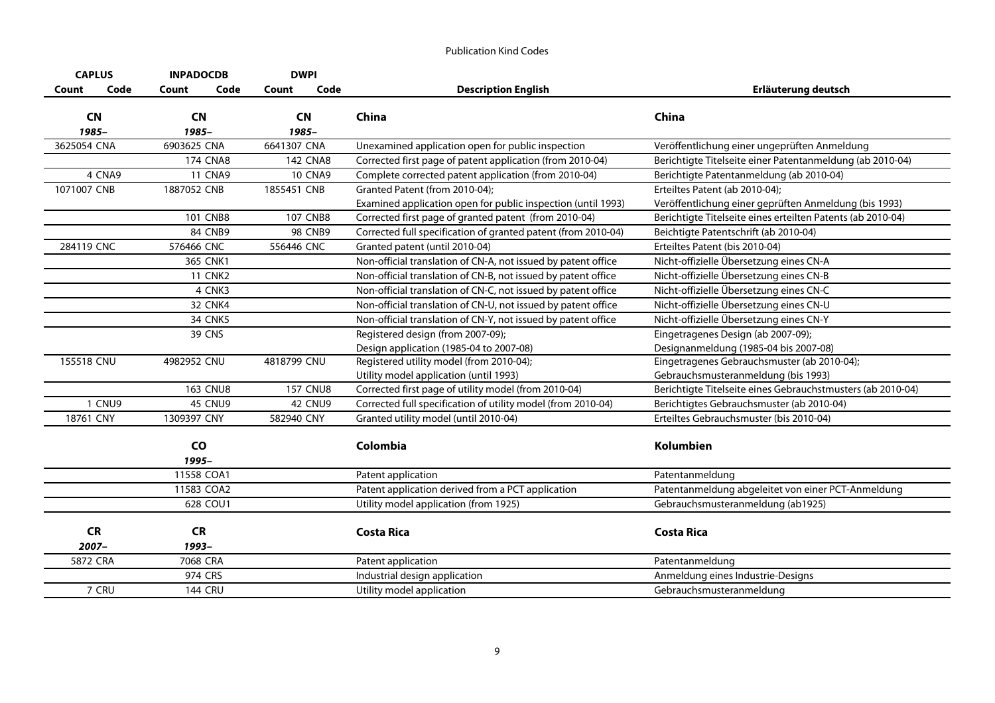| <b>CAPLUS</b>      | <b>INPADOCDB</b>   | <b>DWPI</b>        |                                                               |                                                             |
|--------------------|--------------------|--------------------|---------------------------------------------------------------|-------------------------------------------------------------|
| Code<br>Count      | Code<br>Count      | Code<br>Count      | <b>Description English</b>                                    | Erläuterung deutsch                                         |
| <b>CN</b><br>1985- | <b>CN</b><br>1985- | <b>CN</b><br>1985- | China                                                         | China                                                       |
| 3625054 CNA        | 6903625 CNA        | 6641307 CNA        | Unexamined application open for public inspection             | Veröffentlichung einer ungeprüften Anmeldung                |
|                    | <b>174 CNA8</b>    | <b>142 CNA8</b>    | Corrected first page of patent application (from 2010-04)     | Berichtigte Titelseite einer Patentanmeldung (ab 2010-04)   |
| 4 CNA9             | <b>11 CNA9</b>     | <b>10 CNA9</b>     | Complete corrected patent application (from 2010-04)          | Berichtigte Patentanmeldung (ab 2010-04)                    |
| 1071007 CNB        | 1887052 CNB        | 1855451 CNB        | Granted Patent (from 2010-04);                                | Erteiltes Patent (ab 2010-04);                              |
|                    |                    |                    | Examined application open for public inspection (until 1993)  | Veröffentlichung einer geprüften Anmeldung (bis 1993)       |
|                    | <b>101 CNB8</b>    | <b>107 CNB8</b>    | Corrected first page of granted patent (from 2010-04)         | Berichtigte Titelseite eines erteilten Patents (ab 2010-04) |
|                    | 84 CNB9            | <b>98 CNB9</b>     | Corrected full specification of granted patent (from 2010-04) | Beichtigte Patentschrift (ab 2010-04)                       |
| 284119 CNC         | 576466 CNC         | 556446 CNC         | Granted patent (until 2010-04)                                | Erteiltes Patent (bis 2010-04)                              |
|                    | 365 CNK1           |                    | Non-official translation of CN-A, not issued by patent office | Nicht-offizielle Übersetzung eines CN-A                     |
|                    | <b>11 CNK2</b>     |                    | Non-official translation of CN-B, not issued by patent office | Nicht-offizielle Übersetzung eines CN-B                     |
|                    | 4 CNK3             |                    | Non-official translation of CN-C, not issued by patent office | Nicht-offizielle Übersetzung eines CN-C                     |
|                    | <b>32 CNK4</b>     |                    | Non-official translation of CN-U, not issued by patent office | Nicht-offizielle Übersetzung eines CN-U                     |
|                    | <b>34 CNK5</b>     |                    | Non-official translation of CN-Y, not issued by patent office | Nicht-offizielle Übersetzung eines CN-Y                     |
|                    | <b>39 CNS</b>      |                    | Registered design (from 2007-09);                             | Eingetragenes Design (ab 2007-09);                          |
|                    |                    |                    | Design application (1985-04 to 2007-08)                       | Designanmeldung (1985-04 bis 2007-08)                       |
| 155518 CNU         | 4982952 CNU        | 4818799 CNU        | Registered utility model (from 2010-04);                      | Eingetragenes Gebrauchsmuster (ab 2010-04);                 |
|                    |                    |                    | Utility model application (until 1993)                        | Gebrauchsmusteranmeldung (bis 1993)                         |
|                    | <b>163 CNU8</b>    | <b>157 CNU8</b>    | Corrected first page of utility model (from 2010-04)          | Berichtigte Titelseite eines Gebrauchstmusters (ab 2010-04) |
| 1 CNU9             | <b>45 CNU9</b>     | <b>42 CNU9</b>     | Corrected full specification of utility model (from 2010-04)  | Berichtigtes Gebrauchsmuster (ab 2010-04)                   |
| 18761 CNY          | 1309397 CNY        | 582940 CNY         | Granted utility model (until 2010-04)                         | Erteiltes Gebrauchsmuster (bis 2010-04)                     |
|                    | CO<br>1995-        |                    | Colombia                                                      | <b>Kolumbien</b>                                            |
|                    | 11558 COA1         |                    | Patent application                                            | Patentanmeldung                                             |
|                    | 11583 COA2         |                    | Patent application derived from a PCT application             | Patentanmeldung abgeleitet von einer PCT-Anmeldung          |
|                    | 628 COU1           |                    | Utility model application (from 1925)                         | Gebrauchsmusteranmeldung (ab1925)                           |
| <b>CR</b><br>2007- | <b>CR</b><br>1993- |                    | <b>Costa Rica</b>                                             | <b>Costa Rica</b>                                           |
| 5872 CRA           | 7068 CRA           |                    | Patent application                                            | Patentanmeldung                                             |
|                    | 974 CRS            |                    | Industrial design application                                 | Anmeldung eines Industrie-Designs                           |
| 7 CRU              | <b>144 CRU</b>     |                    | Utility model application                                     | Gebrauchsmusteranmeldung                                    |
|                    |                    |                    |                                                               |                                                             |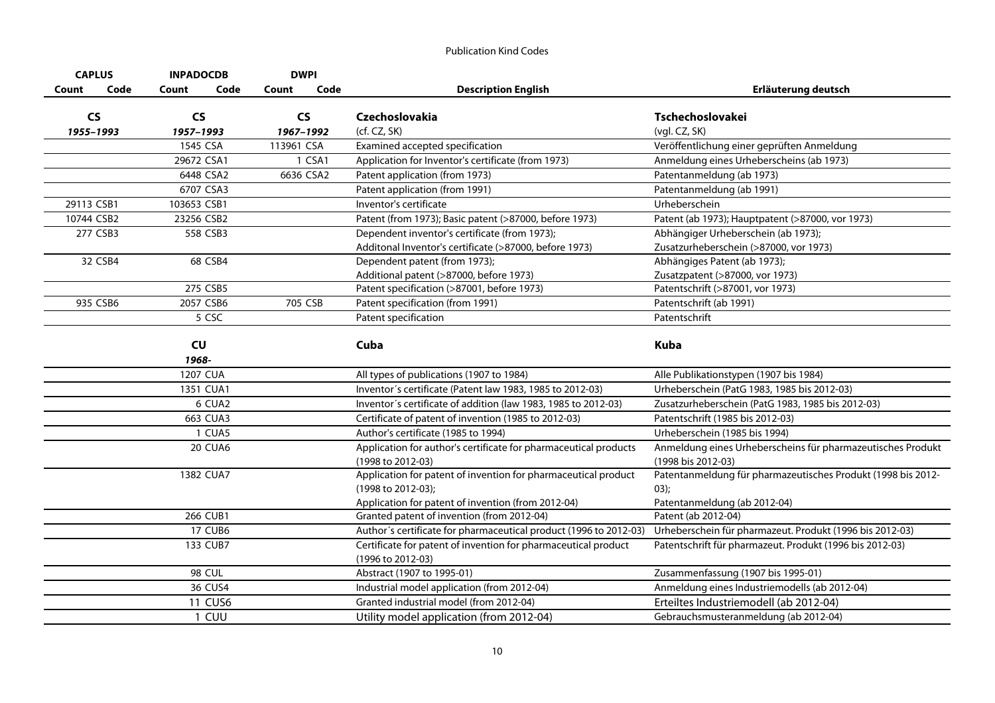| <b>CAPLUS</b> | <b>INPADOCDB</b> | <b>DWPI</b>   |                                                                   |                                                              |
|---------------|------------------|---------------|-------------------------------------------------------------------|--------------------------------------------------------------|
| Code<br>Count | Code<br>Count    | Code<br>Count | <b>Description English</b>                                        | Erläuterung deutsch                                          |
| <b>CS</b>     | <b>CS</b>        | <b>CS</b>     | Czechoslovakia                                                    | Tschechoslovakei                                             |
| 1955-1993     | 1957-1993        | 1967-1992     | (cf. CZ, SK)                                                      | (vgl. CZ, SK)                                                |
|               | 1545 CSA         | 113961 CSA    | Examined accepted specification                                   | Veröffentlichung einer geprüften Anmeldung                   |
|               | 29672 CSA1       | 1 CSA1        | Application for Inventor's certificate (from 1973)                | Anmeldung eines Urheberscheins (ab 1973)                     |
|               | 6448 CSA2        | 6636 CSA2     | Patent application (from 1973)                                    | Patentanmeldung (ab 1973)                                    |
|               | 6707 CSA3        |               | Patent application (from 1991)                                    | Patentanmeldung (ab 1991)                                    |
| 29113 CSB1    | 103653 CSB1      |               | Inventor's certificate                                            | Urheberschein                                                |
| 10744 CSB2    | 23256 CSB2       |               | Patent (from 1973); Basic patent (>87000, before 1973)            | Patent (ab 1973); Hauptpatent (>87000, vor 1973)             |
| 277 CSB3      | 558 CSB3         |               | Dependent inventor's certificate (from 1973);                     | Abhängiger Urheberschein (ab 1973);                          |
|               |                  |               | Additonal Inventor's certificate (>87000, before 1973)            | Zusatzurheberschein (>87000, vor 1973)                       |
| 32 CSB4       | 68 CSB4          |               | Dependent patent (from 1973);                                     | Abhängiges Patent (ab 1973);                                 |
|               |                  |               | Additional patent (>87000, before 1973)                           | Zusatzpatent (>87000, vor 1973)                              |
|               | 275 CSB5         |               | Patent specification (>87001, before 1973)                        | Patentschrift (>87001, vor 1973)                             |
| 935 CSB6      | 2057 CSB6        | 705 CSB       | Patent specification (from 1991)                                  | Patentschrift (ab 1991)                                      |
|               | 5 CSC            |               | Patent specification                                              | Patentschrift                                                |
|               |                  |               |                                                                   |                                                              |
|               | CU               |               | Cuba                                                              | <b>Kuba</b>                                                  |
|               | 1968-            |               |                                                                   |                                                              |
|               | 1207 CUA         |               | All types of publications (1907 to 1984)                          | Alle Publikationstypen (1907 bis 1984)                       |
|               | 1351 CUA1        |               | Inventor's certificate (Patent law 1983, 1985 to 2012-03)         | Urheberschein (PatG 1983, 1985 bis 2012-03)                  |
|               | 6 CUA2           |               | Inventor's certificate of addition (law 1983, 1985 to 2012-03)    | Zusatzurheberschein (PatG 1983, 1985 bis 2012-03)            |
|               | 663 CUA3         |               | Certificate of patent of invention (1985 to 2012-03)              | Patentschrift (1985 bis 2012-03)                             |
|               | 1 CUA5           |               | Author's certificate (1985 to 1994)                               | Urheberschein (1985 bis 1994)                                |
|               | <b>20 CUA6</b>   |               | Application for author's certificate for pharmaceutical products  | Anmeldung eines Urheberscheins für pharmazeutisches Produkt  |
|               |                  |               | (1998 to 2012-03)                                                 | (1998 bis 2012-03)                                           |
|               | 1382 CUA7        |               | Application for patent of invention for pharmaceutical product    | Patentanmeldung für pharmazeutisches Produkt (1998 bis 2012- |
|               |                  |               | (1998 to 2012-03);                                                | 03);                                                         |
|               |                  |               | Application for patent of invention (from 2012-04)                | Patentanmeldung (ab 2012-04)                                 |
|               | <b>266 CUB1</b>  |               | Granted patent of invention (from 2012-04)                        | Patent (ab 2012-04)                                          |
|               | <b>17 CUB6</b>   |               | Author's certificate for pharmaceutical product (1996 to 2012-03) | Urheberschein für pharmazeut. Produkt (1996 bis 2012-03)     |
|               | 133 CUB7         |               | Certificate for patent of invention for pharmaceutical product    | Patentschrift für pharmazeut. Produkt (1996 bis 2012-03)     |
|               |                  |               | (1996 to 2012-03)                                                 |                                                              |
|               | <b>98 CUL</b>    |               | Abstract (1907 to 1995-01)                                        | Zusammenfassung (1907 bis 1995-01)                           |
|               | 36 CUS4          |               | Industrial model application (from 2012-04)                       | Anmeldung eines Industriemodells (ab 2012-04)                |
|               | <b>11 CUS6</b>   |               | Granted industrial model (from 2012-04)                           | Erteiltes Industriemodell (ab 2012-04)                       |
|               | 1 CUU            |               | Utility model application (from 2012-04)                          | Gebrauchsmusteranmeldung (ab 2012-04)                        |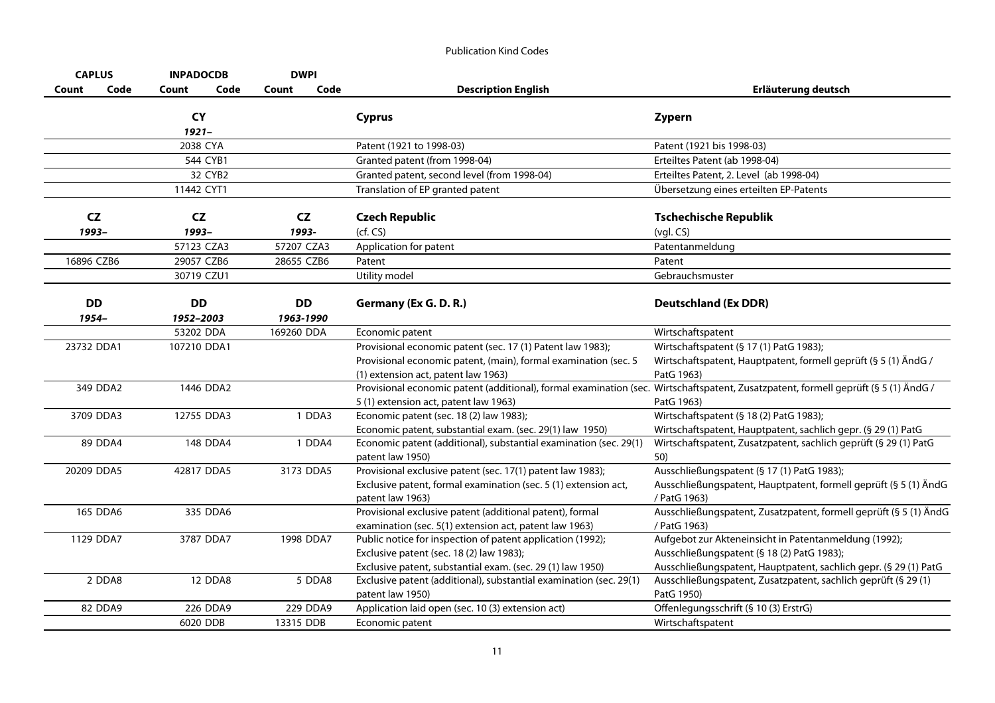| <b>CAPLUS</b> |           | <b>INPADOCDB</b>     |      | <b>DWPI</b> |        |                                                                                  |                                                                   |
|---------------|-----------|----------------------|------|-------------|--------|----------------------------------------------------------------------------------|-------------------------------------------------------------------|
| Count         | Code      | Count                | Code | Count       | Code   | <b>Description English</b>                                                       | Erläuterung deutsch                                               |
|               |           | <b>CY</b>            |      |             |        | <b>Cyprus</b>                                                                    | Zypern                                                            |
|               |           | $1921 -$<br>2038 CYA |      |             |        | Patent (1921 to 1998-03)                                                         | Patent (1921 bis 1998-03)                                         |
|               |           | 544 CYB1             |      |             |        | Granted patent (from 1998-04)                                                    | Erteiltes Patent (ab 1998-04)                                     |
|               |           | 32 CYB2              |      |             |        | Granted patent, second level (from 1998-04)                                      | Erteiltes Patent, 2. Level (ab 1998-04)                           |
|               |           | 11442 CYT1           |      |             |        | Translation of EP granted patent                                                 | Übersetzung eines erteilten EP-Patents                            |
|               |           |                      |      |             |        |                                                                                  |                                                                   |
| <b>CZ</b>     |           | <b>CZ</b>            |      | CZ          |        | <b>Czech Republic</b>                                                            | <b>Tschechische Republik</b>                                      |
| 1993-         |           | 1993-                |      | 1993-       |        | (cf. CS)                                                                         | $(vgl. CS)$                                                       |
|               |           | 57123 CZA3           |      | 57207 CZA3  |        | Application for patent                                                           | Patentanmeldung                                                   |
| 16896 CZB6    |           | 29057 CZB6           |      | 28655 CZB6  |        | Patent                                                                           | Patent                                                            |
|               |           | 30719 CZU1           |      |             |        | Utility model                                                                    | Gebrauchsmuster                                                   |
|               |           |                      |      |             |        |                                                                                  |                                                                   |
| <b>DD</b>     |           | <b>DD</b>            |      | <b>DD</b>   |        | Germany (Ex G. D. R.)                                                            | <b>Deutschland (Ex DDR)</b>                                       |
| 1954-         |           | 1952-2003            |      | 1963-1990   |        |                                                                                  |                                                                   |
|               |           | 53202 DDA            |      | 169260 DDA  |        | Economic patent                                                                  | Wirtschaftspatent                                                 |
| 23732 DDA1    |           | 107210 DDA1          |      |             |        | Provisional economic patent (sec. 17 (1) Patent law 1983);                       | Wirtschaftspatent (§ 17 (1) PatG 1983);                           |
|               |           |                      |      |             |        | Provisional economic patent, (main), formal examination (sec. 5                  | Wirtschaftspatent, Hauptpatent, formell geprüft (§ 5 (1) ÄndG /   |
|               |           |                      |      |             |        | (1) extension act, patent law 1963)                                              | PatG 1963)                                                        |
|               | 349 DDA2  | 1446 DDA2            |      |             |        | Provisional economic patent (additional), formal examination (sec.               | Wirtschaftspatent, Zusatzpatent, formell geprüft (§ 5 (1) ÄndG /  |
|               | 3709 DDA3 | 12755 DDA3           |      |             | 1 DDA3 | 5 (1) extension act, patent law 1963)<br>Economic patent (sec. 18 (2) law 1983); | PatG 1963)<br>Wirtschaftspatent (§ 18 (2) PatG 1983);             |
|               |           |                      |      |             |        | Economic patent, substantial exam. (sec. 29(1) law 1950)                         | Wirtschaftspatent, Hauptpatent, sachlich gepr. (§ 29 (1) PatG     |
|               | 89 DDA4   | 148 DDA4             |      |             | 1 DDA4 | Economic patent (additional), substantial examination (sec. 29(1)                | Wirtschaftspatent, Zusatzpatent, sachlich geprüft (§ 29 (1) PatG  |
|               |           |                      |      |             |        | patent law 1950)                                                                 | 50)                                                               |
| 20209 DDA5    |           | 42817 DDA5           |      | 3173 DDA5   |        | Provisional exclusive patent (sec. 17(1) patent law 1983);                       | Ausschließungspatent (§ 17 (1) PatG 1983);                        |
|               |           |                      |      |             |        | Exclusive patent, formal examination (sec. 5 (1) extension act,                  | Ausschließungspatent, Hauptpatent, formell geprüft (§ 5 (1) ÄndG  |
|               |           |                      |      |             |        | patent law 1963)                                                                 | / PatG 1963)                                                      |
|               | 165 DDA6  | 335 DDA6             |      |             |        | Provisional exclusive patent (additional patent), formal                         | Ausschließungspatent, Zusatzpatent, formell geprüft (§ 5 (1) ÄndG |
|               |           |                      |      |             |        | examination (sec. 5(1) extension act, patent law 1963)                           | / PatG 1963)                                                      |
|               | 1129 DDA7 | 3787 DDA7            |      | 1998 DDA7   |        | Public notice for inspection of patent application (1992);                       | Aufgebot zur Akteneinsicht in Patentanmeldung (1992);             |
|               |           |                      |      |             |        | Exclusive patent (sec. 18 (2) law 1983);                                         | Ausschließungspatent (§ 18 (2) PatG 1983);                        |
|               |           |                      |      |             |        | Exclusive patent, substantial exam. (sec. 29 (1) law 1950)                       | Ausschließungspatent, Hauptpatent, sachlich gepr. (§ 29 (1) PatG  |
|               | 2 DDA8    | <b>12 DDA8</b>       |      |             | 5 DDA8 | Exclusive patent (additional), substantial examination (sec. 29(1)               | Ausschließungspatent, Zusatzpatent, sachlich geprüft (§ 29 (1)    |
|               |           |                      |      |             |        | patent law 1950)                                                                 | PatG 1950)                                                        |
|               | 82 DDA9   | 226 DDA9             |      | 229 DDA9    |        | Application laid open (sec. 10 (3) extension act)                                | Offenlegungsschrift (§ 10 (3) ErstrG)                             |
|               |           | 6020 DDB             |      | 13315 DDB   |        | Economic patent                                                                  | Wirtschaftspatent                                                 |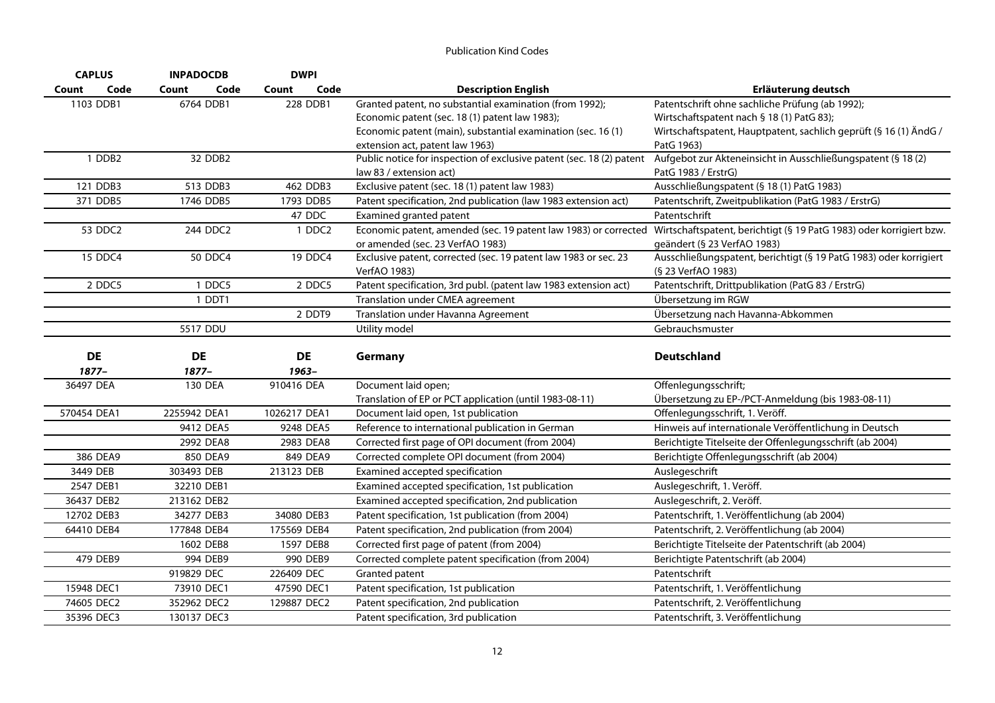| <b>CAPLUS</b><br><b>INPADOCDB</b> |               | <b>DWPI</b>   |                                                                      |                                                                                                                                     |
|-----------------------------------|---------------|---------------|----------------------------------------------------------------------|-------------------------------------------------------------------------------------------------------------------------------------|
| Code<br>Count                     | Count<br>Code | Code<br>Count | <b>Description English</b>                                           | Erläuterung deutsch                                                                                                                 |
| 1103 DDB1                         | 6764 DDB1     | 228 DDB1      | Granted patent, no substantial examination (from 1992);              | Patentschrift ohne sachliche Prüfung (ab 1992);                                                                                     |
|                                   |               |               | Economic patent (sec. 18 (1) patent law 1983);                       | Wirtschaftspatent nach § 18 (1) PatG 83);                                                                                           |
|                                   |               |               | Economic patent (main), substantial examination (sec. 16(1)          | Wirtschaftspatent, Hauptpatent, sachlich geprüft (§ 16 (1) ÄndG /                                                                   |
|                                   |               |               | extension act, patent law 1963)                                      | PatG 1963)                                                                                                                          |
| 1 DDB2                            | 32 DDB2       |               | Public notice for inspection of exclusive patent (sec. 18 (2) patent | Aufgebot zur Akteneinsicht in Ausschließungspatent (§ 18 (2)                                                                        |
|                                   |               |               | law 83 / extension act)                                              | PatG 1983 / ErstrG)                                                                                                                 |
| 121 DDB3                          | 513 DDB3      | 462 DDB3      | Exclusive patent (sec. 18 (1) patent law 1983)                       | Ausschließungspatent (§ 18 (1) PatG 1983)                                                                                           |
| 371 DDB5                          | 1746 DDB5     | 1793 DDB5     | Patent specification, 2nd publication (law 1983 extension act)       | Patentschrift, Zweitpublikation (PatG 1983 / ErstrG)                                                                                |
|                                   |               | 47 DDC        | Examined granted patent                                              | Patentschrift                                                                                                                       |
| 53 DDC2                           | 244 DDC2      | 1 DDC2        |                                                                      | Economic patent, amended (sec. 19 patent law 1983) or corrected Wirtschaftspatent, berichtigt (§ 19 PatG 1983) oder korrigiert bzw. |
|                                   |               |               | or amended (sec. 23 VerfAO 1983)                                     | geändert (§ 23 VerfAO 1983)                                                                                                         |
| 15 DDC4                           | 50 DDC4       | 19 DDC4       | Exclusive patent, corrected (sec. 19 patent law 1983 or sec. 23      | Ausschließungspatent, berichtigt (§ 19 PatG 1983) oder korrigiert                                                                   |
|                                   |               |               | VerfAO 1983)                                                         | (§ 23 VerfAO 1983)                                                                                                                  |
| 2 DDC5                            | 1 DDC5        | 2 DDC5        | Patent specification, 3rd publ. (patent law 1983 extension act)      | Patentschrift, Drittpublikation (PatG 83 / ErstrG)                                                                                  |
|                                   | 1 DDT1        |               | Translation under CMEA agreement                                     | Übersetzung im RGW                                                                                                                  |
|                                   |               | 2 DDT9        | Translation under Havanna Agreement                                  | Übersetzung nach Havanna-Abkommen                                                                                                   |
|                                   | 5517 DDU      |               | Utility model                                                        | Gebrauchsmuster                                                                                                                     |
|                                   |               |               |                                                                      |                                                                                                                                     |
| <b>DE</b>                         | DE            | <b>DE</b>     | Germany                                                              | <b>Deutschland</b>                                                                                                                  |
| 1877-                             | 1877-         | 1963-         |                                                                      |                                                                                                                                     |
| 36497 DEA                         | 130 DEA       | 910416 DEA    | Document laid open;                                                  | Offenlegungsschrift;                                                                                                                |
|                                   |               |               | Translation of EP or PCT application (until 1983-08-11)              | Übersetzung zu EP-/PCT-Anmeldung (bis 1983-08-11)                                                                                   |
| 570454 DEA1                       | 2255942 DEA1  | 1026217 DEA1  | Document laid open, 1st publication                                  | Offenlegungsschrift, 1. Veröff.                                                                                                     |
|                                   | 9412 DEA5     | 9248 DEA5     | Reference to international publication in German                     | Hinweis auf internationale Veröffentlichung in Deutsch                                                                              |
|                                   | 2992 DEA8     | 2983 DEA8     | Corrected first page of OPI document (from 2004)                     | Berichtigte Titelseite der Offenlegungsschrift (ab 2004)                                                                            |
| 386 DEA9                          | 850 DEA9      | 849 DEA9      | Corrected complete OPI document (from 2004)                          | Berichtigte Offenlegungsschrift (ab 2004)                                                                                           |
| 3449 DEB                          | 303493 DEB    | 213123 DEB    | Examined accepted specification                                      | Auslegeschrift                                                                                                                      |
| 2547 DEB1                         | 32210 DEB1    |               | Examined accepted specification, 1st publication                     | Auslegeschrift, 1. Veröff.                                                                                                          |
| 36437 DEB2                        | 213162 DEB2   |               | Examined accepted specification, 2nd publication                     | Auslegeschrift, 2. Veröff.                                                                                                          |
| 12702 DEB3                        | 34277 DEB3    | 34080 DEB3    | Patent specification, 1st publication (from 2004)                    | Patentschrift, 1. Veröffentlichung (ab 2004)                                                                                        |
| 64410 DEB4                        | 177848 DEB4   | 175569 DEB4   | Patent specification, 2nd publication (from 2004)                    | Patentschrift, 2. Veröffentlichung (ab 2004)                                                                                        |
|                                   | 1602 DEB8     | 1597 DEB8     | Corrected first page of patent (from 2004)                           | Berichtigte Titelseite der Patentschrift (ab 2004)                                                                                  |
| 479 DEB9                          | 994 DEB9      | 990 DEB9      | Corrected complete patent specification (from 2004)                  | Berichtigte Patentschrift (ab 2004)                                                                                                 |
|                                   | 919829 DEC    | 226409 DEC    | Granted patent                                                       | Patentschrift                                                                                                                       |
| 15948 DEC1                        | 73910 DEC1    | 47590 DEC1    | Patent specification, 1st publication                                | Patentschrift, 1. Veröffentlichung                                                                                                  |
| 74605 DEC2                        | 352962 DEC2   | 129887 DEC2   | Patent specification, 2nd publication                                | Patentschrift, 2. Veröffentlichung                                                                                                  |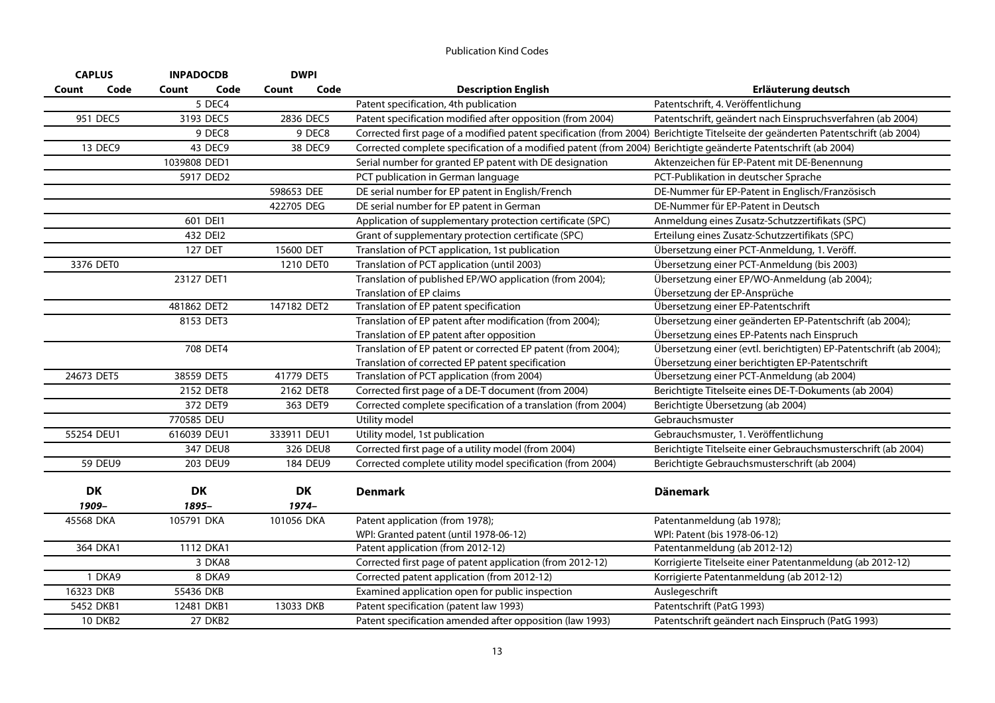|       | <b>CAPLUS</b>  | <b>INPADOCDB</b> | <b>DWPI</b>   |                                                                                                                                   |                                                                    |
|-------|----------------|------------------|---------------|-----------------------------------------------------------------------------------------------------------------------------------|--------------------------------------------------------------------|
| Count | Code           | Code<br>Count    | Code<br>Count | <b>Description English</b>                                                                                                        | Erläuterung deutsch                                                |
|       |                | 5 DEC4           |               | Patent specification, 4th publication                                                                                             | Patentschrift, 4. Veröffentlichung                                 |
|       | 951 DEC5       | 3193 DEC5        | 2836 DEC5     | Patent specification modified after opposition (from 2004)                                                                        | Patentschrift, geändert nach Einspruchsverfahren (ab 2004)         |
|       |                | 9 DEC8           | 9 DEC8        | Corrected first page of a modified patent specification (from 2004) Berichtigte Titelseite der geänderten Patentschrift (ab 2004) |                                                                    |
|       | 13 DEC9        | 43 DEC9          | 38 DEC9       | Corrected complete specification of a modified patent (from 2004) Berichtigte geänderte Patentschrift (ab 2004)                   |                                                                    |
|       |                | 1039808 DED1     |               | Serial number for granted EP patent with DE designation                                                                           | Aktenzeichen für EP-Patent mit DE-Benennung                        |
|       |                | 5917 DED2        |               | PCT publication in German language                                                                                                | PCT-Publikation in deutscher Sprache                               |
|       |                |                  | 598653 DEE    | DE serial number for EP patent in English/French                                                                                  | DE-Nummer für EP-Patent in Englisch/Französisch                    |
|       |                |                  | 422705 DEG    | DE serial number for EP patent in German                                                                                          | DE-Nummer für EP-Patent in Deutsch                                 |
|       |                | 601 DEI1         |               | Application of supplementary protection certificate (SPC)                                                                         | Anmeldung eines Zusatz-Schutzzertifikats (SPC)                     |
|       |                | 432 DEI2         |               | Grant of supplementary protection certificate (SPC)                                                                               | Erteilung eines Zusatz-Schutzzertifikats (SPC)                     |
|       |                | 127 DET          | 15600 DET     | Translation of PCT application, 1st publication                                                                                   | Übersetzung einer PCT-Anmeldung, 1. Veröff.                        |
|       | 3376 DET0      |                  | 1210 DET0     | Translation of PCT application (until 2003)                                                                                       | Übersetzung einer PCT-Anmeldung (bis 2003)                         |
|       |                | 23127 DET1       |               | Translation of published EP/WO application (from 2004);                                                                           | Übersetzung einer EP/WO-Anmeldung (ab 2004);                       |
|       |                |                  |               | Translation of EP claims                                                                                                          | Übersetzung der EP-Ansprüche                                       |
|       |                | 481862 DET2      | 147182 DET2   | Translation of EP patent specification                                                                                            | Übersetzung einer EP-Patentschrift                                 |
|       |                | 8153 DET3        |               | Translation of EP patent after modification (from 2004);                                                                          | Übersetzung einer geänderten EP-Patentschrift (ab 2004);           |
|       |                |                  |               | Translation of EP patent after opposition                                                                                         | Übersetzung eines EP-Patents nach Einspruch                        |
|       |                | 708 DET4         |               | Translation of EP patent or corrected EP patent (from 2004);                                                                      | Übersetzung einer (evtl. berichtigten) EP-Patentschrift (ab 2004); |
|       |                |                  |               | Translation of corrected EP patent specification                                                                                  | Übersetzung einer berichtigten EP-Patentschrift                    |
|       | 24673 DET5     | 38559 DET5       | 41779 DET5    | Translation of PCT application (from 2004)                                                                                        | Übersetzung einer PCT-Anmeldung (ab 2004)                          |
|       |                | 2152 DET8        | 2162 DET8     | Corrected first page of a DE-T document (from 2004)                                                                               | Berichtigte Titelseite eines DE-T-Dokuments (ab 2004)              |
|       |                | 372 DET9         | 363 DET9      | Corrected complete specification of a translation (from 2004)                                                                     | Berichtigte Übersetzung (ab 2004)                                  |
|       |                | 770585 DEU       |               | Utility model                                                                                                                     | Gebrauchsmuster                                                    |
|       | 55254 DEU1     | 616039 DEU1      | 333911 DEU1   | Utility model, 1st publication                                                                                                    | Gebrauchsmuster, 1. Veröffentlichung                               |
|       |                | 347 DEU8         | 326 DEU8      | Corrected first page of a utility model (from 2004)                                                                               | Berichtigte Titelseite einer Gebrauchsmusterschrift (ab 2004)      |
|       | <b>59 DEU9</b> | 203 DEU9         | 184 DEU9      | Corrected complete utility model specification (from 2004)                                                                        | Berichtigte Gebrauchsmusterschrift (ab 2004)                       |
|       |                |                  |               |                                                                                                                                   |                                                                    |
|       | <b>DK</b>      | DK               | <b>DK</b>     | <b>Denmark</b>                                                                                                                    | <b>Dänemark</b>                                                    |
|       | 1909-          | 1895-            | $1974-$       |                                                                                                                                   |                                                                    |
|       | 45568 DKA      | 105791 DKA       | 101056 DKA    | Patent application (from 1978);                                                                                                   | Patentanmeldung (ab 1978);                                         |
|       |                |                  |               | WPI: Granted patent (until 1978-06-12)                                                                                            | WPI: Patent (bis 1978-06-12)                                       |
|       | 364 DKA1       | 1112 DKA1        |               | Patent application (from 2012-12)                                                                                                 | Patentanmeldung (ab 2012-12)                                       |
|       |                | 3 DKA8           |               | Corrected first page of patent application (from 2012-12)                                                                         | Korrigierte Titelseite einer Patentanmeldung (ab 2012-12)          |
|       | 1 DKA9         | 8 DKA9           |               | Corrected patent application (from 2012-12)                                                                                       | Korrigierte Patentanmeldung (ab 2012-12)                           |
|       | 16323 DKB      | 55436 DKB        |               | Examined application open for public inspection                                                                                   | Auslegeschrift                                                     |
|       | 5452 DKB1      | 12481 DKB1       | 13033 DKB     | Patent specification (patent law 1993)                                                                                            | Patentschrift (PatG 1993)                                          |
|       | <b>10 DKB2</b> | <b>27 DKB2</b>   |               | Patent specification amended after opposition (law 1993)                                                                          | Patentschrift geändert nach Einspruch (PatG 1993)                  |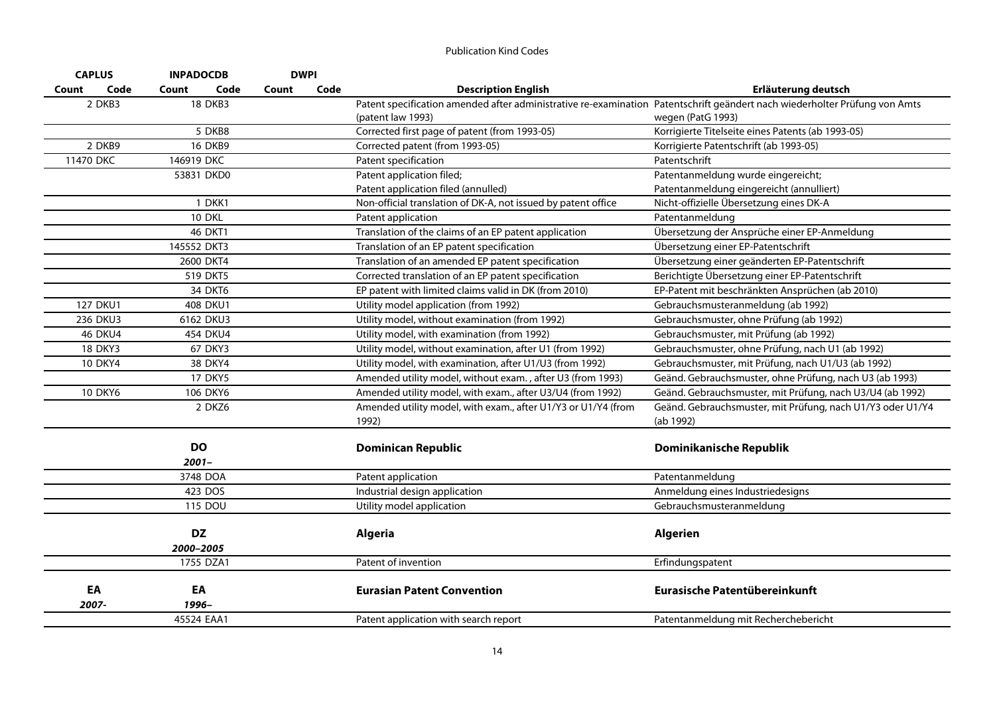| <b>CAPLUS</b>   | <b>INPADOCDB</b> |       | <b>DWPI</b> |                                                                                                                            |                                                            |
|-----------------|------------------|-------|-------------|----------------------------------------------------------------------------------------------------------------------------|------------------------------------------------------------|
| Code<br>Count   | Count<br>Code    | Count | Code        | <b>Description English</b>                                                                                                 | Erläuterung deutsch                                        |
| 2 DKB3          | <b>18 DKB3</b>   |       |             | Patent specification amended after administrative re-examination Patentschrift geändert nach wiederholter Prüfung von Amts |                                                            |
|                 |                  |       |             | (patent law 1993)                                                                                                          | wegen (PatG 1993)                                          |
|                 | 5 DKB8           |       |             | Corrected first page of patent (from 1993-05)                                                                              | Korrigierte Titelseite eines Patents (ab 1993-05)          |
| 2 DKB9          | <b>16 DKB9</b>   |       |             | Corrected patent (from 1993-05)                                                                                            | Korrigierte Patentschrift (ab 1993-05)                     |
| 11470 DKC       | 146919 DKC       |       |             | Patent specification                                                                                                       | Patentschrift                                              |
|                 | 53831 DKD0       |       |             | Patent application filed;                                                                                                  | Patentanmeldung wurde eingereicht;                         |
|                 |                  |       |             | Patent application filed (annulled)                                                                                        | Patentanmeldung eingereicht (annulliert)                   |
|                 | 1 DKK1           |       |             | Non-official translation of DK-A, not issued by patent office                                                              | Nicht-offizielle Übersetzung eines DK-A                    |
|                 | 10 DKL           |       |             | Patent application                                                                                                         | Patentanmeldung                                            |
|                 | 46 DKT1          |       |             | Translation of the claims of an EP patent application                                                                      | Übersetzung der Ansprüche einer EP-Anmeldung               |
|                 | 145552 DKT3      |       |             | Translation of an EP patent specification                                                                                  | Übersetzung einer EP-Patentschrift                         |
|                 | 2600 DKT4        |       |             | Translation of an amended EP patent specification                                                                          | Übersetzung einer geänderten EP-Patentschrift              |
|                 | 519 DKT5         |       |             | Corrected translation of an EP patent specification                                                                        | Berichtigte Übersetzung einer EP-Patentschrift             |
|                 | 34 DKT6          |       |             | EP patent with limited claims valid in DK (from 2010)                                                                      | EP-Patent mit beschränkten Ansprüchen (ab 2010)            |
| <b>127 DKU1</b> | 408 DKU1         |       |             | Utility model application (from 1992)                                                                                      | Gebrauchsmusteranmeldung (ab 1992)                         |
| 236 DKU3        | 6162 DKU3        |       |             | Utility model, without examination (from 1992)                                                                             | Gebrauchsmuster, ohne Prüfung (ab 1992)                    |
| <b>46 DKU4</b>  | 454 DKU4         |       |             | Utility model, with examination (from 1992)                                                                                | Gebrauchsmuster, mit Prüfung (ab 1992)                     |
| 18 DKY3         | 67 DKY3          |       |             | Utility model, without examination, after U1 (from 1992)                                                                   | Gebrauchsmuster, ohne Prüfung, nach U1 (ab 1992)           |
| <b>10 DKY4</b>  | 38 DKY4          |       |             | Utility model, with examination, after U1/U3 (from 1992)                                                                   | Gebrauchsmuster, mit Prüfung, nach U1/U3 (ab 1992)         |
|                 | <b>17 DKY5</b>   |       |             | Amended utility model, without exam., after U3 (from 1993)                                                                 | Geänd. Gebrauchsmuster, ohne Prüfung, nach U3 (ab 1993)    |
| <b>10 DKY6</b>  | 106 DKY6         |       |             | Amended utility model, with exam., after U3/U4 (from 1992)                                                                 | Geänd. Gebrauchsmuster, mit Prüfung, nach U3/U4 (ab 1992)  |
|                 | 2 DKZ6           |       |             | Amended utility model, with exam., after U1/Y3 or U1/Y4 (from                                                              | Geänd. Gebrauchsmuster, mit Prüfung, nach U1/Y3 oder U1/Y4 |
|                 |                  |       |             | 1992)                                                                                                                      | (ab 1992)                                                  |
|                 | <b>DO</b>        |       |             | <b>Dominican Republic</b>                                                                                                  | Dominikanische Republik                                    |
|                 | $2001 -$         |       |             |                                                                                                                            |                                                            |
|                 | 3748 DOA         |       |             | Patent application                                                                                                         | Patentanmeldung                                            |
|                 | 423 DOS          |       |             | Industrial design application                                                                                              | Anmeldung eines Industriedesigns                           |
|                 | 115 DOU          |       |             | Utility model application                                                                                                  | Gebrauchsmusteranmeldung                                   |
|                 |                  |       |             |                                                                                                                            |                                                            |
|                 | <b>DZ</b>        |       |             | <b>Algeria</b>                                                                                                             | <b>Algerien</b>                                            |
|                 | 2000-2005        |       |             |                                                                                                                            |                                                            |
|                 | 1755 DZA1        |       |             | Patent of invention                                                                                                        | Erfindungspatent                                           |
| EA              | EA               |       |             |                                                                                                                            | Eurasische Patentübereinkunft                              |
| 2007-           | 1996-            |       |             | <b>Eurasian Patent Convention</b>                                                                                          |                                                            |
|                 | 45524 EAA1       |       |             |                                                                                                                            |                                                            |
|                 |                  |       |             | Patent application with search report                                                                                      | Patentanmeldung mit Recherchebericht                       |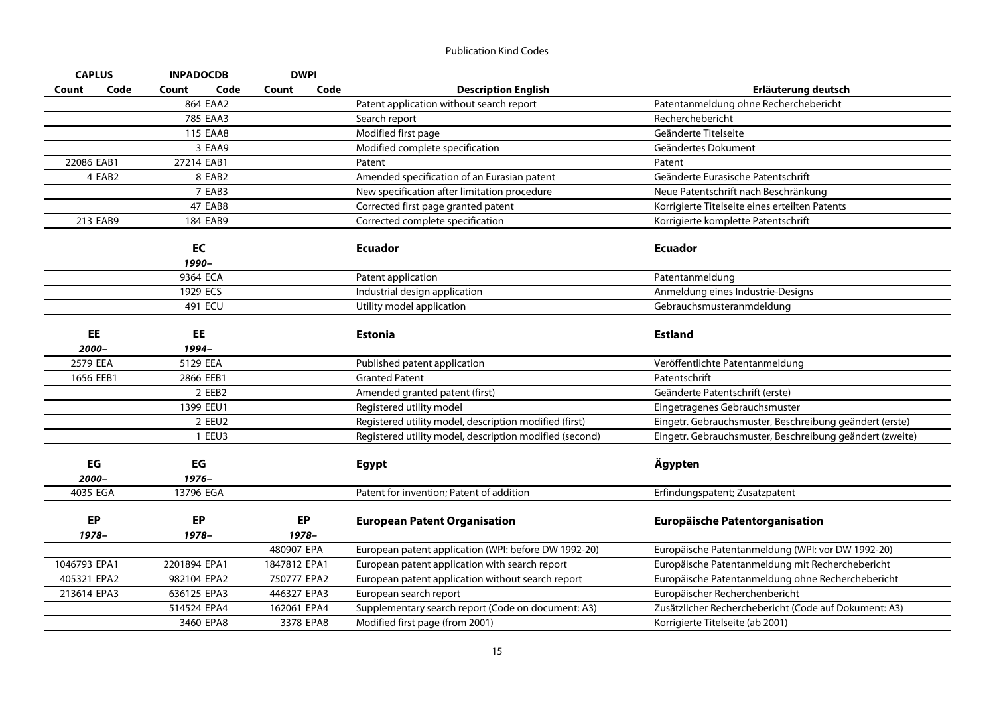| <b>CAPLUS</b> |          | <b>INPADOCDB</b> |        | <b>DWPI</b>  |      |                                                         |                                                          |
|---------------|----------|------------------|--------|--------------|------|---------------------------------------------------------|----------------------------------------------------------|
| Count         | Code     | Count            | Code   | Count        | Code | <b>Description English</b>                              | Erläuterung deutsch                                      |
|               |          | 864 EAA2         |        |              |      | Patent application without search report                | Patentanmeldung ohne Recherchebericht                    |
|               |          | 785 EAA3         |        |              |      | Search report                                           | Recherchebericht                                         |
|               |          | 115 EAA8         |        |              |      | Modified first page                                     | Geänderte Titelseite                                     |
|               |          |                  | 3 EAA9 |              |      | Modified complete specification                         | Geändertes Dokument                                      |
| 22086 EAB1    |          | 27214 EAB1       |        |              |      | Patent                                                  | Patent                                                   |
|               | 4 EAB2   | 8 EAB2           |        |              |      | Amended specification of an Eurasian patent             | Geänderte Eurasische Patentschrift                       |
|               |          | 7 EAB3           |        |              |      | New specification after limitation procedure            | Neue Patentschrift nach Beschränkung                     |
|               |          | <b>47 EAB8</b>   |        |              |      | Corrected first page granted patent                     | Korrigierte Titelseite eines erteilten Patents           |
|               | 213 EAB9 | 184 EAB9         |        |              |      | Corrected complete specification                        | Korrigierte komplette Patentschrift                      |
|               |          | EC               |        |              |      | <b>Ecuador</b>                                          | <b>Ecuador</b>                                           |
|               |          | 1990-            |        |              |      |                                                         |                                                          |
|               |          | 9364 ECA         |        |              |      | Patent application                                      | Patentanmeldung                                          |
|               |          | 1929 ECS         |        |              |      | Industrial design application                           | Anmeldung eines Industrie-Designs                        |
|               |          | 491 ECU          |        |              |      | Utility model application                               | Gebrauchsmusteranmdeldung                                |
|               |          |                  |        |              |      |                                                         |                                                          |
| EE            |          | EE               |        |              |      | <b>Estonia</b>                                          | <b>Estland</b>                                           |
| 2000-         |          | 1994-            |        |              |      |                                                         |                                                          |
| 2579 EEA      |          | 5129 EEA         |        |              |      | Published patent application                            | Veröffentlichte Patentanmeldung                          |
| 1656 EEB1     |          | 2866 EEB1        |        |              |      | <b>Granted Patent</b>                                   | Patentschrift                                            |
|               |          | 2 EEB2           |        |              |      | Amended granted patent (first)                          | Geänderte Patentschrift (erste)                          |
|               |          | 1399 EEU1        |        |              |      | Registered utility model                                | Eingetragenes Gebrauchsmuster                            |
|               |          |                  | 2 EEU2 |              |      | Registered utility model, description modified (first)  | Eingetr. Gebrauchsmuster, Beschreibung geändert (erste)  |
|               |          | 1 EEU3           |        |              |      | Registered utility model, description modified (second) | Eingetr. Gebrauchsmuster, Beschreibung geändert (zweite) |
| EG            |          | EG               |        |              |      | <b>Egypt</b>                                            | Ägypten                                                  |
| 2000-         |          | $1976 -$         |        |              |      |                                                         |                                                          |
| 4035 EGA      |          | 13796 EGA        |        |              |      | Patent for invention; Patent of addition                | Erfindungspatent; Zusatzpatent                           |
|               |          |                  |        |              |      |                                                         |                                                          |
| EP            |          | EP               |        | <b>EP</b>    |      | <b>European Patent Organisation</b>                     | Europäische Patentorganisation                           |
| 1978-         |          | 1978-            |        | 1978-        |      |                                                         |                                                          |
|               |          |                  |        | 480907 EPA   |      | European patent application (WPI: before DW 1992-20)    | Europäische Patentanmeldung (WPI: vor DW 1992-20)        |
| 1046793 EPA1  |          | 2201894 EPA1     |        | 1847812 EPA1 |      | European patent application with search report          | Europäische Patentanmeldung mit Recherchebericht         |
| 405321 EPA2   |          | 982104 EPA2      |        | 750777 EPA2  |      | European patent application without search report       | Europäische Patentanmeldung ohne Recherchebericht        |
| 213614 EPA3   |          | 636125 EPA3      |        | 446327 EPA3  |      | European search report                                  | Europäischer Recherchenbericht                           |
|               |          | 514524 EPA4      |        | 162061 EPA4  |      | Supplementary search report (Code on document: A3)      | Zusätzlicher Recherchebericht (Code auf Dokument: A3)    |
|               |          | 3460 EPA8        |        | 3378 EPA8    |      | Modified first page (from 2001)                         | Korrigierte Titelseite (ab 2001)                         |
|               |          |                  |        |              |      |                                                         |                                                          |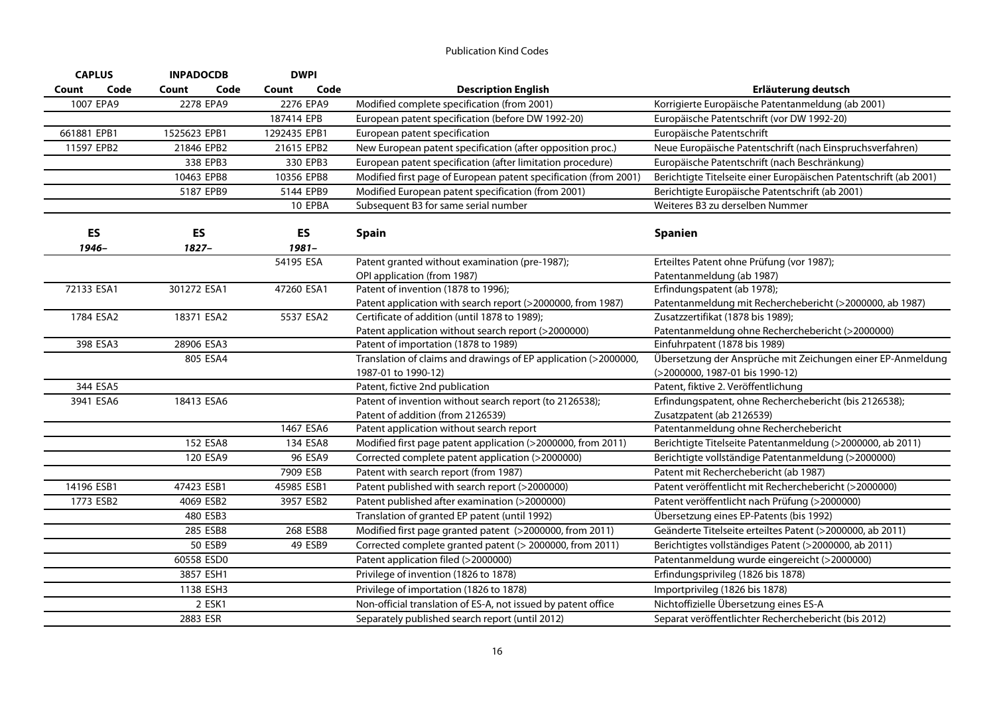| <b>CAPLUS</b> | <b>INPADOCDB</b> | <b>DWPI</b>                         |                                                                  |                                                                                                                                                                  |
|---------------|------------------|-------------------------------------|------------------------------------------------------------------|------------------------------------------------------------------------------------------------------------------------------------------------------------------|
| Code          | Code<br>Count    | Code<br>Count                       | <b>Description English</b>                                       | Erläuterung deutsch                                                                                                                                              |
| 1007 EPA9     | 2278 EPA9        | 2276 EPA9                           | Modified complete specification (from 2001)                      | Korrigierte Europäische Patentanmeldung (ab 2001)                                                                                                                |
|               |                  | 187414 EPB                          | European patent specification (before DW 1992-20)                | Europäische Patentschrift (vor DW 1992-20)                                                                                                                       |
| 661881 EPB1   | 1525623 EPB1     | 1292435 EPB1                        | European patent specification                                    | Europäische Patentschrift                                                                                                                                        |
| 11597 EPB2    | 21846 EPB2       | 21615 EPB2                          | New European patent specification (after opposition proc.)       | Neue Europäische Patentschrift (nach Einspruchsverfahren)                                                                                                        |
|               | 338 EPB3         | 330 EPB3                            | European patent specification (after limitation procedure)       | Europäische Patentschrift (nach Beschränkung)                                                                                                                    |
|               | 10463 EPB8       | 10356 EPB8                          | Modified first page of European patent specification (from 2001) | Berichtigte Titelseite einer Europäischen Patentschrift (ab 2001)                                                                                                |
|               | 5187 EPB9        | 5144 EPB9                           | Modified European patent specification (from 2001)               | Berichtigte Europäische Patentschrift (ab 2001)                                                                                                                  |
|               |                  | 10 EPBA                             | Subsequent B3 for same serial number                             | Weiteres B3 zu derselben Nummer                                                                                                                                  |
| ES            | ES               | ES                                  | <b>Spain</b>                                                     | <b>Spanien</b>                                                                                                                                                   |
|               |                  |                                     |                                                                  | Erteiltes Patent ohne Prüfung (vor 1987);                                                                                                                        |
|               |                  |                                     |                                                                  | Patentanmeldung (ab 1987)                                                                                                                                        |
| 72133 ESA1    |                  |                                     |                                                                  | Erfindungspatent (ab 1978);                                                                                                                                      |
|               |                  |                                     | Patent application with search report (>2000000, from 1987)      | Patentanmeldung mit Recherchebericht (>2000000, ab 1987)                                                                                                         |
| 1784 ESA2     | 18371 ESA2       | 5537 ESA2                           | Certificate of addition (until 1878 to 1989);                    | Zusatzzertifikat (1878 bis 1989);                                                                                                                                |
|               |                  |                                     | Patent application without search report (>2000000)              | Patentanmeldung ohne Recherchebericht (>2000000)                                                                                                                 |
| 398 ESA3      | 28906 ESA3       |                                     | Patent of importation (1878 to 1989)                             | Einfuhrpatent (1878 bis 1989)                                                                                                                                    |
|               | 805 ESA4         |                                     | Translation of claims and drawings of EP application (>2000000,  | Übersetzung der Ansprüche mit Zeichungen einer EP-Anmeldung                                                                                                      |
|               |                  |                                     | 1987-01 to 1990-12)                                              | (>2000000, 1987-01 bis 1990-12)                                                                                                                                  |
| 344 ESA5      |                  |                                     | Patent, fictive 2nd publication                                  | Patent, fiktive 2. Veröffentlichung                                                                                                                              |
| 3941 ESA6     | 18413 ESA6       |                                     | Patent of invention without search report (to 2126538);          | Erfindungspatent, ohne Recherchebericht (bis 2126538);                                                                                                           |
|               |                  |                                     | Patent of addition (from 2126539)                                | Zusatzpatent (ab 2126539)                                                                                                                                        |
|               |                  |                                     |                                                                  | Patentanmeldung ohne Recherchebericht                                                                                                                            |
|               |                  | 134 ESA8                            | Modified first page patent application (>2000000, from 2011)     | Berichtigte Titelseite Patentanmeldung (>2000000, ab 2011)                                                                                                       |
|               | 120 ESA9         | 96 ESA9                             | Corrected complete patent application (>2000000)                 | Berichtigte vollständige Patentanmeldung (>2000000)                                                                                                              |
|               |                  | 7909 ESB                            | Patent with search report (from 1987)                            | Patent mit Recherchebericht (ab 1987)                                                                                                                            |
| 14196 ESB1    | 47423 ESB1       | 45985 ESB1                          | Patent published with search report (>2000000)                   | Patent veröffentlicht mit Recherchebericht (>2000000)                                                                                                            |
| 1773 ESB2     | 4069 ESB2        | 3957 ESB2                           | Patent published after examination (>2000000)                    | Patent veröffentlicht nach Prüfung (>2000000)                                                                                                                    |
|               | 480 ESB3         |                                     | Translation of granted EP patent (until 1992)                    | Übersetzung eines EP-Patents (bis 1992)                                                                                                                          |
|               | 285 ESB8         | 268 ESB8                            | Modified first page granted patent (>2000000, from 2011)         | Geänderte Titelseite erteiltes Patent (>2000000, ab 2011)                                                                                                        |
|               | 50 ESB9          | 49 ESB9                             | Corrected complete granted patent (> 2000000, from 2011)         | Berichtigtes vollständiges Patent (>2000000, ab 2011)                                                                                                            |
|               | 60558 ESD0       |                                     | Patent application filed (>2000000)                              | Patentanmeldung wurde eingereicht (>2000000)                                                                                                                     |
|               | 3857 ESH1        |                                     | Privilege of invention (1826 to 1878)                            | Erfindungsprivileg (1826 bis 1878)                                                                                                                               |
|               | 1138 ESH3        |                                     | Privilege of importation (1826 to 1878)                          | Importprivileg (1826 bis 1878)                                                                                                                                   |
|               | 2 ESK1           |                                     | Non-official translation of ES-A, not issued by patent office    | Nichtoffizielle Übersetzung eines ES-A                                                                                                                           |
|               | 2883 ESR         |                                     | Separately published search report (until 2012)                  | Separat veröffentlichter Recherchebericht (bis 2012)                                                                                                             |
|               | 1946-            | $1827 -$<br>301272 ESA1<br>152 ESA8 | $1981 -$<br>54195 ESA<br>47260 ESA1<br>1467 ESA6                 | Patent granted without examination (pre-1987);<br>OPI application (from 1987)<br>Patent of invention (1878 to 1996);<br>Patent application without search report |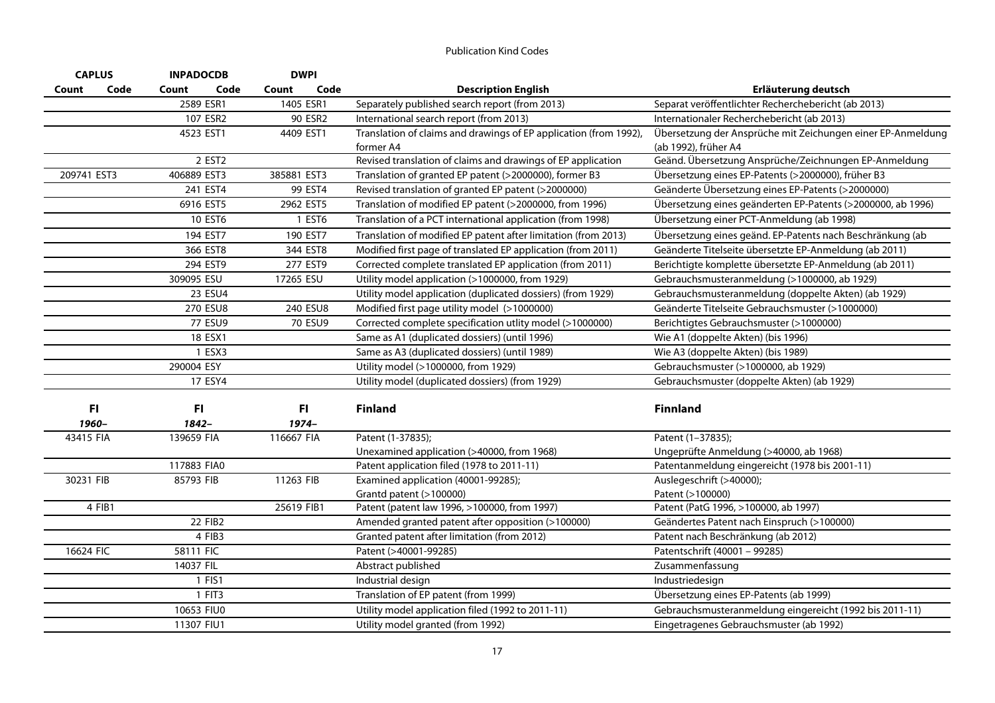|             | <b>CAPLUS</b> | <b>INPADOCDB</b>   | <b>DWPI</b>   |                                                                   |                                                             |
|-------------|---------------|--------------------|---------------|-------------------------------------------------------------------|-------------------------------------------------------------|
| Count       | Code          | Code<br>Count      | Code<br>Count | <b>Description English</b>                                        | Erläuterung deutsch                                         |
|             |               | 2589 ESR1          | 1405 ESR1     | Separately published search report (from 2013)                    | Separat veröffentlichter Recherchebericht (ab 2013)         |
|             |               | 107 ESR2           | 90 ESR2       | International search report (from 2013)                           | Internationaler Recherchebericht (ab 2013)                  |
|             |               | 4523 EST1          | 4409 EST1     | Translation of claims and drawings of EP application (from 1992), | Übersetzung der Ansprüche mit Zeichungen einer EP-Anmeldung |
|             |               |                    |               | former A4                                                         | (ab 1992), früher A4                                        |
|             |               | 2 EST <sub>2</sub> |               | Revised translation of claims and drawings of EP application      | Geänd. Übersetzung Ansprüche/Zeichnungen EP-Anmeldung       |
| 209741 EST3 |               | 406889 EST3        | 385881 EST3   | Translation of granted EP patent (>2000000), former B3            | Übersetzung eines EP-Patents (>2000000), früher B3          |
|             |               | 241 EST4           | 99 EST4       | Revised translation of granted EP patent (>2000000)               | Geänderte Übersetzung eines EP-Patents (>2000000)           |
|             |               | 6916 EST5          | 2962 EST5     | Translation of modified EP patent (>2000000, from 1996)           | Übersetzung eines geänderten EP-Patents (>2000000, ab 1996) |
|             |               | 10 EST6            | 1 EST6        | Translation of a PCT international application (from 1998)        | Übersetzung einer PCT-Anmeldung (ab 1998)                   |
|             |               | 194 EST7           | 190 EST7      | Translation of modified EP patent after limitation (from 2013)    | Übersetzung eines geänd. EP-Patents nach Beschränkung (ab   |
|             |               | 366 EST8           | 344 EST8      | Modified first page of translated EP application (from 2011)      | Geänderte Titelseite übersetzte EP-Anmeldung (ab 2011)      |
|             |               | 294 EST9           | 277 EST9      | Corrected complete translated EP application (from 2011)          | Berichtigte komplette übersetzte EP-Anmeldung (ab 2011)     |
|             |               | 309095 ESU         | 17265 ESU     | Utility model application (>1000000, from 1929)                   | Gebrauchsmusteranmeldung (>1000000, ab 1929)                |
|             |               | 23 ESU4            |               | Utility model application (duplicated dossiers) (from 1929)       | Gebrauchsmusteranmeldung (doppelte Akten) (ab 1929)         |
|             |               | 270 ESU8           | 240 ESU8      | Modified first page utility model (>1000000)                      | Geänderte Titelseite Gebrauchsmuster (>1000000)             |
|             |               | 77 ESU9            | 70 ESU9       | Corrected complete specification utlity model (>1000000)          | Berichtigtes Gebrauchsmuster (>1000000)                     |
|             |               | 18 ESX1            |               | Same as A1 (duplicated dossiers) (until 1996)                     | Wie A1 (doppelte Akten) (bis 1996)                          |
|             |               | 1 ESX3             |               | Same as A3 (duplicated dossiers) (until 1989)                     | Wie A3 (doppelte Akten) (bis 1989)                          |
|             |               | 290004 ESY         |               | Utility model (>1000000, from 1929)                               | Gebrauchsmuster (>1000000, ab 1929)                         |
|             |               | 17 ESY4            |               | Utility model (duplicated dossiers) (from 1929)                   | Gebrauchsmuster (doppelte Akten) (ab 1929)                  |
|             | FI            | F1                 | F1            | <b>Finland</b>                                                    | <b>Finnland</b>                                             |
|             | 1960-         | 1842-              | 1974-         |                                                                   |                                                             |
| 43415 FIA   |               | 139659 FIA         | 116667 FIA    | Patent (1-37835);                                                 | Patent (1-37835);                                           |
|             |               |                    |               | Unexamined application (>40000, from 1968)                        | Ungeprüfte Anmeldung (>40000, ab 1968)                      |
|             |               | 117883 FIA0        |               | Patent application filed (1978 to 2011-11)                        | Patentanmeldung eingereicht (1978 bis 2001-11)              |
| 30231 FIB   |               | 85793 FIB          | 11263 FIB     | Examined application (40001-99285);                               | Auslegeschrift (>40000);                                    |
|             |               |                    |               | Grantd patent (>100000)                                           | Patent (>100000)                                            |
|             | 4 FIB1        |                    | 25619 FIB1    | Patent (patent law 1996, >100000, from 1997)                      | Patent (PatG 1996, >100000, ab 1997)                        |
|             |               | 22 FIB2            |               | Amended granted patent after opposition (>100000)                 | Geändertes Patent nach Einspruch (>100000)                  |
|             |               | 4 FIB3             |               | Granted patent after limitation (from 2012)                       | Patent nach Beschränkung (ab 2012)                          |
| 16624 FIC   |               | 58111 FIC          |               | Patent (>40001-99285)                                             | Patentschrift (40001 - 99285)                               |
|             |               | 14037 FIL          |               | Abstract published                                                | Zusammenfassung                                             |
|             |               | 1 FIS1             |               | Industrial design                                                 | Industriedesign                                             |
|             |               | 1 FIT3             |               | Translation of EP patent (from 1999)                              | Übersetzung eines EP-Patents (ab 1999)                      |
|             |               | 10653 FIU0         |               | Utility model application filed (1992 to 2011-11)                 | Gebrauchsmusteranmeldung eingereicht (1992 bis 2011-11)     |
|             |               | 11307 FIU1         |               | Utility model granted (from 1992)                                 | Eingetragenes Gebrauchsmuster (ab 1992)                     |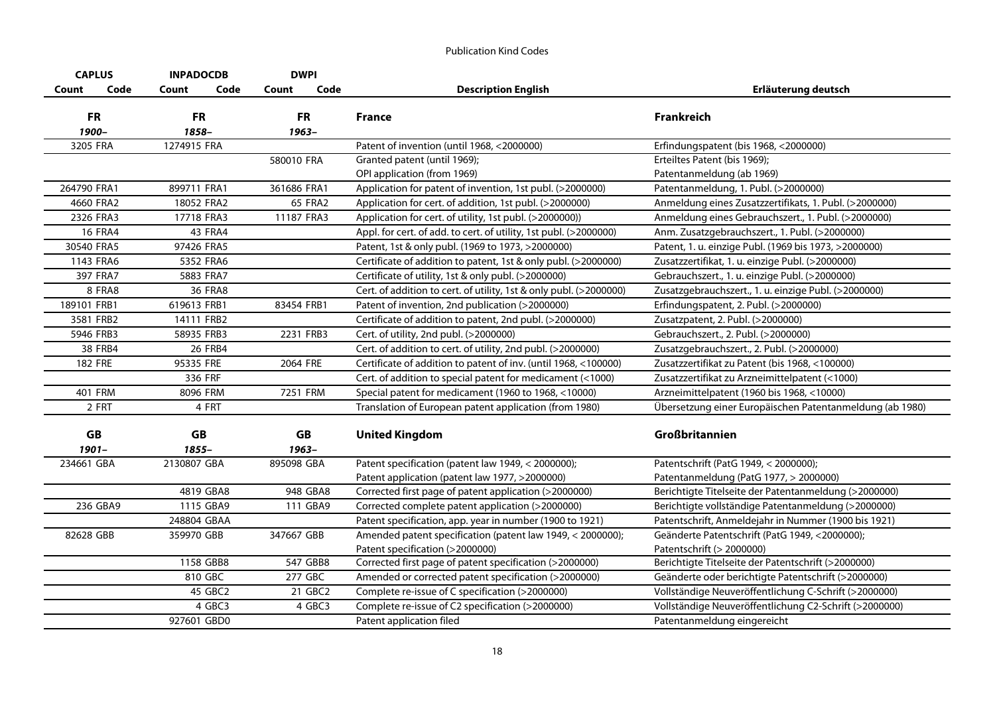| <b>CAPLUS</b>  | <b>INPADOCDB</b> | <b>DWPI</b>   |                                                                    |                                                          |
|----------------|------------------|---------------|--------------------------------------------------------------------|----------------------------------------------------------|
| Code<br>Count  | Count<br>Code    | Code<br>Count | <b>Description English</b>                                         | Erläuterung deutsch                                      |
| <b>FR</b>      | <b>FR</b>        | <b>FR</b>     | France                                                             | <b>Frankreich</b>                                        |
| 1900-          | 1858-            | $1963 -$      |                                                                    |                                                          |
| 3205 FRA       | 1274915 FRA      |               | Patent of invention (until 1968, <2000000)                         | Erfindungspatent (bis 1968, <2000000)                    |
|                |                  | 580010 FRA    | Granted patent (until 1969);                                       | Erteiltes Patent (bis 1969);                             |
|                |                  |               | OPI application (from 1969)                                        | Patentanmeldung (ab 1969)                                |
| 264790 FRA1    | 899711 FRA1      | 361686 FRA1   | Application for patent of invention, 1st publ. (>2000000)          | Patentanmeldung, 1. Publ. (>2000000)                     |
| 4660 FRA2      | 18052 FRA2       | 65 FRA2       | Application for cert. of addition, 1st publ. (>2000000)            | Anmeldung eines Zusatzzertifikats, 1. Publ. (>2000000)   |
| 2326 FRA3      | 17718 FRA3       | 11187 FRA3    | Application for cert. of utility, 1st publ. (>2000000))            | Anmeldung eines Gebrauchszert., 1. Publ. (>2000000)      |
| <b>16 FRA4</b> | 43 FRA4          |               | Appl. for cert. of add. to cert. of utility, 1st publ. (>2000000)  | Anm. Zusatzgebrauchszert., 1. Publ. (>2000000)           |
| 30540 FRA5     | 97426 FRA5       |               | Patent, 1st & only publ. (1969 to 1973, >2000000)                  | Patent, 1. u. einzige Publ. (1969 bis 1973, >2000000)    |
| 1143 FRA6      | 5352 FRA6        |               | Certificate of addition to patent, 1st & only publ. (>2000000)     | Zusatzzertifikat, 1. u. einzige Publ. (>2000000)         |
| 397 FRA7       | 5883 FRA7        |               | Certificate of utility, 1st & only publ. (>2000000)                | Gebrauchszert., 1. u. einzige Publ. (>2000000)           |
| 8 FRA8         | <b>36 FRA8</b>   |               | Cert. of addition to cert. of utility, 1st & only publ. (>2000000) | Zusatzgebrauchszert., 1. u. einzige Publ. (>2000000)     |
| 189101 FRB1    | 619613 FRB1      | 83454 FRB1    | Patent of invention, 2nd publication (>2000000)                    | Erfindungspatent, 2. Publ. (>2000000)                    |
| 3581 FRB2      | 14111 FRB2       |               | Certificate of addition to patent, 2nd publ. (>2000000)            | Zusatzpatent, 2. Publ. (>2000000)                        |
| 5946 FRB3      | 58935 FRB3       | 2231 FRB3     | Cert. of utility, 2nd publ. (>2000000)                             | Gebrauchszert., 2. Publ. (>2000000)                      |
| 38 FRB4        | <b>26 FRB4</b>   |               | Cert. of addition to cert. of utility, 2nd publ. (>2000000)        | Zusatzgebrauchszert., 2. Publ. (>2000000)                |
| <b>182 FRE</b> | 95335 FRE        | 2064 FRE      | Certificate of addition to patent of inv. (until 1968, <100000)    | Zusatzzertifikat zu Patent (bis 1968, <100000)           |
|                | 336 FRF          |               | Cert. of addition to special patent for medicament (<1000)         | Zusatzzertifikat zu Arzneimittelpatent (<1000)           |
| 401 FRM        | 8096 FRM         | 7251 FRM      | Special patent for medicament (1960 to 1968, <10000)               | Arzneimittelpatent (1960 bis 1968, <10000)               |
| 2 FRT          | 4 FRT            |               | Translation of European patent application (from 1980)             | Übersetzung einer Europäischen Patentanmeldung (ab 1980) |
| GB             | <b>GB</b>        | GB            | <b>United Kingdom</b>                                              | Großbritannien                                           |
| $1901 -$       | 1855-            | 1963-         |                                                                    |                                                          |
| 234661 GBA     | 2130807 GBA      | 895098 GBA    | Patent specification (patent law 1949, < 2000000);                 | Patentschrift (PatG 1949, < 2000000);                    |
|                |                  |               | Patent application (patent law 1977, >2000000)                     | Patentanmeldung (PatG 1977, > 2000000)                   |
|                | 4819 GBA8        | 948 GBA8      | Corrected first page of patent application (>2000000)              | Berichtigte Titelseite der Patentanmeldung (>2000000)    |
| 236 GBA9       | 1115 GBA9        | 111 GBA9      | Corrected complete patent application (>2000000)                   | Berichtigte vollständige Patentanmeldung (>2000000)      |
|                | 248804 GBAA      |               | Patent specification, app. year in number (1900 to 1921)           | Patentschrift, Anmeldejahr in Nummer (1900 bis 1921)     |
| 82628 GBB      | 359970 GBB       | 347667 GBB    | Amended patent specification (patent law 1949, < 2000000);         | Geänderte Patentschrift (PatG 1949, <2000000);           |
|                |                  |               | Patent specification (>2000000)                                    | Patentschrift (> 2000000)                                |
|                | 1158 GBB8        | 547 GBB8      | Corrected first page of patent specification (>2000000)            | Berichtigte Titelseite der Patentschrift (>2000000)      |
|                | 810 GBC          | 277 GBC       | Amended or corrected patent specification (>2000000)               | Geänderte oder berichtigte Patentschrift (>2000000)      |
|                | 45 GBC2          | 21 GBC2       | Complete re-issue of C specification (>2000000)                    | Vollständige Neuveröffentlichung C-Schrift (>2000000)    |
|                | 4 GBC3           | 4 GBC3        | Complete re-issue of C2 specification (>2000000)                   | Vollständige Neuveröffentlichung C2-Schrift (>2000000)   |
|                | 927601 GBD0      |               | Patent application filed                                           | Patentanmeldung eingereicht                              |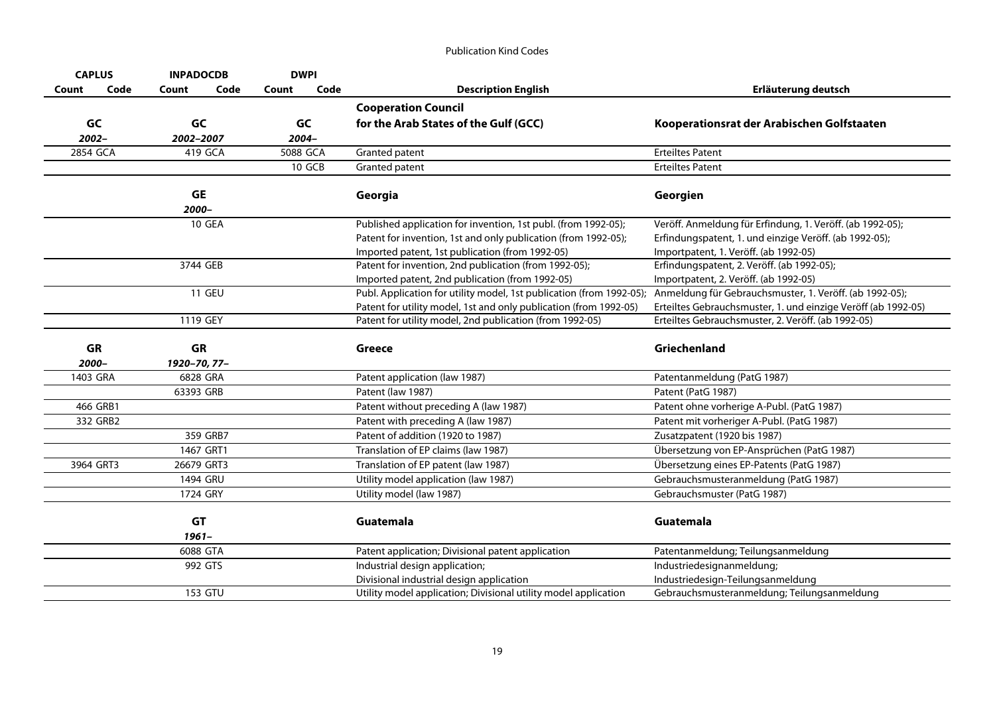| <b>CAPLUS</b> | <b>INPADOCDB</b> | <b>DWPI</b>   |                                                                      |                                                               |
|---------------|------------------|---------------|----------------------------------------------------------------------|---------------------------------------------------------------|
| Code<br>Count | Code<br>Count    | Code<br>Count | <b>Description English</b>                                           | Erläuterung deutsch                                           |
|               |                  |               | <b>Cooperation Council</b>                                           |                                                               |
| GC            | GC               | GC            | for the Arab States of the Gulf (GCC)                                | Kooperationsrat der Arabischen Golfstaaten                    |
| 2002-         | 2002-2007        | 2004-         |                                                                      |                                                               |
| 2854 GCA      | 419 GCA          | 5088 GCA      | Granted patent                                                       | <b>Erteiltes Patent</b>                                       |
|               |                  | 10 GCB        | Granted patent                                                       | <b>Erteiltes Patent</b>                                       |
|               | GE               |               | Georgia                                                              | Georgien                                                      |
|               | 2000-            |               |                                                                      |                                                               |
|               | <b>10 GEA</b>    |               | Published application for invention, 1st publ. (from 1992-05);       | Veröff. Anmeldung für Erfindung, 1. Veröff. (ab 1992-05);     |
|               |                  |               | Patent for invention, 1st and only publication (from 1992-05);       | Erfindungspatent, 1. und einzige Veröff. (ab 1992-05);        |
|               |                  |               | Imported patent, 1st publication (from 1992-05)                      | Importpatent, 1. Veröff. (ab 1992-05)                         |
|               | 3744 GEB         |               | Patent for invention, 2nd publication (from 1992-05);                | Erfindungspatent, 2. Veröff. (ab 1992-05);                    |
|               |                  |               | Imported patent, 2nd publication (from 1992-05)                      | Importpatent, 2. Veröff. (ab 1992-05)                         |
|               | <b>11 GEU</b>    |               | Publ. Application for utility model, 1st publication (from 1992-05); | Anmeldung für Gebrauchsmuster, 1. Veröff. (ab 1992-05);       |
|               |                  |               | Patent for utility model, 1st and only publication (from 1992-05)    | Erteiltes Gebrauchsmuster, 1. und einzige Veröff (ab 1992-05) |
|               | 1119 GEY         |               | Patent for utility model, 2nd publication (from 1992-05)             | Erteiltes Gebrauchsmuster, 2. Veröff. (ab 1992-05)            |
| GR            | GR               |               | <b>Greece</b>                                                        | Griechenland                                                  |
| 2000-         | 1920-70, 77-     |               |                                                                      |                                                               |
| 1403 GRA      | 6828 GRA         |               | Patent application (law 1987)                                        | Patentanmeldung (PatG 1987)                                   |
|               | 63393 GRB        |               | Patent (law 1987)                                                    | Patent (PatG 1987)                                            |
| 466 GRB1      |                  |               | Patent without preceding A (law 1987)                                | Patent ohne vorherige A-Publ. (PatG 1987)                     |
| 332 GRB2      |                  |               | Patent with preceding A (law 1987)                                   | Patent mit vorheriger A-Publ. (PatG 1987)                     |
|               | 359 GRB7         |               | Patent of addition (1920 to 1987)                                    | Zusatzpatent (1920 bis 1987)                                  |
|               | 1467 GRT1        |               | Translation of EP claims (law 1987)                                  | Übersetzung von EP-Ansprüchen (PatG 1987)                     |
| 3964 GRT3     | 26679 GRT3       |               | Translation of EP patent (law 1987)                                  | Übersetzung eines EP-Patents (PatG 1987)                      |
|               | 1494 GRU         |               | Utility model application (law 1987)                                 | Gebrauchsmusteranmeldung (PatG 1987)                          |
|               | 1724 GRY         |               | Utility model (law 1987)                                             | Gebrauchsmuster (PatG 1987)                                   |
|               |                  |               |                                                                      |                                                               |
|               | GT<br>$1961 -$   |               | Guatemala                                                            | Guatemala                                                     |
|               | 6088 GTA         |               | Patent application; Divisional patent application                    | Patentanmeldung; Teilungsanmeldung                            |
|               | 992 GTS          |               | Industrial design application;                                       | Industriedesignanmeldung;                                     |
|               |                  |               | Divisional industrial design application                             | Industriedesign-Teilungsanmeldung                             |
|               | 153 GTU          |               | Utility model application; Divisional utility model application      | Gebrauchsmusteranmeldung; Teilungsanmeldung                   |
|               |                  |               |                                                                      |                                                               |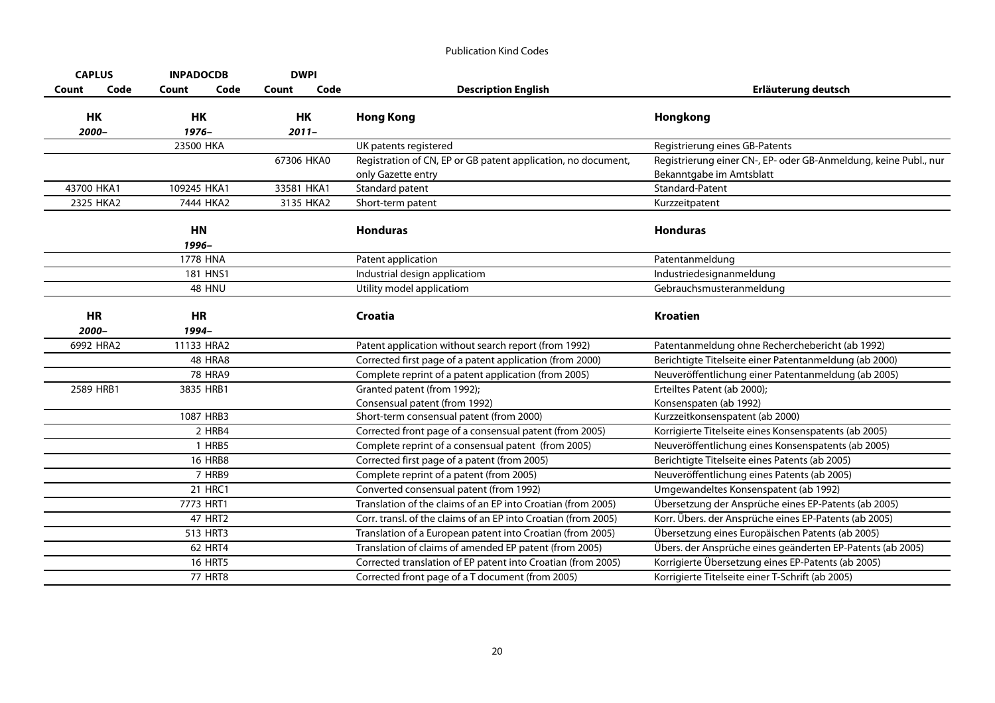| <b>CAPLUS</b>      | <b>INPADOCDB</b>   | <b>DWPI</b>    |                                                                                     |                                                                                              |
|--------------------|--------------------|----------------|-------------------------------------------------------------------------------------|----------------------------------------------------------------------------------------------|
| Code<br>Count      | Count<br>Code      | Code<br>Count  | <b>Description English</b>                                                          | Erläuterung deutsch                                                                          |
| HK<br>2000-        | HK<br>1976-        | HK<br>$2011 -$ | <b>Hong Kong</b>                                                                    | Hongkong                                                                                     |
|                    | 23500 HKA          |                | UK patents registered                                                               | Registrierung eines GB-Patents                                                               |
|                    |                    | 67306 HKA0     | Registration of CN, EP or GB patent application, no document,<br>only Gazette entry | Registrierung einer CN-, EP- oder GB-Anmeldung, keine Publ., nur<br>Bekanntgabe im Amtsblatt |
| 43700 HKA1         | 109245 HKA1        | 33581 HKA1     | Standard patent                                                                     | Standard-Patent                                                                              |
| 2325 HKA2          | 7444 HKA2          | 3135 HKA2      | Short-term patent                                                                   | Kurzzeitpatent                                                                               |
|                    | <b>HN</b><br>1996- |                | <b>Honduras</b>                                                                     | <b>Honduras</b>                                                                              |
|                    | <b>1778 HNA</b>    |                | Patent application                                                                  | Patentanmeldung                                                                              |
|                    | 181 HNS1           |                | Industrial design applicatiom                                                       | Industriedesignanmeldung                                                                     |
|                    | 48 HNU             |                | Utility model applicatiom                                                           | Gebrauchsmusteranmeldung                                                                     |
| <b>HR</b><br>2000- | <b>HR</b><br>1994- |                | <b>Croatia</b>                                                                      | <b>Kroatien</b>                                                                              |
| 6992 HRA2          | 11133 HRA2         |                | Patent application without search report (from 1992)                                | Patentanmeldung ohne Recherchebericht (ab 1992)                                              |
|                    | <b>48 HRA8</b>     |                | Corrected first page of a patent application (from 2000)                            | Berichtigte Titelseite einer Patentanmeldung (ab 2000)                                       |
|                    | <b>78 HRA9</b>     |                | Complete reprint of a patent application (from 2005)                                | Neuveröffentlichung einer Patentanmeldung (ab 2005)                                          |
| 2589 HRB1          | 3835 HRB1          |                | Granted patent (from 1992);<br>Consensual patent (from 1992)                        | Erteiltes Patent (ab 2000);<br>Konsenspaten (ab 1992)                                        |
|                    | 1087 HRB3          |                | Short-term consensual patent (from 2000)                                            | Kurzzeitkonsenspatent (ab 2000)                                                              |
|                    | 2 HRB4             |                | Corrected front page of a consensual patent (from 2005)                             | Korrigierte Titelseite eines Konsenspatents (ab 2005)                                        |
|                    | 1 HRB5             |                | Complete reprint of a consensual patent (from 2005)                                 | Neuveröffentlichung eines Konsenspatents (ab 2005)                                           |
|                    | <b>16 HRB8</b>     |                | Corrected first page of a patent (from 2005)                                        | Berichtigte Titelseite eines Patents (ab 2005)                                               |
|                    | 7 HRB9             |                | Complete reprint of a patent (from 2005)                                            | Neuveröffentlichung eines Patents (ab 2005)                                                  |
|                    | 21 HRC1            |                | Converted consensual patent (from 1992)                                             | Umgewandeltes Konsenspatent (ab 1992)                                                        |
|                    | 7773 HRT1          |                | Translation of the claims of an EP into Croatian (from 2005)                        | Übersetzung der Ansprüche eines EP-Patents (ab 2005)                                         |
|                    | <b>47 HRT2</b>     |                | Corr. transl. of the claims of an EP into Croatian (from 2005)                      | Korr. Übers. der Ansprüche eines EP-Patents (ab 2005)                                        |
|                    | 513 HRT3           |                | Translation of a European patent into Croatian (from 2005)                          | Übersetzung eines Europäischen Patents (ab 2005)                                             |
|                    | 62 HRT4            |                | Translation of claims of amended EP patent (from 2005)                              | Übers. der Ansprüche eines geänderten EP-Patents (ab 2005)                                   |
|                    | <b>16 HRT5</b>     |                | Corrected translation of EP patent into Croatian (from 2005)                        | Korrigierte Übersetzung eines EP-Patents (ab 2005)                                           |
|                    | <b>77 HRT8</b>     |                | Corrected front page of a T document (from 2005)                                    | Korrigierte Titelseite einer T-Schrift (ab 2005)                                             |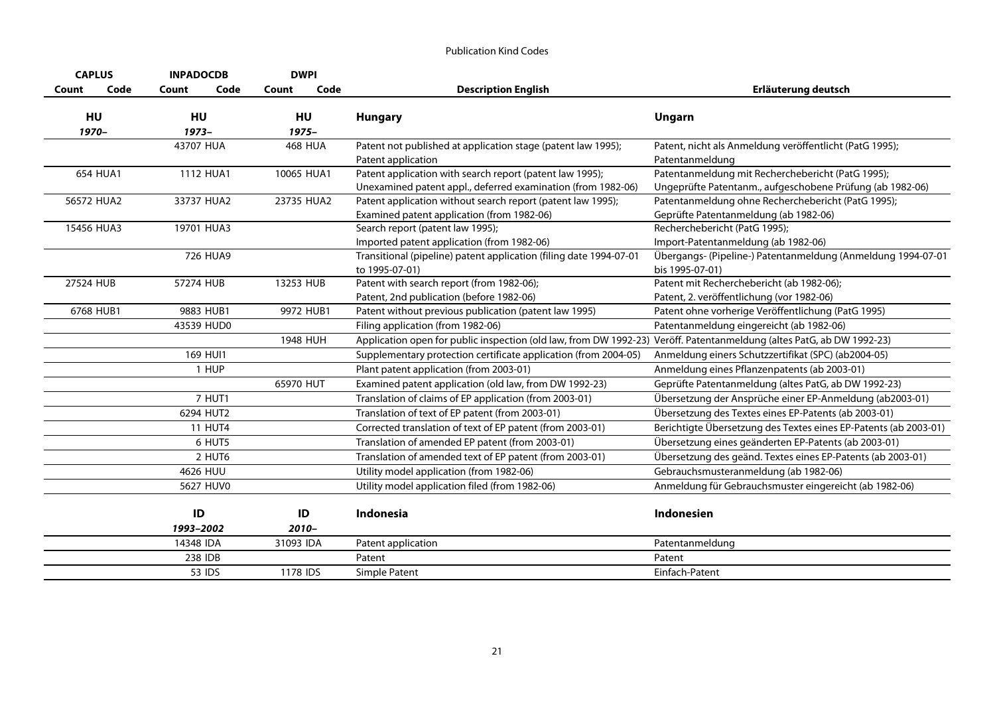| <b>CAPLUS</b> | <b>INPADOCDB</b> | <b>DWPI</b>    |                                                                                                                          |                                                                                                                |
|---------------|------------------|----------------|--------------------------------------------------------------------------------------------------------------------------|----------------------------------------------------------------------------------------------------------------|
| Code<br>Count | Code<br>Count    | Code<br>Count  | <b>Description English</b>                                                                                               | Erläuterung deutsch                                                                                            |
| HU<br>1970-   | HU<br>$1973-$    | HU<br>$1975 -$ | <b>Hungary</b>                                                                                                           | Ungarn                                                                                                         |
|               | 43707 HUA        | <b>468 HUA</b> | Patent not published at application stage (patent law 1995);<br>Patent application                                       | Patent, nicht als Anmeldung veröffentlicht (PatG 1995);<br>Patentanmeldung                                     |
| 654 HUA1      | 1112 HUA1        | 10065 HUA1     | Patent application with search report (patent law 1995);<br>Unexamined patent appl., deferred examination (from 1982-06) | Patentanmeldung mit Recherchebericht (PatG 1995);<br>Ungeprüfte Patentanm., aufgeschobene Prüfung (ab 1982-06) |
| 56572 HUA2    | 33737 HUA2       | 23735 HUA2     | Patent application without search report (patent law 1995);<br>Examined patent application (from 1982-06)                | Patentanmeldung ohne Recherchebericht (PatG 1995);<br>Geprüfte Patentanmeldung (ab 1982-06)                    |
| 15456 HUA3    | 19701 HUA3       |                | Search report (patent law 1995);<br>Imported patent application (from 1982-06)                                           | Recherchebericht (PatG 1995);<br>Import-Patentanmeldung (ab 1982-06)                                           |
|               | 726 HUA9         |                | Transitional (pipeline) patent application (filing date 1994-07-01<br>to 1995-07-01)                                     | Übergangs- (Pipeline-) Patentanmeldung (Anmeldung 1994-07-01<br>bis 1995-07-01)                                |
| 27524 HUB     | 57274 HUB        | 13253 HUB      | Patent with search report (from 1982-06);<br>Patent, 2nd publication (before 1982-06)                                    | Patent mit Recherchebericht (ab 1982-06);<br>Patent, 2. veröffentlichung (vor 1982-06)                         |
| 6768 HUB1     | 9883 HUB1        | 9972 HUB1      | Patent without previous publication (patent law 1995)                                                                    | Patent ohne vorherige Veröffentlichung (PatG 1995)                                                             |
|               | 43539 HUD0       |                | Filing application (from 1982-06)                                                                                        | Patentanmeldung eingereicht (ab 1982-06)                                                                       |
|               |                  | 1948 HUH       | Application open for public inspection (old law, from DW 1992-23) Veröff. Patentanmeldung (altes PatG, ab DW 1992-23)    |                                                                                                                |
|               | 169 HUI1         |                | Supplementary protection certificate application (from 2004-05)                                                          | Anmeldung einers Schutzzertifikat (SPC) (ab2004-05)                                                            |
|               | 1 HUP            |                | Plant patent application (from 2003-01)                                                                                  | Anmeldung eines Pflanzenpatents (ab 2003-01)                                                                   |
|               |                  | 65970 HUT      | Examined patent application (old law, from DW 1992-23)                                                                   | Geprüfte Patentanmeldung (altes PatG, ab DW 1992-23)                                                           |
|               | 7 HUT1           |                | Translation of claims of EP application (from 2003-01)                                                                   | Übersetzung der Ansprüche einer EP-Anmeldung (ab2003-01)                                                       |
|               | 6294 HUT2        |                | Translation of text of EP patent (from 2003-01)                                                                          | Übersetzung des Textes eines EP-Patents (ab 2003-01)                                                           |
|               | <b>11 HUT4</b>   |                | Corrected translation of text of EP patent (from 2003-01)                                                                | Berichtigte Übersetzung des Textes eines EP-Patents (ab 2003-01)                                               |
|               | 6 HUT5           |                | Translation of amended EP patent (from 2003-01)                                                                          | Übersetzung eines geänderten EP-Patents (ab 2003-01)                                                           |
|               | 2 HUT6           |                | Translation of amended text of EP patent (from 2003-01)                                                                  | Übersetzung des geänd. Textes eines EP-Patents (ab 2003-01)                                                    |
|               | 4626 HUU         |                | Utility model application (from 1982-06)                                                                                 | Gebrauchsmusteranmeldung (ab 1982-06)                                                                          |
|               | 5627 HUV0        |                | Utility model application filed (from 1982-06)                                                                           | Anmeldung für Gebrauchsmuster eingereicht (ab 1982-06)                                                         |
|               | ID<br>1993-2002  | ID<br>$2010 -$ | Indonesia                                                                                                                | Indonesien                                                                                                     |
|               | 14348 IDA        | 31093 IDA      | Patent application                                                                                                       | Patentanmeldung                                                                                                |
|               | 238 IDB          |                | Patent                                                                                                                   | Patent                                                                                                         |
|               | 53 IDS           | 1178 IDS       | Simple Patent                                                                                                            | Einfach-Patent                                                                                                 |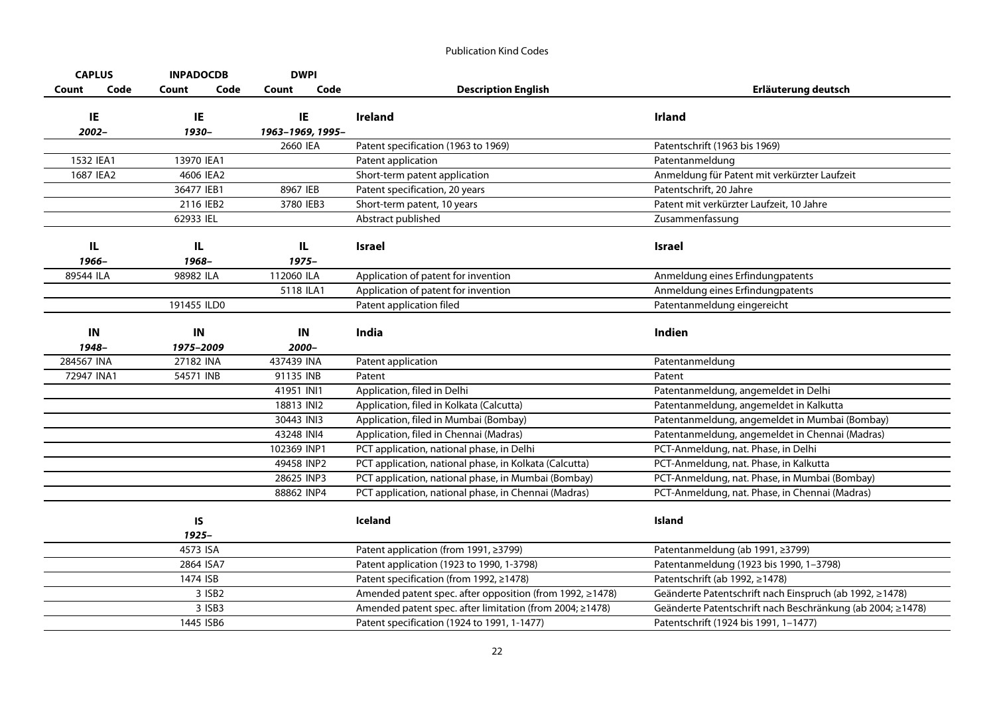| <b>CAPLUS</b> | <b>INPADOCDB</b> | <b>DWPI</b>            |                                                          |                                                            |
|---------------|------------------|------------------------|----------------------------------------------------------|------------------------------------------------------------|
| Code<br>Count | Code<br>Count    | Code<br>Count          | <b>Description English</b>                               | Erläuterung deutsch                                        |
|               |                  |                        |                                                          |                                                            |
| IE<br>2002-   | IE               | IE<br>1963-1969, 1995- | <b>Ireland</b>                                           | <b>Irland</b>                                              |
|               | 1930-            | 2660 IEA               | Patent specification (1963 to 1969)                      | Patentschrift (1963 bis 1969)                              |
| 1532 IEA1     | 13970 IEA1       |                        | Patent application                                       | Patentanmeldung                                            |
| 1687 IEA2     | 4606 IEA2        |                        | Short-term patent application                            | Anmeldung für Patent mit verkürzter Laufzeit               |
|               | 36477 IEB1       | 8967 IEB               | Patent specification, 20 years                           | Patentschrift, 20 Jahre                                    |
|               | 2116 IEB2        | 3780 IEB3              | Short-term patent, 10 years                              | Patent mit verkürzter Laufzeit, 10 Jahre                   |
|               | 62933 IEL        |                        | Abstract published                                       | Zusammenfassung                                            |
|               |                  |                        |                                                          |                                                            |
| IL            | IL               | IL                     | <b>Israel</b>                                            | <b>Israel</b>                                              |
| 1966-         | 1968-            | 1975-                  |                                                          |                                                            |
| 89544 ILA     | 98982 ILA        | 112060 ILA             | Application of patent for invention                      | Anmeldung eines Erfindungpatents                           |
|               |                  | 5118 ILA1              | Application of patent for invention                      | Anmeldung eines Erfindungpatents                           |
|               | 191455 ILD0      |                        | Patent application filed                                 | Patentanmeldung eingereicht                                |
|               |                  |                        |                                                          |                                                            |
| IN            | IN               | IN                     | India                                                    | Indien                                                     |
| 1948-         | 1975-2009        | 2000-                  |                                                          |                                                            |
| 284567 INA    | 27182 INA        | 437439 INA             | Patent application                                       | Patentanmeldung                                            |
| 72947 INA1    | 54571 INB        | 91135 INB              | Patent                                                   | Patent                                                     |
|               |                  | 41951 INI1             | Application, filed in Delhi                              | Patentanmeldung, angemeldet in Delhi                       |
|               |                  | 18813 INI2             | Application, filed in Kolkata (Calcutta)                 | Patentanmeldung, angemeldet in Kalkutta                    |
|               |                  | 30443 INI3             | Application, filed in Mumbai (Bombay)                    | Patentanmeldung, angemeldet in Mumbai (Bombay)             |
|               |                  | 43248 INI4             | Application, filed in Chennai (Madras)                   | Patentanmeldung, angemeldet in Chennai (Madras)            |
|               |                  | 102369 INP1            | PCT application, national phase, in Delhi                | PCT-Anmeldung, nat. Phase, in Delhi                        |
|               |                  | 49458 INP2             | PCT application, national phase, in Kolkata (Calcutta)   | PCT-Anmeldung, nat. Phase, in Kalkutta                     |
|               |                  | 28625 INP3             | PCT application, national phase, in Mumbai (Bombay)      | PCT-Anmeldung, nat. Phase, in Mumbai (Bombay)              |
|               |                  | 88862 INP4             | PCT application, national phase, in Chennai (Madras)     | PCT-Anmeldung, nat. Phase, in Chennai (Madras)             |
|               |                  |                        |                                                          |                                                            |
|               | IS               |                        | Iceland                                                  | Island                                                     |
|               | $1925 -$         |                        |                                                          |                                                            |
|               | 4573 ISA         |                        | Patent application (from 1991, ≥3799)                    | Patentanmeldung (ab 1991, ≥3799)                           |
|               | 2864 ISA7        |                        | Patent application (1923 to 1990, 1-3798)                | Patentanmeldung (1923 bis 1990, 1-3798)                    |
|               | 1474 ISB         |                        | Patent specification (from 1992, ≥1478)                  | Patentschrift (ab 1992, ≥1478)                             |
|               | 3 ISB2           |                        | Amended patent spec. after opposition (from 1992, ≥1478) | Geänderte Patentschrift nach Einspruch (ab 1992, ≥1478)    |
|               | 3 ISB3           |                        | Amended patent spec. after limitation (from 2004; ≥1478) | Geänderte Patentschrift nach Beschränkung (ab 2004; ≥1478) |
|               | 1445 ISB6        |                        | Patent specification (1924 to 1991, 1-1477)              | Patentschrift (1924 bis 1991, 1-1477)                      |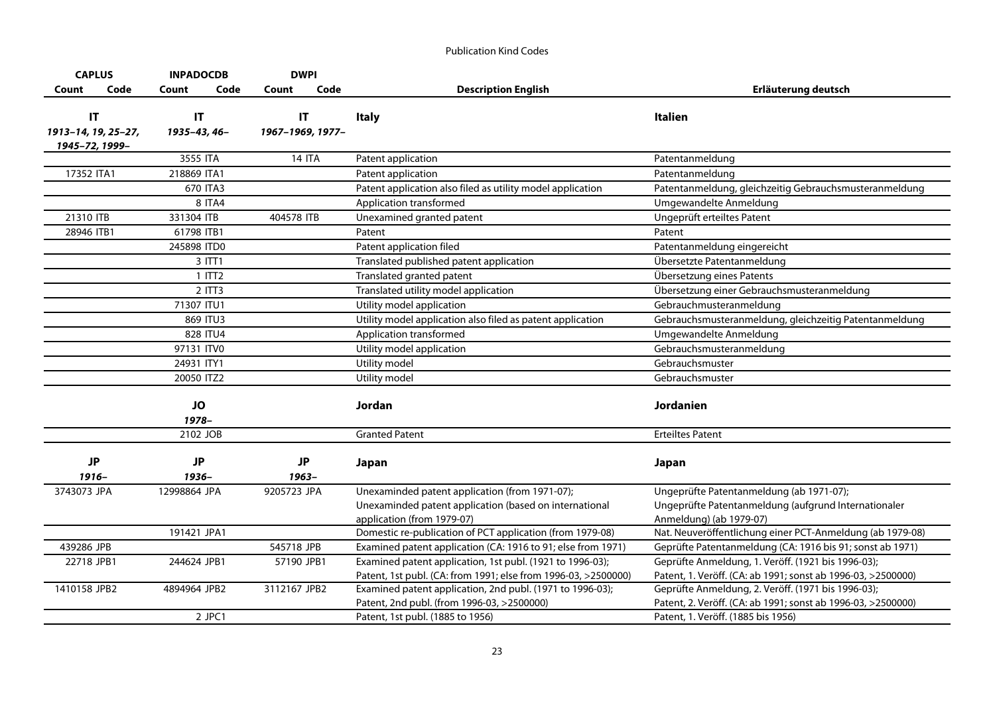| <b>CAPLUS</b>                         |      | <b>INPADOCDB</b>     | <b>DWPI</b>            |                                                                                                                             |                                                                                                                    |
|---------------------------------------|------|----------------------|------------------------|-----------------------------------------------------------------------------------------------------------------------------|--------------------------------------------------------------------------------------------------------------------|
| Count                                 | Code | Count<br>Code        | Code<br>Count          | <b>Description English</b>                                                                                                  | Erläuterung deutsch                                                                                                |
| IT                                    |      | <b>IT</b>            | $\mathsf{I}\mathsf{T}$ | <b>Italy</b>                                                                                                                | <b>Italien</b>                                                                                                     |
| 1913-14, 19, 25-27,<br>1945-72, 1999- |      | 1935-43, 46-         | 1967-1969, 1977-       |                                                                                                                             |                                                                                                                    |
|                                       |      | 3555 ITA             | <b>14 ITA</b>          | Patent application                                                                                                          | Patentanmeldung                                                                                                    |
| 17352 ITA1                            |      | 218869 ITA1          |                        | Patent application                                                                                                          | Patentanmeldung                                                                                                    |
|                                       |      | 670 ITA3             |                        | Patent application also filed as utility model application                                                                  | Patentanmeldung, gleichzeitig Gebrauchsmusteranmeldung                                                             |
|                                       |      | 8 ITA4               |                        | Application transformed                                                                                                     | Umgewandelte Anmeldung                                                                                             |
| 21310 ITB                             |      | 331304 ITB           | 404578 ITB             | Unexamined granted patent                                                                                                   | Ungeprüft erteiltes Patent                                                                                         |
| 28946 ITB1                            |      | 61798 ITB1           |                        | Patent                                                                                                                      | Patent                                                                                                             |
|                                       |      | 245898 ITD0          |                        | Patent application filed                                                                                                    | Patentanmeldung eingereicht                                                                                        |
|                                       |      | $3$ ITT1             |                        | Translated published patent application                                                                                     | Übersetzte Patentanmeldung                                                                                         |
|                                       |      | $1$ ITT <sub>2</sub> |                        | Translated granted patent                                                                                                   | Übersetzung eines Patents                                                                                          |
|                                       |      | $2$ ITT $3$          |                        | Translated utility model application                                                                                        | Übersetzung einer Gebrauchsmusteranmeldung                                                                         |
|                                       |      | 71307 ITU1           |                        | Utility model application                                                                                                   | Gebrauchmusteranmeldung                                                                                            |
|                                       |      | 869 ITU3             |                        | Utility model application also filed as patent application                                                                  | Gebrauchsmusteranmeldung, gleichzeitig Patentanmeldung                                                             |
|                                       |      | 828 ITU4             |                        | Application transformed                                                                                                     | Umgewandelte Anmeldung                                                                                             |
|                                       |      | 97131 ITV0           |                        | Utility model application                                                                                                   | Gebrauchsmusteranmeldung                                                                                           |
|                                       |      | 24931 ITY1           |                        | Utility model                                                                                                               | Gebrauchsmuster                                                                                                    |
|                                       |      | 20050 ITZ2           |                        | Utility model                                                                                                               | Gebrauchsmuster                                                                                                    |
|                                       |      | <b>JO</b>            |                        | Jordan                                                                                                                      | Jordanien                                                                                                          |
|                                       |      | 1978-                |                        |                                                                                                                             |                                                                                                                    |
|                                       |      | 2102 JOB             |                        | <b>Granted Patent</b>                                                                                                       | <b>Erteiltes Patent</b>                                                                                            |
|                                       |      |                      |                        |                                                                                                                             |                                                                                                                    |
| <b>JP</b>                             |      | <b>JP</b>            | <b>JP</b>              | Japan                                                                                                                       | Japan                                                                                                              |
| $1916 -$                              |      | 1936-                | $1963 -$               |                                                                                                                             |                                                                                                                    |
| 3743073 JPA                           |      | 12998864 JPA         | 9205723 JPA            | Unexaminded patent application (from 1971-07);                                                                              | Ungeprüfte Patentanmeldung (ab 1971-07);                                                                           |
|                                       |      |                      |                        | Unexaminded patent application (based on international                                                                      | Ungeprüfte Patentanmeldung (aufgrund Internationaler                                                               |
|                                       |      | 191421 JPA1          |                        | application (from 1979-07)<br>Domestic re-publication of PCT application (from 1979-08)                                     | Anmeldung) (ab 1979-07)<br>Nat. Neuveröffentlichung einer PCT-Anmeldung (ab 1979-08)                               |
|                                       |      |                      |                        |                                                                                                                             |                                                                                                                    |
| 439286 JPB                            |      |                      | 545718 JPB             | Examined patent application (CA: 1916 to 91; else from 1971)                                                                | Geprüfte Patentanmeldung (CA: 1916 bis 91; sonst ab 1971)                                                          |
| 22718 JPB1                            |      | 244624 JPB1          | 57190 JPB1             | Examined patent application, 1st publ. (1921 to 1996-03);<br>Patent, 1st publ. (CA: from 1991; else from 1996-03, >2500000) | Geprüfte Anmeldung, 1. Veröff. (1921 bis 1996-03);<br>Patent, 1. Veröff. (CA: ab 1991; sonst ab 1996-03, >2500000) |
| 1410158 JPB2                          |      | 4894964 JPB2         | 3112167 JPB2           | Examined patent application, 2nd publ. (1971 to 1996-03);                                                                   | Geprüfte Anmeldung, 2. Veröff. (1971 bis 1996-03);                                                                 |
|                                       |      |                      |                        | Patent, 2nd publ. (from 1996-03, >2500000)                                                                                  | Patent, 2. Veröff. (CA: ab 1991; sonst ab 1996-03, >2500000)                                                       |
|                                       |      | $2$ JPC1             |                        | Patent, 1st publ. (1885 to 1956)                                                                                            | Patent, 1. Veröff. (1885 bis 1956)                                                                                 |
|                                       |      |                      |                        |                                                                                                                             |                                                                                                                    |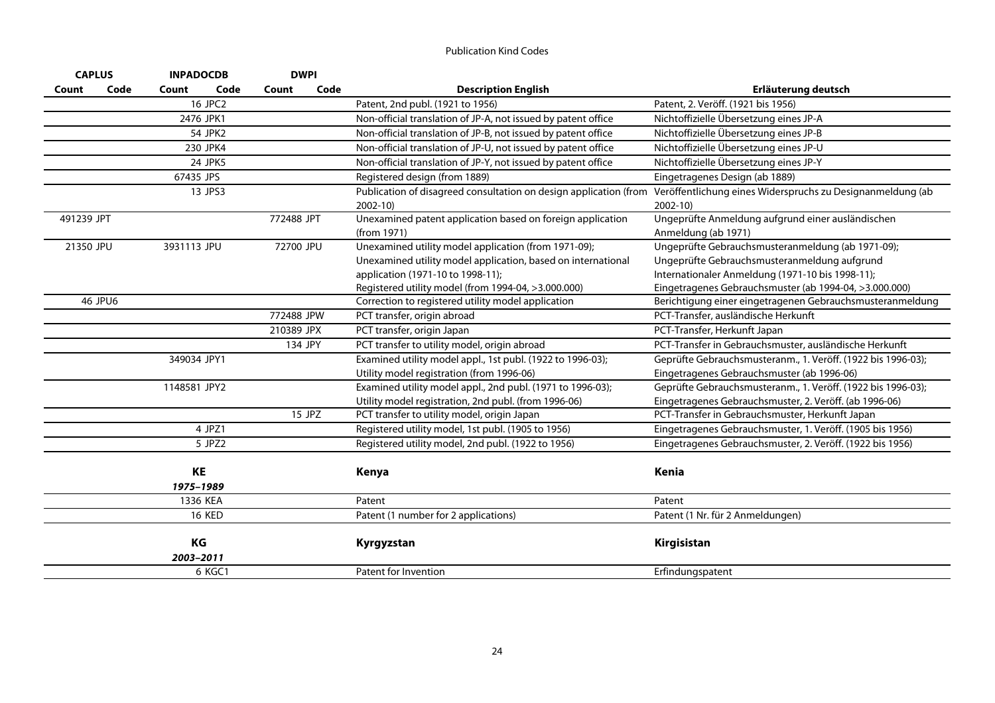|            | <b>CAPLUS</b> | <b>INPADOCDB</b> |               | <b>DWPI</b> |        |                                                                           |                                                                          |
|------------|---------------|------------------|---------------|-------------|--------|---------------------------------------------------------------------------|--------------------------------------------------------------------------|
| Count      | Code          | Count            | Code          | Count       | Code   | <b>Description English</b>                                                | Erläuterung deutsch                                                      |
|            |               |                  | 16 JPC2       |             |        | Patent, 2nd publ. (1921 to 1956)                                          | Patent, 2. Veröff. (1921 bis 1956)                                       |
|            |               | 2476 JPK1        |               |             |        | Non-official translation of JP-A, not issued by patent office             | Nichtoffizielle Übersetzung eines JP-A                                   |
|            |               |                  | 54 JPK2       |             |        | Non-official translation of JP-B, not issued by patent office             | Nichtoffizielle Übersetzung eines JP-B                                   |
|            |               |                  | 230 JPK4      |             |        | Non-official translation of JP-U, not issued by patent office             | Nichtoffizielle Übersetzung eines JP-U                                   |
|            |               |                  | 24 JPK5       |             |        | Non-official translation of JP-Y, not issued by patent office             | Nichtoffizielle Übersetzung eines JP-Y                                   |
|            |               | 67435 JPS        |               |             |        | Registered design (from 1889)                                             | Eingetragenes Design (ab 1889)                                           |
|            |               |                  | 13 JPS3       |             |        | Publication of disagreed consultation on design application (from         | Veröffentlichung eines Widerspruchs zu Designanmeldung (ab               |
|            |               |                  |               |             |        | $2002-10$                                                                 | $2002 - 10$                                                              |
| 491239 JPT |               |                  |               | 772488 JPT  |        | Unexamined patent application based on foreign application<br>(from 1971) | Ungeprüfte Anmeldung aufgrund einer ausländischen<br>Anmeldung (ab 1971) |
| 21350 JPU  |               | 3931113 JPU      |               | 72700 JPU   |        | Unexamined utility model application (from 1971-09);                      | Ungeprüfte Gebrauchsmusteranmeldung (ab 1971-09);                        |
|            |               |                  |               |             |        | Unexamined utility model application, based on international              | Ungeprüfte Gebrauchsmusteranmeldung aufgrund                             |
|            |               |                  |               |             |        | application (1971-10 to 1998-11);                                         | Internationaler Anmeldung (1971-10 bis 1998-11);                         |
|            |               |                  |               |             |        | Registered utility model (from 1994-04, >3.000.000)                       | Eingetragenes Gebrauchsmuster (ab 1994-04, >3.000.000)                   |
|            | 46 JPU6       |                  |               |             |        | Correction to registered utility model application                        | Berichtigung einer eingetragenen Gebrauchsmusteranmeldung                |
|            |               |                  |               | 772488 JPW  |        | PCT transfer, origin abroad                                               | PCT-Transfer, ausländische Herkunft                                      |
|            |               |                  |               | 210389 JPX  |        | PCT transfer, origin Japan                                                | PCT-Transfer, Herkunft Japan                                             |
|            |               |                  |               | 134 JPY     |        | PCT transfer to utility model, origin abroad                              | PCT-Transfer in Gebrauchsmuster, ausländische Herkunft                   |
|            |               | 349034 JPY1      |               |             |        | Examined utility model appl., 1st publ. (1922 to 1996-03);                | Geprüfte Gebrauchsmusteranm., 1. Veröff. (1922 bis 1996-03);             |
|            |               |                  |               |             |        | Utility model registration (from 1996-06)                                 | Eingetragenes Gebrauchsmuster (ab 1996-06)                               |
|            |               | 1148581 JPY2     |               |             |        | Examined utility model appl., 2nd publ. (1971 to 1996-03);                | Geprüfte Gebrauchsmusteranm., 1. Veröff. (1922 bis 1996-03);             |
|            |               |                  |               |             |        | Utility model registration, 2nd publ. (from 1996-06)                      | Eingetragenes Gebrauchsmuster, 2. Veröff. (ab 1996-06)                   |
|            |               |                  |               |             | 15 JPZ | PCT transfer to utility model, origin Japan                               | PCT-Transfer in Gebrauchsmuster, Herkunft Japan                          |
|            |               |                  | 4 JPZ1        |             |        | Registered utility model, 1st publ. (1905 to 1956)                        | Eingetragenes Gebrauchsmuster, 1. Veröff. (1905 bis 1956)                |
|            |               |                  | 5 JPZ2        |             |        | Registered utility model, 2nd publ. (1922 to 1956)                        | Eingetragenes Gebrauchsmuster, 2. Veröff. (1922 bis 1956)                |
|            |               | KE<br>1975-1989  |               |             |        | Kenya                                                                     | Kenia                                                                    |
|            |               | 1336 KEA         |               |             |        | Patent                                                                    | Patent                                                                   |
|            |               |                  | <b>16 KED</b> |             |        | Patent (1 number for 2 applications)                                      | Patent (1 Nr. für 2 Anmeldungen)                                         |
|            |               | KG<br>2003-2011  |               |             |        | Kyrgyzstan                                                                | Kirgisistan                                                              |
|            |               |                  | 6 KGC1        |             |        | Patent for Invention                                                      | Erfindungspatent                                                         |
|            |               |                  |               |             |        |                                                                           |                                                                          |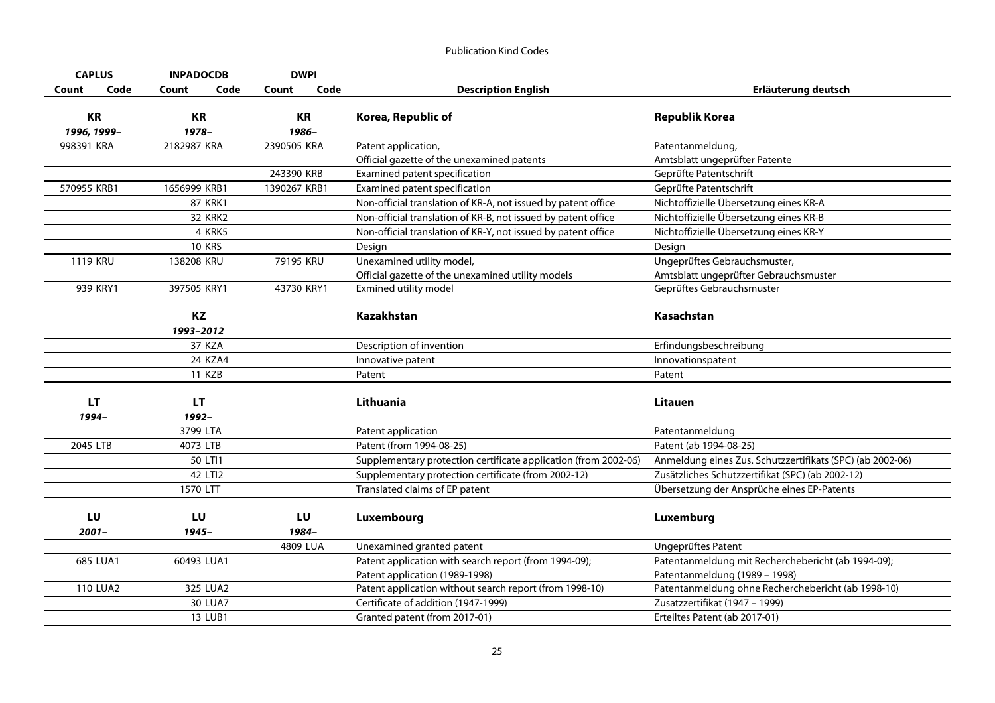| <b>CAPLUS</b>   | <b>INPADOCDB</b>   | <b>DWPI</b>   |                                                                 |                                                           |
|-----------------|--------------------|---------------|-----------------------------------------------------------------|-----------------------------------------------------------|
| Code<br>Count   | Code<br>Count      | Code<br>Count | <b>Description English</b>                                      | Erläuterung deutsch                                       |
| <b>KR</b>       | <b>KR</b>          | <b>KR</b>     | Korea, Republic of                                              | <b>Republik Korea</b>                                     |
| 1996, 1999-     | 1978-              | 1986-         |                                                                 |                                                           |
| 998391 KRA      | 2182987 KRA        | 2390505 KRA   | Patent application,                                             | Patentanmeldung,                                          |
|                 |                    |               | Official gazette of the unexamined patents                      | Amtsblatt ungeprüfter Patente                             |
|                 |                    | 243390 KRB    | Examined patent specification                                   | Geprüfte Patentschrift                                    |
| 570955 KRB1     | 1656999 KRB1       | 1390267 KRB1  | Examined patent specification                                   | Geprüfte Patentschrift                                    |
|                 | <b>87 KRK1</b>     |               | Non-official translation of KR-A, not issued by patent office   | Nichtoffizielle Übersetzung eines KR-A                    |
|                 | <b>32 KRK2</b>     |               | Non-official translation of KR-B, not issued by patent office   | Nichtoffizielle Übersetzung eines KR-B                    |
|                 | 4 KRK5             |               | Non-official translation of KR-Y, not issued by patent office   | Nichtoffizielle Übersetzung eines KR-Y                    |
|                 | <b>10 KRS</b>      |               | Design                                                          | Design                                                    |
| <b>1119 KRU</b> | 138208 KRU         | 79195 KRU     | Unexamined utility model,                                       | Ungeprüftes Gebrauchsmuster,                              |
|                 |                    |               | Official gazette of the unexamined utility models               | Amtsblatt ungeprüfter Gebrauchsmuster                     |
| 939 KRY1        | 397505 KRY1        | 43730 KRY1    | Exmined utility model                                           | Geprüftes Gebrauchsmuster                                 |
|                 | KZ<br>1993-2012    |               | Kazakhstan                                                      | Kasachstan                                                |
|                 | 37 KZA             |               | Description of invention                                        | Erfindungsbeschreibung                                    |
|                 | 24 KZA4            |               | Innovative patent                                               | Innovationspatent                                         |
|                 | <b>11 KZB</b>      |               | Patent                                                          | Patent                                                    |
| LT<br>1994-     | <b>LT</b><br>1992- |               | Lithuania                                                       | Litauen                                                   |
|                 | 3799 LTA           |               | Patent application                                              | Patentanmeldung                                           |
| 2045 LTB        | 4073 LTB           |               | Patent (from 1994-08-25)                                        | Patent (ab 1994-08-25)                                    |
|                 | 50 LTI1            |               | Supplementary protection certificate application (from 2002-06) | Anmeldung eines Zus. Schutzzertifikats (SPC) (ab 2002-06) |
|                 | 42 LTI2            |               | Supplementary protection certificate (from 2002-12)             | Zusätzliches Schutzzertifikat (SPC) (ab 2002-12)          |
|                 | 1570 LTT           |               | Translated claims of EP patent                                  | Übersetzung der Ansprüche eines EP-Patents                |
| LU<br>$2001 -$  | LU<br>1945-        | LU<br>1984-   | Luxembourg                                                      | Luxemburg                                                 |
|                 |                    | 4809 LUA      | Unexamined granted patent                                       | Ungeprüftes Patent                                        |
| 685 LUA1        | 60493 LUA1         |               | Patent application with search report (from 1994-09);           | Patentanmeldung mit Recherchebericht (ab 1994-09);        |
|                 |                    |               | Patent application (1989-1998)                                  | Patentanmeldung (1989 - 1998)                             |
| <b>110 LUA2</b> | 325 LUA2           |               | Patent application without search report (from 1998-10)         | Patentanmeldung ohne Recherchebericht (ab 1998-10)        |
|                 | 30 LUA7            |               | Certificate of addition (1947-1999)                             | Zusatzzertifikat (1947 - 1999)                            |
|                 | 13 LUB1            |               | Granted patent (from 2017-01)                                   | Erteiltes Patent (ab 2017-01)                             |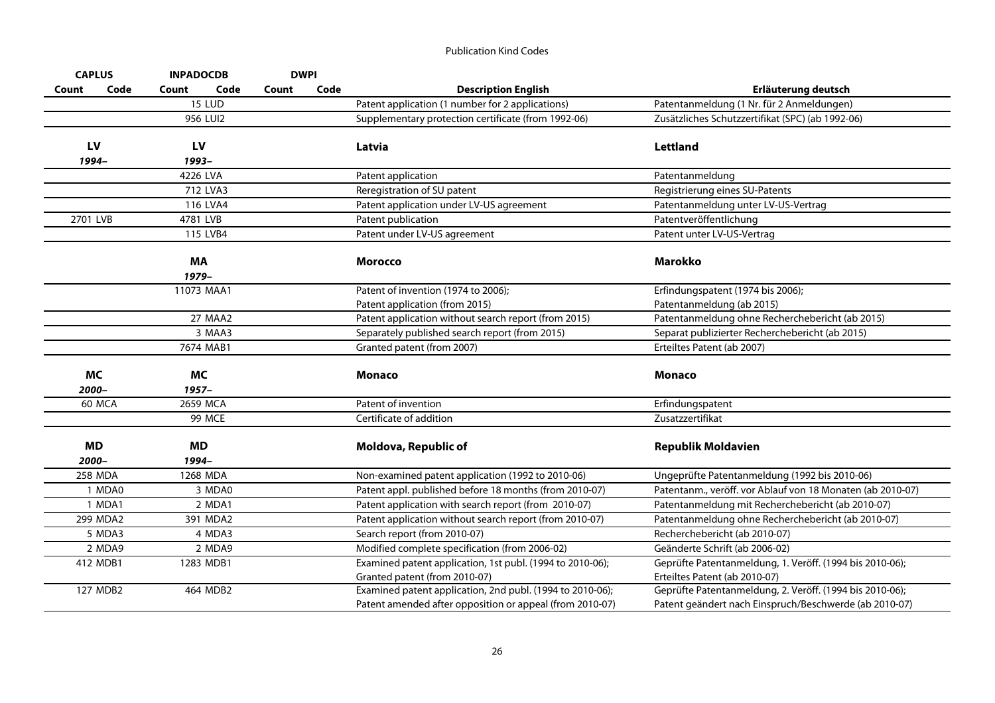| <b>CAPLUS</b>      | <b>INPADOCDB</b>      | <b>DWPI</b> |                                                                                                                       |                                                                                                                    |
|--------------------|-----------------------|-------------|-----------------------------------------------------------------------------------------------------------------------|--------------------------------------------------------------------------------------------------------------------|
| Count              | Code<br>Count<br>Code | Count       | Code<br><b>Description English</b>                                                                                    | Erläuterung deutsch                                                                                                |
|                    | <b>15 LUD</b>         |             | Patent application (1 number for 2 applications)                                                                      | Patentanmeldung (1 Nr. für 2 Anmeldungen)                                                                          |
|                    | 956 LUI2              |             | Supplementary protection certificate (from 1992-06)                                                                   | Zusätzliches Schutzzertifikat (SPC) (ab 1992-06)                                                                   |
| LV<br>1994-        | LV<br>1993-           |             | Latvia                                                                                                                | Lettland                                                                                                           |
|                    | 4226 LVA              |             | Patent application                                                                                                    | Patentanmeldung                                                                                                    |
|                    | 712 LVA3              |             | Reregistration of SU patent                                                                                           | Registrierung eines SU-Patents                                                                                     |
|                    | 116 LVA4              |             | Patent application under LV-US agreement                                                                              | Patentanmeldung unter LV-US-Vertrag                                                                                |
| 2701 LVB           | 4781 LVB              |             | Patent publication                                                                                                    | Patentveröffentlichung                                                                                             |
|                    | 115 LVB4              |             | Patent under LV-US agreement                                                                                          | Patent unter LV-US-Vertrag                                                                                         |
|                    |                       |             |                                                                                                                       |                                                                                                                    |
|                    | MA<br>1979-           |             | <b>Morocco</b>                                                                                                        | <b>Marokko</b>                                                                                                     |
|                    | 11073 MAA1            |             | Patent of invention (1974 to 2006);                                                                                   | Erfindungspatent (1974 bis 2006);                                                                                  |
|                    |                       |             | Patent application (from 2015)                                                                                        | Patentanmeldung (ab 2015)                                                                                          |
|                    | 27 MAA2               |             | Patent application without search report (from 2015)                                                                  | Patentanmeldung ohne Recherchebericht (ab 2015)                                                                    |
|                    | 3 MAA3                |             | Separately published search report (from 2015)                                                                        | Separat publizierter Recherchebericht (ab 2015)                                                                    |
|                    | 7674 MAB1             |             | Granted patent (from 2007)                                                                                            | Erteiltes Patent (ab 2007)                                                                                         |
| MC<br>2000-        | МC<br>$1957 -$        |             | <b>Monaco</b>                                                                                                         | <b>Monaco</b>                                                                                                      |
| 60 MCA             | 2659 MCA              |             | Patent of invention                                                                                                   | Erfindungspatent                                                                                                   |
|                    | 99 MCE                |             | Certificate of addition                                                                                               | Zusatzzertifikat                                                                                                   |
| <b>MD</b><br>2000- | <b>MD</b><br>1994-    |             | Moldova, Republic of                                                                                                  | <b>Republik Moldavien</b>                                                                                          |
| 258 MDA            | 1268 MDA              |             | Non-examined patent application (1992 to 2010-06)                                                                     | Ungeprüfte Patentanmeldung (1992 bis 2010-06)                                                                      |
| 1 MDA0             | 3 MDA0                |             | Patent appl. published before 18 months (from 2010-07)                                                                | Patentanm., veröff. vor Ablauf von 18 Monaten (ab 2010-07)                                                         |
| 1 MDA1             | 2 MDA1                |             | Patent application with search report (from 2010-07)                                                                  | Patentanmeldung mit Recherchebericht (ab 2010-07)                                                                  |
| 299 MDA2           | 391 MDA2              |             | Patent application without search report (from 2010-07)                                                               | Patentanmeldung ohne Recherchebericht (ab 2010-07)                                                                 |
| 5 MDA3             | 4 MDA3                |             | Search report (from 2010-07)                                                                                          | Recherchebericht (ab 2010-07)                                                                                      |
| 2 MDA9             | 2 MDA9                |             | Modified complete specification (from 2006-02)                                                                        | Geänderte Schrift (ab 2006-02)                                                                                     |
| 412 MDB1           | 1283 MDB1             |             | Examined patent application, 1st publ. (1994 to 2010-06);                                                             | Geprüfte Patentanmeldung, 1. Veröff. (1994 bis 2010-06);                                                           |
|                    |                       |             | Granted patent (from 2010-07)                                                                                         | Erteiltes Patent (ab 2010-07)                                                                                      |
| 127 MDB2           | 464 MDB2              |             | Examined patent application, 2nd publ. (1994 to 2010-06);<br>Patent amended after opposition or appeal (from 2010-07) | Geprüfte Patentanmeldung, 2. Veröff. (1994 bis 2010-06);<br>Patent geändert nach Einspruch/Beschwerde (ab 2010-07) |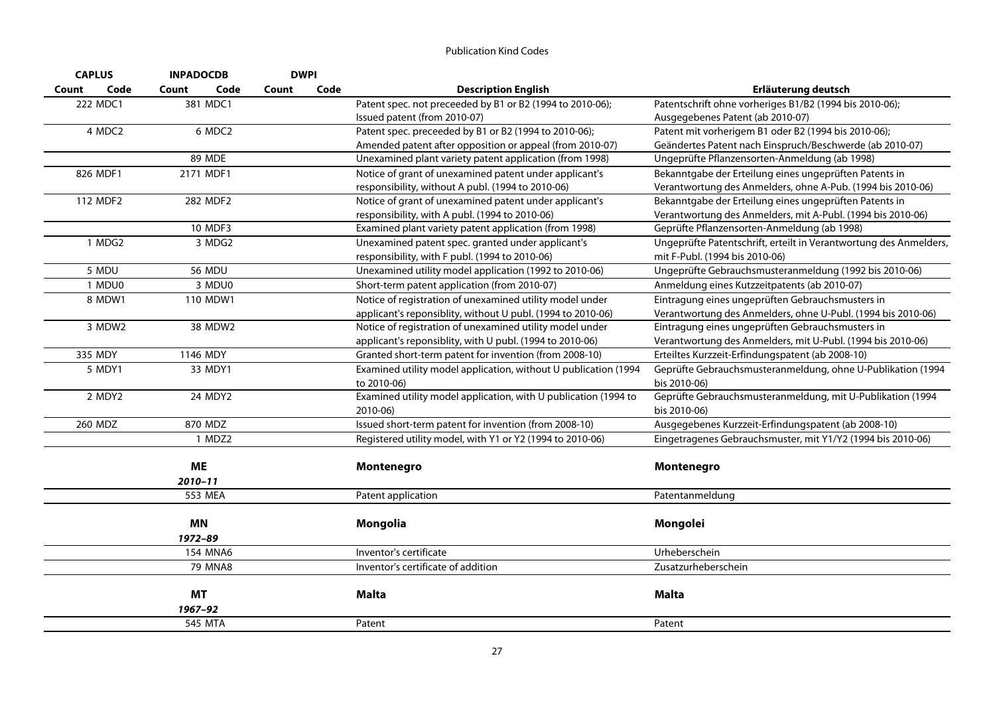| <b>CAPLUS</b> | <b>INPADOCDB</b> | <b>DWPI</b> |      |                                                                 |                                                                   |
|---------------|------------------|-------------|------|-----------------------------------------------------------------|-------------------------------------------------------------------|
| Code<br>Count | Code<br>Count    | Count       | Code | <b>Description English</b>                                      | Erläuterung deutsch                                               |
| 222 MDC1      | 381 MDC1         |             |      | Patent spec. not preceeded by B1 or B2 (1994 to 2010-06);       | Patentschrift ohne vorheriges B1/B2 (1994 bis 2010-06);           |
|               |                  |             |      | Issued patent (from 2010-07)                                    | Ausgegebenes Patent (ab 2010-07)                                  |
| 4 MDC2        | 6 MDC2           |             |      | Patent spec. preceeded by B1 or B2 (1994 to 2010-06);           | Patent mit vorherigem B1 oder B2 (1994 bis 2010-06);              |
|               |                  |             |      | Amended patent after opposition or appeal (from 2010-07)        | Geändertes Patent nach Einspruch/Beschwerde (ab 2010-07)          |
|               | <b>89 MDE</b>    |             |      | Unexamined plant variety patent application (from 1998)         | Ungeprüfte Pflanzensorten-Anmeldung (ab 1998)                     |
| 826 MDF1      | 2171 MDF1        |             |      | Notice of grant of unexamined patent under applicant's          | Bekanntgabe der Erteilung eines ungeprüften Patents in            |
|               |                  |             |      | responsibility, without A publ. (1994 to 2010-06)               | Verantwortung des Anmelders, ohne A-Pub. (1994 bis 2010-06)       |
| 112 MDF2      | 282 MDF2         |             |      | Notice of grant of unexamined patent under applicant's          | Bekanntgabe der Erteilung eines ungeprüften Patents in            |
|               |                  |             |      | responsibility, with A publ. (1994 to 2010-06)                  | Verantwortung des Anmelders, mit A-Publ. (1994 bis 2010-06)       |
|               | 10 MDF3          |             |      | Examined plant variety patent application (from 1998)           | Geprüfte Pflanzensorten-Anmeldung (ab 1998)                       |
| 1 MDG2        | 3 MDG2           |             |      | Unexamined patent spec. granted under applicant's               | Ungeprüfte Patentschrift, erteilt in Verantwortung des Anmelders, |
|               |                  |             |      | responsibility, with F publ. (1994 to 2010-06)                  | mit F-Publ. (1994 bis 2010-06)                                    |
| 5 MDU         | <b>56 MDU</b>    |             |      | Unexamined utility model application (1992 to 2010-06)          | Ungeprüfte Gebrauchsmusteranmeldung (1992 bis 2010-06)            |
| 1 MDU0        | 3 MDU0           |             |      | Short-term patent application (from 2010-07)                    | Anmeldung eines Kutzzeitpatents (ab 2010-07)                      |
| 8 MDW1        | 110 MDW1         |             |      | Notice of registration of unexamined utility model under        | Eintragung eines ungeprüften Gebrauchsmusters in                  |
|               |                  |             |      | applicant's reponsiblity, without U publ. (1994 to 2010-06)     | Verantwortung des Anmelders, ohne U-Publ. (1994 bis 2010-06)      |
| 3 MDW2        | 38 MDW2          |             |      | Notice of registration of unexamined utility model under        | Eintragung eines ungeprüften Gebrauchsmusters in                  |
|               |                  |             |      | applicant's reponsiblity, with U publ. (1994 to 2010-06)        | Verantwortung des Anmelders, mit U-Publ. (1994 bis 2010-06)       |
| 335 MDY       | 1146 MDY         |             |      | Granted short-term patent for invention (from 2008-10)          | Erteiltes Kurzzeit-Erfindungspatent (ab 2008-10)                  |
| 5 MDY1        | 33 MDY1          |             |      | Examined utility model application, without U publication (1994 | Geprüfte Gebrauchsmusteranmeldung, ohne U-Publikation (1994       |
|               |                  |             |      | to 2010-06)                                                     | bis 2010-06)                                                      |
| 2 MDY2        | 24 MDY2          |             |      | Examined utility model application, with U publication (1994 to | Geprüfte Gebrauchsmusteranmeldung, mit U-Publikation (1994        |
|               |                  |             |      | 2010-06)                                                        | bis 2010-06)                                                      |
| 260 MDZ       | 870 MDZ          |             |      | Issued short-term patent for invention (from 2008-10)           | Ausgegebenes Kurzzeit-Erfindungspatent (ab 2008-10)               |
|               | 1 MDZ2           |             |      | Registered utility model, with Y1 or Y2 (1994 to 2010-06)       | Eingetragenes Gebrauchsmuster, mit Y1/Y2 (1994 bis 2010-06)       |
|               |                  |             |      |                                                                 |                                                                   |
|               | <b>ME</b>        |             |      | Montenegro                                                      | Montenegro                                                        |
|               | $2010 - 11$      |             |      |                                                                 |                                                                   |
|               | 553 MEA          |             |      | Patent application                                              | Patentanmeldung                                                   |
|               |                  |             |      |                                                                 |                                                                   |
|               | <b>MN</b>        |             |      | Mongolia                                                        | Mongolei                                                          |
|               | 1972-89          |             |      |                                                                 |                                                                   |
|               | <b>154 MNA6</b>  |             |      | Inventor's certificate                                          | Urheberschein                                                     |
|               | 79 MNA8          |             |      | Inventor's certificate of addition                              | Zusatzurheberschein                                               |
|               |                  |             |      |                                                                 |                                                                   |
|               | <b>MT</b>        |             |      | <b>Malta</b>                                                    | <b>Malta</b>                                                      |
|               | 1967-92          |             |      |                                                                 |                                                                   |
|               | 545 MTA          |             |      | Patent                                                          | Patent                                                            |
|               |                  |             |      |                                                                 |                                                                   |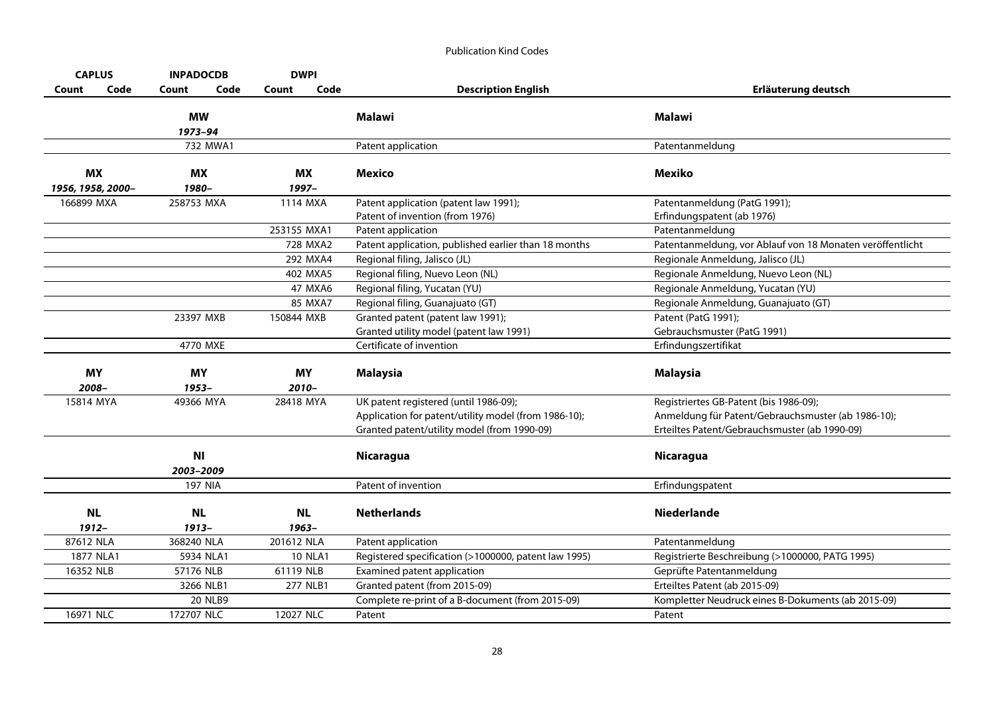| <b>CAPLUS</b>                  | <b>INPADOCDB</b>       | <b>DWPI</b>           |                                                                                                                                              |                                                                                                                                               |
|--------------------------------|------------------------|-----------------------|----------------------------------------------------------------------------------------------------------------------------------------------|-----------------------------------------------------------------------------------------------------------------------------------------------|
| Code<br>Count                  | Count<br>Code          | Code<br>Count         | <b>Description English</b>                                                                                                                   | Erläuterung deutsch                                                                                                                           |
|                                | <b>MW</b><br>1973-94   |                       | Malawi                                                                                                                                       | <b>Malawi</b>                                                                                                                                 |
|                                | 732 MWA1               |                       | Patent application                                                                                                                           | Patentanmeldung                                                                                                                               |
| <b>MX</b><br>1956, 1958, 2000- | МX<br>1980-            | МX<br>1997-           | Mexico                                                                                                                                       | Mexiko                                                                                                                                        |
| 166899 MXA                     | 258753 MXA             | 1114 MXA              | Patent application (patent law 1991);<br>Patent of invention (from 1976)                                                                     | Patentanmeldung (PatG 1991);<br>Erfindungspatent (ab 1976)                                                                                    |
|                                |                        | 253155 MXA1           | Patent application                                                                                                                           | Patentanmeldung                                                                                                                               |
|                                |                        | 728 MXA2              | Patent application, published earlier than 18 months                                                                                         | Patentanmeldung, vor Ablauf von 18 Monaten veröffentlicht                                                                                     |
|                                |                        | 292 MXA4              | Regional filing, Jalisco (JL)                                                                                                                | Regionale Anmeldung, Jalisco (JL)                                                                                                             |
|                                |                        | 402 MXA5              | Regional filing, Nuevo Leon (NL)                                                                                                             | Regionale Anmeldung, Nuevo Leon (NL)                                                                                                          |
|                                |                        | 47 MXA6               | Regional filing, Yucatan (YU)                                                                                                                | Regionale Anmeldung, Yucatan (YU)                                                                                                             |
|                                |                        | 85 MXA7               | Regional filing, Guanajuato (GT)                                                                                                             | Regionale Anmeldung, Guanajuato (GT)                                                                                                          |
|                                | 23397 MXB              | 150844 MXB            | Granted patent (patent law 1991);<br>Granted utility model (patent law 1991)                                                                 | Patent (PatG 1991);<br>Gebrauchsmuster (PatG 1991)                                                                                            |
|                                | 4770 MXE               |                       | Certificate of invention                                                                                                                     | Erfindungszertifikat                                                                                                                          |
| <b>MY</b><br>2008-             | <b>MY</b><br>1953-     | <b>MY</b><br>$2010 -$ | <b>Malaysia</b>                                                                                                                              | <b>Malaysia</b>                                                                                                                               |
| 15814 MYA                      | 49366 MYA              | 28418 MYA             | UK patent registered (until 1986-09);<br>Application for patent/utility model (from 1986-10);<br>Granted patent/utility model (from 1990-09) | Registriertes GB-Patent (bis 1986-09);<br>Anmeldung für Patent/Gebrauchsmuster (ab 1986-10);<br>Erteiltes Patent/Gebrauchsmuster (ab 1990-09) |
|                                | <b>NI</b><br>2003-2009 |                       | <b>Nicaragua</b>                                                                                                                             | <b>Nicaragua</b>                                                                                                                              |
|                                | <b>197 NIA</b>         |                       | Patent of invention                                                                                                                          | Erfindungspatent                                                                                                                              |
| <b>NL</b><br>1912-             | <b>NL</b><br>$1913 -$  | <b>NL</b><br>$1963 -$ | <b>Netherlands</b>                                                                                                                           | <b>Niederlande</b>                                                                                                                            |
| 87612 NLA                      | 368240 NLA             | 201612 NLA            | Patent application                                                                                                                           | Patentanmeldung                                                                                                                               |
| 1877 NLA1                      | 5934 NLA1              | <b>10 NLA1</b>        | Registered specification (>1000000, patent law 1995)                                                                                         | Registrierte Beschreibung (>1000000, PATG 1995)                                                                                               |
| 16352 NLB                      | 57176 NLB              | 61119 NLB             | Examined patent application                                                                                                                  | Geprüfte Patentanmeldung                                                                                                                      |
|                                | 3266 NLB1              | 277 NLB1              | Granted patent (from 2015-09)                                                                                                                | Erteiltes Patent (ab 2015-09)                                                                                                                 |
|                                | <b>20 NLB9</b>         |                       | Complete re-print of a B-document (from 2015-09)                                                                                             | Kompletter Neudruck eines B-Dokuments (ab 2015-09)                                                                                            |
| 16971 NLC                      | 172707 NLC             | 12027 NLC             | Patent                                                                                                                                       | Patent                                                                                                                                        |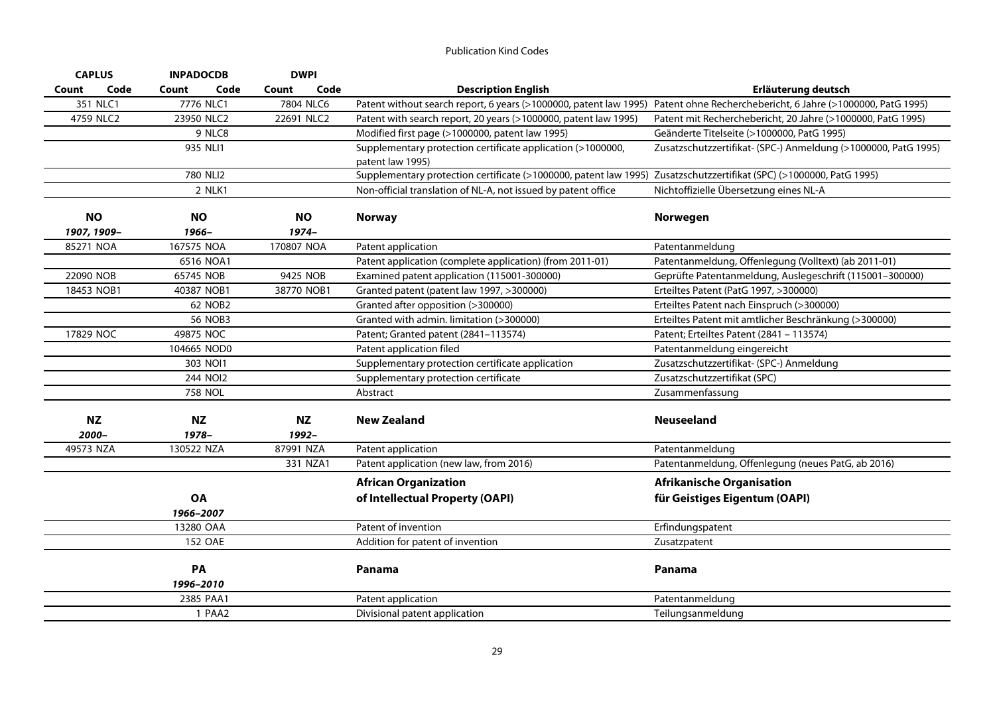| <b>CAPLUS</b>      | <b>INPADOCDB</b>      | <b>DWPI</b>        |                                                                                                                               |                                                                |
|--------------------|-----------------------|--------------------|-------------------------------------------------------------------------------------------------------------------------------|----------------------------------------------------------------|
| Code<br>Count      | Count<br>Code         | Code<br>Count      | <b>Description English</b>                                                                                                    | Erläuterung deutsch                                            |
| 351 NLC1           | 7776 NLC1             | 7804 NLC6          | Patent without search report, 6 years (>1000000, patent law 1995) Patent ohne Recherchebericht, 6 Jahre (>1000000, PatG 1995) |                                                                |
| 4759 NLC2          | 23950 NLC2            | 22691 NLC2         | Patent with search report, 20 years (>1000000, patent law 1995)                                                               | Patent mit Recherchebericht, 20 Jahre (>1000000, PatG 1995)    |
|                    | 9 NLC8                |                    | Modified first page (>1000000, patent law 1995)                                                                               | Geänderte Titelseite (>1000000, PatG 1995)                     |
|                    | 935 NLI1              |                    | Supplementary protection certificate application (>1000000,                                                                   | Zusatzschutzzertifikat- (SPC-) Anmeldung (>1000000, PatG 1995) |
|                    |                       |                    | patent law 1995)                                                                                                              |                                                                |
|                    | 780 NLI2              |                    | Supplementary protection certificate (>1000000, patent law 1995) Zusatzschutzzertifikat (SPC) (>1000000, PatG 1995)           |                                                                |
|                    | 2 NLK1                |                    | Non-official translation of NL-A, not issued by patent office                                                                 | Nichtoffizielle Übersetzung eines NL-A                         |
| <b>NO</b>          | <b>NO</b>             | <b>NO</b>          | <b>Norway</b>                                                                                                                 | Norwegen                                                       |
| 1907, 1909-        | 1966-                 | $1974 -$           |                                                                                                                               |                                                                |
| 85271 NOA          | 167575 NOA            | 170807 NOA         | Patent application                                                                                                            | Patentanmeldung                                                |
|                    | 6516 NOA1             |                    | Patent application (complete application) (from 2011-01)                                                                      | Patentanmeldung, Offenlegung (Volltext) (ab 2011-01)           |
| 22090 NOB          | 65745 NOB             | 9425 NOB           | Examined patent application (115001-300000)                                                                                   | Geprüfte Patentanmeldung, Auslegeschrift (115001-300000)       |
| 18453 NOB1         | 40387 NOB1            | 38770 NOB1         | Granted patent (patent law 1997, >300000)                                                                                     | Erteiltes Patent (PatG 1997, >300000)                          |
|                    | 62 NOB2               |                    | Granted after opposition (>300000)                                                                                            | Erteiltes Patent nach Einspruch (>300000)                      |
|                    | <b>56 NOB3</b>        |                    | Granted with admin. limitation (>300000)                                                                                      | Erteiltes Patent mit amtlicher Beschränkung (>300000)          |
| 17829 NOC          | 49875 NOC             |                    | Patent; Granted patent (2841-113574)                                                                                          | Patent; Erteiltes Patent (2841 - 113574)                       |
|                    | 104665 NOD0           |                    | Patent application filed                                                                                                      | Patentanmeldung eingereicht                                    |
|                    | 303 NOI1              |                    | Supplementary protection certificate application                                                                              | Zusatzschutzzertifikat- (SPC-) Anmeldung                       |
|                    | 244 NOI2              |                    | Supplementary protection certificate                                                                                          | Zusatzschutzzertifikat (SPC)                                   |
|                    | 758 NOL               |                    | Abstract                                                                                                                      | Zusammenfassung                                                |
| <b>NZ</b><br>2000– | <b>NZ</b><br>$1978 -$ | <b>NZ</b><br>1992- | <b>New Zealand</b>                                                                                                            | <b>Neuseeland</b>                                              |
| 49573 NZA          | 130522 NZA            | 87991 NZA          | Patent application                                                                                                            | Patentanmeldung                                                |
|                    |                       | 331 NZA1           | Patent application (new law, from 2016)                                                                                       | Patentanmeldung, Offenlegung (neues PatG, ab 2016)             |
|                    |                       |                    | <b>African Organization</b>                                                                                                   | <b>Afrikanische Organisation</b>                               |
|                    | <b>OA</b>             |                    | of Intellectual Property (OAPI)                                                                                               | für Geistiges Eigentum (OAPI)                                  |
|                    | 1966-2007             |                    |                                                                                                                               |                                                                |
|                    | 13280 OAA             |                    | Patent of invention                                                                                                           | Erfindungspatent                                               |
|                    | <b>152 OAE</b>        |                    | Addition for patent of invention                                                                                              | Zusatzpatent                                                   |
|                    |                       |                    |                                                                                                                               |                                                                |
|                    | PA                    |                    | Panama                                                                                                                        | Panama                                                         |
|                    | 1996-2010             |                    |                                                                                                                               |                                                                |
|                    | 2385 PAA1             |                    | Patent application                                                                                                            | Patentanmeldung                                                |
|                    | 1 PAA2                |                    | Divisional patent application                                                                                                 | Teilungsanmeldung                                              |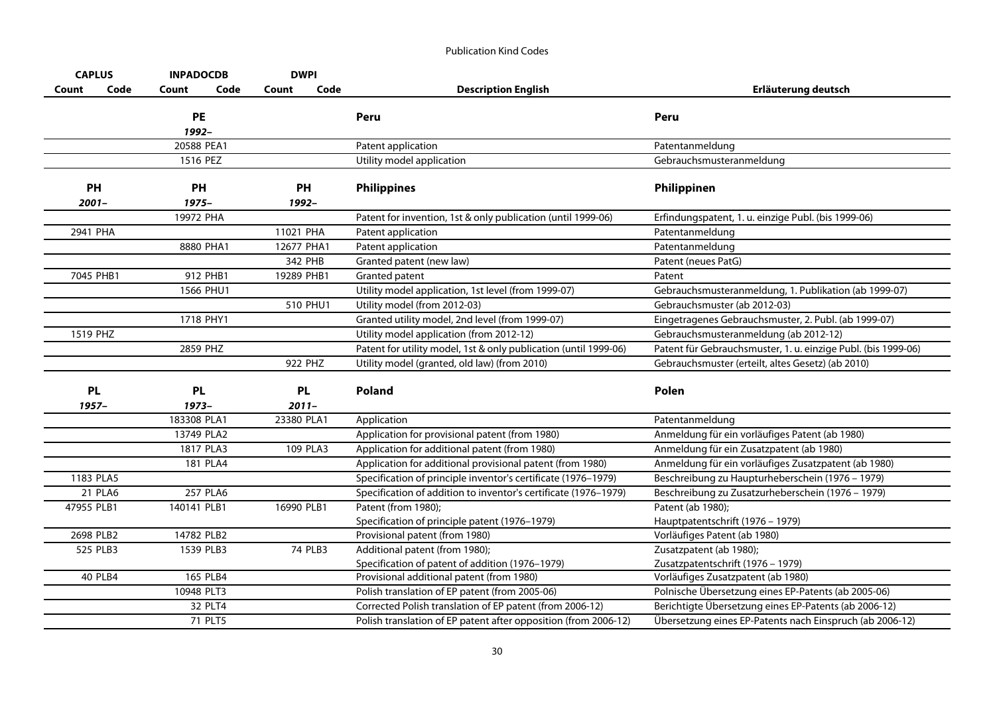| <b>CAPLUS</b>  | <b>INPADOCDB</b> |      | <b>DWPI</b> |         |                                                                  |                                                               |
|----------------|------------------|------|-------------|---------|------------------------------------------------------------------|---------------------------------------------------------------|
| Code<br>Count  | Count            | Code | Count       | Code    | <b>Description English</b>                                       | Erläuterung deutsch                                           |
|                | <b>PE</b>        |      |             |         | Peru                                                             | Peru                                                          |
|                | 1992-            |      |             |         |                                                                  |                                                               |
|                | 20588 PEA1       |      |             |         | Patent application                                               | Patentanmeldung                                               |
|                | 1516 PEZ         |      |             |         | Utility model application                                        | Gebrauchsmusteranmeldung                                      |
|                |                  |      |             |         |                                                                  |                                                               |
| PH             | PH               |      | PH          |         | <b>Philippines</b>                                               | Philippinen                                                   |
| $2001 -$       | $1975 -$         |      | 1992-       |         |                                                                  |                                                               |
|                | 19972 PHA        |      |             |         | Patent for invention, 1st & only publication (until 1999-06)     | Erfindungspatent, 1. u. einzige Publ. (bis 1999-06)           |
| 2941 PHA       |                  |      | 11021 PHA   |         | Patent application                                               | Patentanmeldung                                               |
|                | 8880 PHA1        |      | 12677 PHA1  |         | Patent application                                               | Patentanmeldung                                               |
|                |                  |      | 342 PHB     |         | Granted patent (new law)                                         | Patent (neues PatG)                                           |
| 7045 PHB1      | 912 PHB1         |      | 19289 PHB1  |         | <b>Granted patent</b>                                            | Patent                                                        |
|                | 1566 PHU1        |      |             |         | Utility model application, 1st level (from 1999-07)              | Gebrauchsmusteranmeldung, 1. Publikation (ab 1999-07)         |
|                |                  |      | 510 PHU1    |         | Utility model (from 2012-03)                                     | Gebrauchsmuster (ab 2012-03)                                  |
|                | 1718 PHY1        |      |             |         | Granted utility model, 2nd level (from 1999-07)                  | Eingetragenes Gebrauchsmuster, 2. Publ. (ab 1999-07)          |
| 1519 PHZ       |                  |      |             |         | Utility model application (from 2012-12)                         | Gebrauchsmusteranmeldung (ab 2012-12)                         |
|                | 2859 PHZ         |      |             |         | Patent for utility model, 1st & only publication (until 1999-06) | Patent für Gebrauchsmuster, 1. u. einzige Publ. (bis 1999-06) |
|                |                  |      | 922 PHZ     |         | Utility model (granted, old law) (from 2010)                     | Gebrauchsmuster (erteilt, altes Gesetz) (ab 2010)             |
|                |                  |      |             |         |                                                                  |                                                               |
| <b>PL</b>      | <b>PL</b>        |      | <b>PL</b>   |         | <b>Poland</b>                                                    | Polen                                                         |
| $1957 -$       | $1973-$          |      | $2011 -$    |         |                                                                  |                                                               |
|                | 183308 PLA1      |      | 23380 PLA1  |         | Application                                                      | Patentanmeldung                                               |
|                | 13749 PLA2       |      |             |         | Application for provisional patent (from 1980)                   | Anmeldung für ein vorläufiges Patent (ab 1980)                |
|                | 1817 PLA3        |      | 109 PLA3    |         | Application for additional patent (from 1980)                    | Anmeldung für ein Zusatzpatent (ab 1980)                      |
|                | 181 PLA4         |      |             |         | Application for additional provisional patent (from 1980)        | Anmeldung für ein vorläufiges Zusatzpatent (ab 1980)          |
| 1183 PLA5      |                  |      |             |         | Specification of principle inventor's certificate (1976-1979)    | Beschreibung zu Haupturheberschein (1976 - 1979)              |
| 21 PLA6        | 257 PLA6         |      |             |         | Specification of addition to inventor's certificate (1976-1979)  | Beschreibung zu Zusatzurheberschein (1976 - 1979)             |
| 47955 PLB1     | 140141 PLB1      |      | 16990 PLB1  |         | Patent (from 1980);                                              | Patent (ab 1980);                                             |
|                |                  |      |             |         | Specification of principle patent (1976-1979)                    | Hauptpatentschrift (1976 - 1979)                              |
| 2698 PLB2      | 14782 PLB2       |      |             |         | Provisional patent (from 1980)                                   | Vorläufiges Patent (ab 1980)                                  |
| 525 PLB3       | 1539 PLB3        |      |             | 74 PLB3 | Additional patent (from 1980);                                   | Zusatzpatent (ab 1980);                                       |
|                |                  |      |             |         | Specification of patent of addition (1976-1979)                  | Zusatzpatentschrift (1976 - 1979)                             |
| <b>40 PLB4</b> | 165 PLB4         |      |             |         | Provisional additional patent (from 1980)                        | Vorläufiges Zusatzpatent (ab 1980)                            |
|                | 10948 PLT3       |      |             |         | Polish translation of EP patent (from 2005-06)                   | Polnische Übersetzung eines EP-Patents (ab 2005-06)           |
|                | 32 PLT4          |      |             |         | Corrected Polish translation of EP patent (from 2006-12)         | Berichtigte Übersetzung eines EP-Patents (ab 2006-12)         |
|                | 71 PLT5          |      |             |         | Polish translation of EP patent after opposition (from 2006-12)  | Übersetzung eines EP-Patents nach Einspruch (ab 2006-12)      |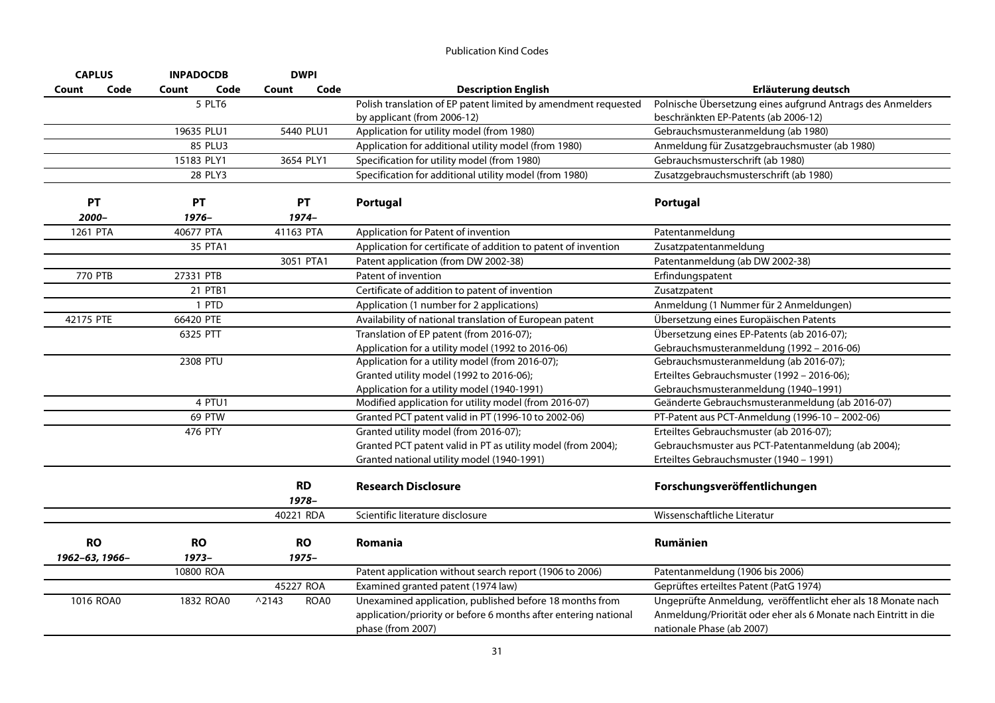| <b>CAPLUS</b>  |      | <b>INPADOCDB</b> | <b>DWPI</b>             |                                                                 |                                                                 |
|----------------|------|------------------|-------------------------|-----------------------------------------------------------------|-----------------------------------------------------------------|
| Count          | Code | Code<br>Count    | Code<br>Count           | <b>Description English</b>                                      | Erläuterung deutsch                                             |
|                |      | 5 PLT6           |                         | Polish translation of EP patent limited by amendment requested  | Polnische Übersetzung eines aufgrund Antrags des Anmelders      |
|                |      |                  |                         | by applicant (from 2006-12)                                     | beschränkten EP-Patents (ab 2006-12)                            |
|                |      | 19635 PLU1       | 5440 PLU1               | Application for utility model (from 1980)                       | Gebrauchsmusteranmeldung (ab 1980)                              |
|                |      | 85 PLU3          |                         | Application for additional utility model (from 1980)            | Anmeldung für Zusatzgebrauchsmuster (ab 1980)                   |
|                |      | 15183 PLY1       | 3654 PLY1               | Specification for utility model (from 1980)                     | Gebrauchsmusterschrift (ab 1980)                                |
|                |      | 28 PLY3          |                         | Specification for additional utility model (from 1980)          | Zusatzgebrauchsmusterschrift (ab 1980)                          |
|                |      |                  |                         |                                                                 |                                                                 |
| PT             |      | PT               | PT                      | Portugal                                                        | <b>Portugal</b>                                                 |
| 2000-          |      | $1976 -$         | $1974-$                 |                                                                 |                                                                 |
| 1261 PTA       |      | 40677 PTA        | 41163 PTA               | Application for Patent of invention                             | Patentanmeldung                                                 |
|                |      | 35 PTA1          |                         | Application for certificate of addition to patent of invention  | Zusatzpatentanmeldung                                           |
|                |      |                  | 3051 PTA1               | Patent application (from DW 2002-38)                            | Patentanmeldung (ab DW 2002-38)                                 |
| 770 PTB        |      | 27331 PTB        |                         | Patent of invention                                             | Erfindungspatent                                                |
|                |      | 21 PTB1          |                         | Certificate of addition to patent of invention                  | Zusatzpatent                                                    |
|                |      | 1 PTD            |                         | Application (1 number for 2 applications)                       | Anmeldung (1 Nummer für 2 Anmeldungen)                          |
| 42175 PTE      |      | 66420 PTE        |                         | Availability of national translation of European patent         | Übersetzung eines Europäischen Patents                          |
|                |      | 6325 PTT         |                         | Translation of EP patent (from 2016-07);                        | Übersetzung eines EP-Patents (ab 2016-07);                      |
|                |      |                  |                         | Application for a utility model (1992 to 2016-06)               | Gebrauchsmusteranmeldung (1992 - 2016-06)                       |
|                |      | 2308 PTU         |                         | Application for a utility model (from 2016-07);                 | Gebrauchsmusteranmeldung (ab 2016-07);                          |
|                |      |                  |                         | Granted utility model (1992 to 2016-06);                        | Erteiltes Gebrauchsmuster (1992 - 2016-06);                     |
|                |      |                  |                         | Application for a utility model (1940-1991)                     | Gebrauchsmusteranmeldung (1940-1991)                            |
|                |      | 4 PTU1           |                         | Modified application for utility model (from 2016-07)           | Geänderte Gebrauchsmusteranmeldung (ab 2016-07)                 |
|                |      | 69 PTW           |                         | Granted PCT patent valid in PT (1996-10 to 2002-06)             | PT-Patent aus PCT-Anmeldung (1996-10 - 2002-06)                 |
|                |      | 476 PTY          |                         | Granted utility model (from 2016-07);                           | Erteiltes Gebrauchsmuster (ab 2016-07);                         |
|                |      |                  |                         | Granted PCT patent valid in PT as utility model (from 2004);    | Gebrauchsmuster aus PCT-Patentanmeldung (ab 2004);              |
|                |      |                  |                         | Granted national utility model (1940-1991)                      | Erteiltes Gebrauchsmuster (1940 - 1991)                         |
|                |      |                  |                         |                                                                 |                                                                 |
|                |      |                  | <b>RD</b>               | <b>Research Disclosure</b>                                      | Forschungsveröffentlichungen                                    |
|                |      |                  | 1978-                   |                                                                 |                                                                 |
|                |      |                  | 40221 RDA               | Scientific literature disclosure                                | Wissenschaftliche Literatur                                     |
|                |      |                  |                         |                                                                 | Rumänien                                                        |
| <b>RO</b>      |      | <b>RO</b>        | <b>RO</b>               | <b>Romania</b>                                                  |                                                                 |
| 1962-63, 1966- |      | $1973-$          | 1975-                   |                                                                 |                                                                 |
|                |      | 10800 ROA        |                         | Patent application without search report (1906 to 2006)         | Patentanmeldung (1906 bis 2006)                                 |
|                |      |                  | 45227 ROA               | Examined granted patent (1974 law)                              | Geprüftes erteiltes Patent (PatG 1974)                          |
| 1016 ROA0      |      | 1832 ROA0        | $^{\wedge}2143$<br>ROA0 | Unexamined application, published before 18 months from         | Ungeprüfte Anmeldung, veröffentlicht eher als 18 Monate nach    |
|                |      |                  |                         | application/priority or before 6 months after entering national | Anmeldung/Priorität oder eher als 6 Monate nach Eintritt in die |
|                |      |                  |                         | phase (from 2007)                                               | nationale Phase (ab 2007)                                       |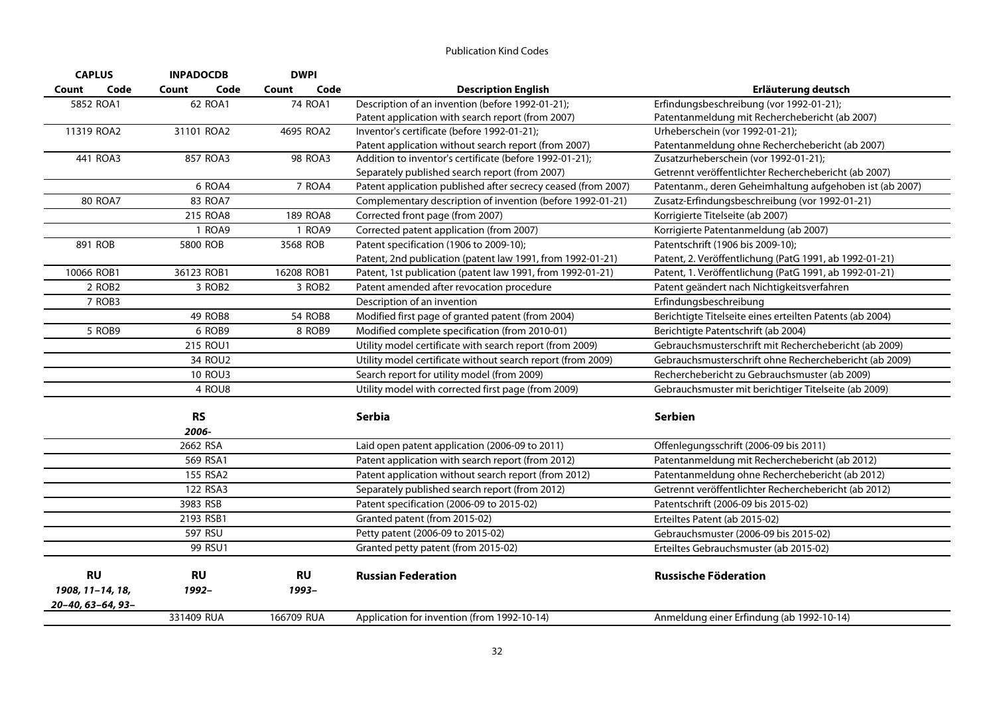| <b>CAPLUS</b>      | <b>INPADOCDB</b>   | <b>DWPI</b>        |                                                               |                                                          |
|--------------------|--------------------|--------------------|---------------------------------------------------------------|----------------------------------------------------------|
| Code<br>Count      | Count<br>Code      | Code<br>Count      | <b>Description English</b>                                    | Erläuterung deutsch                                      |
| 5852 ROA1          | 62 ROA1            | 74 ROA1            | Description of an invention (before 1992-01-21);              | Erfindungsbeschreibung (vor 1992-01-21);                 |
|                    |                    |                    | Patent application with search report (from 2007)             | Patentanmeldung mit Recherchebericht (ab 2007)           |
| 11319 ROA2         | 31101 ROA2         | 4695 ROA2          | Inventor's certificate (before 1992-01-21);                   | Urheberschein (vor 1992-01-21);                          |
|                    |                    |                    | Patent application without search report (from 2007)          | Patentanmeldung ohne Recherchebericht (ab 2007)          |
| 441 ROA3           | 857 ROA3           | <b>98 ROA3</b>     | Addition to inventor's certificate (before 1992-01-21);       | Zusatzurheberschein (vor 1992-01-21);                    |
|                    |                    |                    | Separately published search report (from 2007)                | Getrennt veröffentlichter Recherchebericht (ab 2007)     |
|                    | 6 ROA4             | 7 ROA4             | Patent application published after secrecy ceased (from 2007) | Patentanm., deren Geheimhaltung aufgehoben ist (ab 2007) |
| <b>80 ROA7</b>     | 83 ROA7            |                    | Complementary description of invention (before 1992-01-21)    | Zusatz-Erfindungsbeschreibung (vor 1992-01-21)           |
|                    | 215 ROA8           | 189 ROA8           | Corrected front page (from 2007)                              | Korrigierte Titelseite (ab 2007)                         |
|                    | 1 ROA9             | 1 ROA9             | Corrected patent application (from 2007)                      | Korrigierte Patentanmeldung (ab 2007)                    |
| 891 ROB            | 5800 ROB           | 3568 ROB           | Patent specification (1906 to 2009-10);                       | Patentschrift (1906 bis 2009-10);                        |
|                    |                    |                    | Patent, 2nd publication (patent law 1991, from 1992-01-21)    | Patent, 2. Veröffentlichung (PatG 1991, ab 1992-01-21)   |
| 10066 ROB1         | 36123 ROB1         | 16208 ROB1         | Patent, 1st publication (patent law 1991, from 1992-01-21)    | Patent, 1. Veröffentlichung (PatG 1991, ab 1992-01-21)   |
| 2 ROB <sub>2</sub> | 3 ROB <sub>2</sub> | 3 ROB <sub>2</sub> | Patent amended after revocation procedure                     | Patent geändert nach Nichtigkeitsverfahren               |
| 7 ROB3             |                    |                    | Description of an invention                                   | Erfindungsbeschreibung                                   |
|                    | 49 ROB8            | <b>54 ROB8</b>     | Modified first page of granted patent (from 2004)             | Berichtigte Titelseite eines erteilten Patents (ab 2004) |
| 5 ROB9             | 6 ROB9             | 8 ROB9             | Modified complete specification (from 2010-01)                | Berichtigte Patentschrift (ab 2004)                      |
|                    | 215 ROU1           |                    | Utility model certificate with search report (from 2009)      | Gebrauchsmusterschrift mit Recherchebericht (ab 2009)    |
|                    | 34 ROU2            |                    | Utility model certificate without search report (from 2009)   | Gebrauchsmusterschrift ohne Recherchebericht (ab 2009)   |
|                    | <b>10 ROU3</b>     |                    | Search report for utility model (from 2009)                   | Recherchebericht zu Gebrauchsmuster (ab 2009)            |
|                    | 4 ROU8             |                    | Utility model with corrected first page (from 2009)           | Gebrauchsmuster mit berichtiger Titelseite (ab 2009)     |
|                    | <b>RS</b>          |                    | <b>Serbia</b>                                                 | <b>Serbien</b>                                           |
|                    | 2006-              |                    |                                                               |                                                          |
|                    | 2662 RSA           |                    | Laid open patent application (2006-09 to 2011)                | Offenlegungsschrift (2006-09 bis 2011)                   |
|                    | 569 RSA1           |                    | Patent application with search report (from 2012)             | Patentanmeldung mit Recherchebericht (ab 2012)           |
|                    | 155 RSA2           |                    | Patent application without search report (from 2012)          | Patentanmeldung ohne Recherchebericht (ab 2012)          |
|                    | 122 RSA3           |                    | Separately published search report (from 2012)                | Getrennt veröffentlichter Recherchebericht (ab 2012)     |
|                    | 3983 RSB           |                    | Patent specification (2006-09 to 2015-02)                     | Patentschrift (2006-09 bis 2015-02)                      |
|                    | 2193 RSB1          |                    | Granted patent (from 2015-02)                                 | Erteiltes Patent (ab 2015-02)                            |
|                    | 597 RSU            |                    | Petty patent (2006-09 to 2015-02)                             |                                                          |
|                    |                    |                    |                                                               | Gebrauchsmuster (2006-09 bis 2015-02)                    |
|                    | 99 RSU1            |                    | Granted petty patent (from 2015-02)                           | Erteiltes Gebrauchsmuster (ab 2015-02)                   |
| <b>RU</b>          | <b>RU</b>          | <b>RU</b>          | <b>Russian Federation</b>                                     | <b>Russische Föderation</b>                              |
| 1908, 11-14, 18,   | 1992-              | 1993-              |                                                               |                                                          |
| 20-40, 63-64, 93-  |                    |                    |                                                               |                                                          |
|                    | 331409 RUA         | 166709 RUA         | Application for invention (from 1992-10-14)                   | Anmeldung einer Erfindung (ab 1992-10-14)                |
|                    |                    |                    |                                                               |                                                          |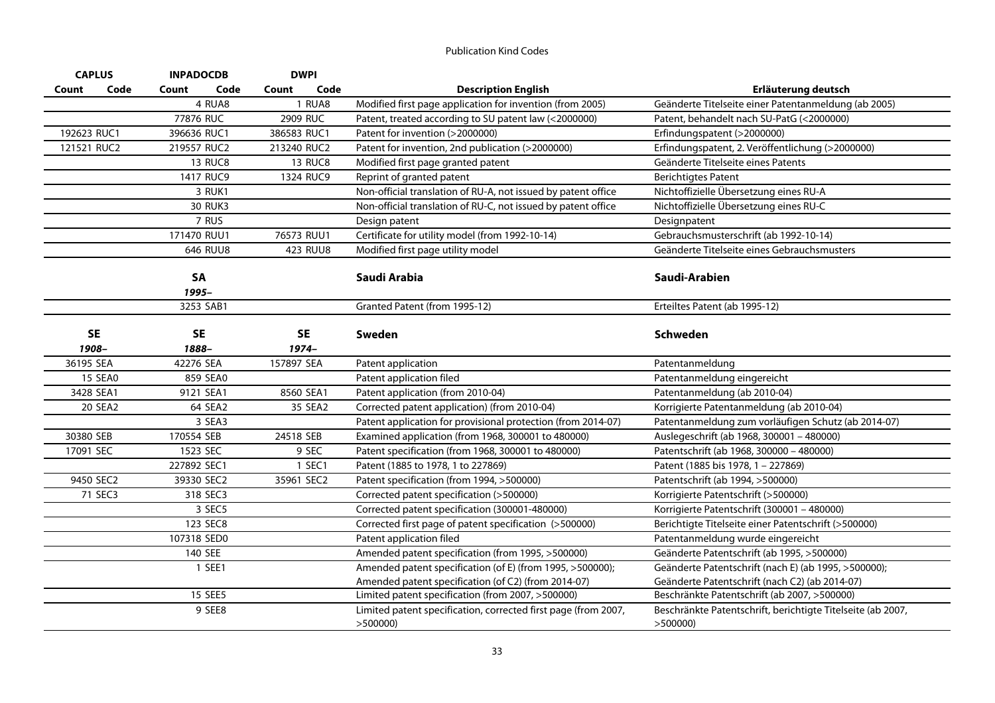| <b>CAPLUS</b> |                | <b>INPADOCDB</b> | <b>DWPI</b>    |                                                                           |                                                                        |
|---------------|----------------|------------------|----------------|---------------------------------------------------------------------------|------------------------------------------------------------------------|
| Count         | Code           | Code<br>Count    | Code<br>Count  | <b>Description English</b>                                                | Erläuterung deutsch                                                    |
|               |                | 4 RUA8           | 1 RUA8         | Modified first page application for invention (from 2005)                 | Geänderte Titelseite einer Patentanmeldung (ab 2005)                   |
|               |                | 77876 RUC        | 2909 RUC       | Patent, treated according to SU patent law (<2000000)                     | Patent, behandelt nach SU-PatG (<2000000)                              |
| 192623 RUC1   |                | 396636 RUC1      | 386583 RUC1    | Patent for invention (>2000000)                                           | Erfindungspatent (>2000000)                                            |
| 121521 RUC2   |                | 219557 RUC2      | 213240 RUC2    | Patent for invention, 2nd publication (>2000000)                          | Erfindungspatent, 2. Veröffentlichung (>2000000)                       |
|               |                | <b>13 RUC8</b>   | <b>13 RUC8</b> | Modified first page granted patent                                        | Geänderte Titelseite eines Patents                                     |
|               |                | 1417 RUC9        | 1324 RUC9      | Reprint of granted patent                                                 | <b>Berichtigtes Patent</b>                                             |
|               |                | 3 RUK1           |                | Non-official translation of RU-A, not issued by patent office             | Nichtoffizielle Übersetzung eines RU-A                                 |
|               |                | <b>30 RUK3</b>   |                | Non-official translation of RU-C, not issued by patent office             | Nichtoffizielle Übersetzung eines RU-C                                 |
|               |                | 7 RUS            |                | Design patent                                                             | Designpatent                                                           |
|               |                | 171470 RUU1      | 76573 RUU1     | Certificate for utility model (from 1992-10-14)                           | Gebrauchsmusterschrift (ab 1992-10-14)                                 |
|               |                | 646 RUU8         | 423 RUU8       | Modified first page utility model                                         | Geänderte Titelseite eines Gebrauchsmusters                            |
|               |                | SA               |                | Saudi Arabia                                                              | Saudi-Arabien                                                          |
|               |                | 1995-            |                |                                                                           |                                                                        |
|               |                | 3253 SAB1        |                | Granted Patent (from 1995-12)                                             | Erteiltes Patent (ab 1995-12)                                          |
|               | <b>SE</b>      | <b>SE</b>        | <b>SE</b>      | Sweden                                                                    | <b>Schweden</b>                                                        |
| 1908-         |                | 1888-            | $1974-$        |                                                                           |                                                                        |
| 36195 SEA     |                | 42276 SEA        | 157897 SEA     | Patent application                                                        | Patentanmeldung                                                        |
|               | <b>15 SEA0</b> | 859 SEA0         |                | Patent application filed                                                  | Patentanmeldung eingereicht                                            |
| 3428 SEA1     |                | 9121 SEA1        | 8560 SEA1      | Patent application (from 2010-04)                                         | Patentanmeldung (ab 2010-04)                                           |
|               | 20 SEA2        | 64 SEA2          | 35 SEA2        | Corrected patent application) (from 2010-04)                              | Korrigierte Patentanmeldung (ab 2010-04)                               |
|               |                | 3 SEA3           |                | Patent application for provisional protection (from 2014-07)              | Patentanmeldung zum vorläufigen Schutz (ab 2014-07)                    |
| 30380 SEB     |                | 170554 SEB       | 24518 SEB      | Examined application (from 1968, 300001 to 480000)                        | Auslegeschrift (ab 1968, 300001 - 480000)                              |
| 17091 SEC     |                | 1523 SEC         | 9 SEC          | Patent specification (from 1968, 300001 to 480000)                        | Patentschrift (ab 1968, 300000 - 480000)                               |
|               |                | 227892 SEC1      | 1 SEC1         | Patent (1885 to 1978, 1 to 227869)                                        | Patent (1885 bis 1978, 1 - 227869)                                     |
|               | 9450 SEC2      | 39330 SEC2       | 35961 SEC2     | Patent specification (from 1994, >500000)                                 | Patentschrift (ab 1994, >500000)                                       |
|               | 71 SEC3        | 318 SEC3         |                | Corrected patent specification (>500000)                                  | Korrigierte Patentschrift (>500000)                                    |
|               |                | 3 SEC5           |                | Corrected patent specification (300001-480000)                            | Korrigierte Patentschrift (300001 - 480000)                            |
|               |                | 123 SEC8         |                | Corrected first page of patent specification (>500000)                    | Berichtigte Titelseite einer Patentschrift (>500000)                   |
|               |                | 107318 SED0      |                | Patent application filed                                                  | Patentanmeldung wurde eingereicht                                      |
|               |                | 140 SEE          |                | Amended patent specification (from 1995, >500000)                         | Geänderte Patentschrift (ab 1995, >500000)                             |
|               |                | 1 SEE1           |                | Amended patent specification (of E) (from 1995, >500000);                 | Geänderte Patentschrift (nach E) (ab 1995, >500000);                   |
|               |                |                  |                | Amended patent specification (of C2) (from 2014-07)                       | Geänderte Patentschrift (nach C2) (ab 2014-07)                         |
|               |                | 15 SEE5          |                | Limited patent specification (from 2007, >500000)                         | Beschränkte Patentschrift (ab 2007, >500000)                           |
|               |                | 9 SEE8           |                | Limited patent specification, corrected first page (from 2007,<br>>500000 | Beschränkte Patentschrift, berichtigte Titelseite (ab 2007,<br>>500000 |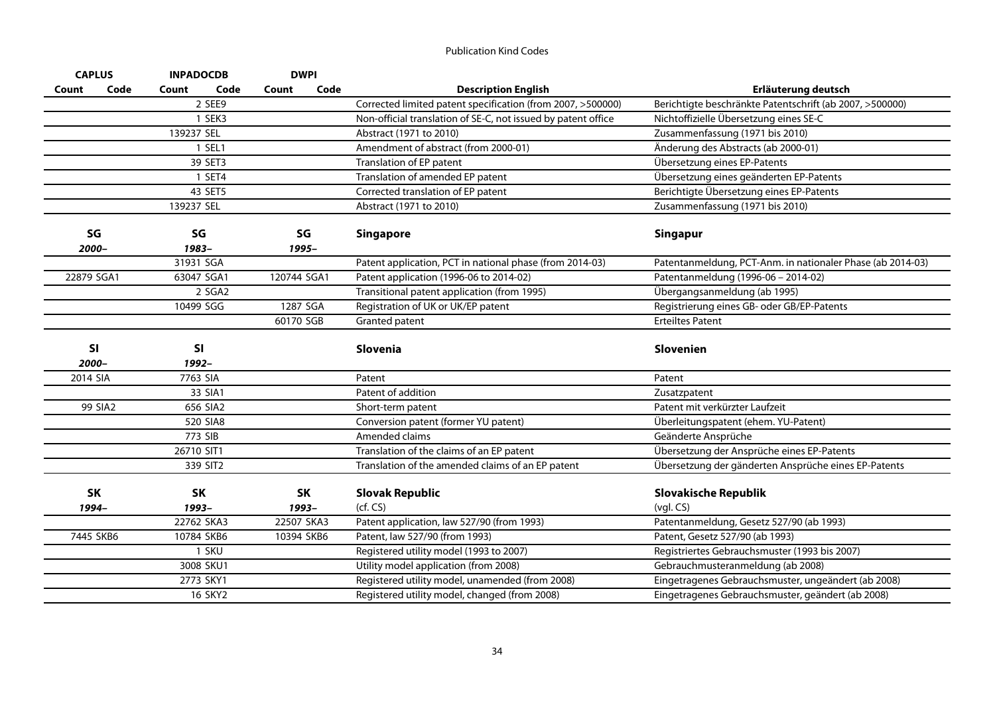| <b>CAPLUS</b> | <b>INPADOCDB</b> | <b>DWPI</b>   |                                                               |                                                            |
|---------------|------------------|---------------|---------------------------------------------------------------|------------------------------------------------------------|
| Code<br>Count | Count<br>Code    | Code<br>Count | <b>Description English</b>                                    | Erläuterung deutsch                                        |
|               | 2 SEE9           |               | Corrected limited patent specification (from 2007, >500000)   | Berichtigte beschränkte Patentschrift (ab 2007, >500000)   |
|               | 1 SEK3           |               | Non-official translation of SE-C, not issued by patent office | Nichtoffizielle Übersetzung eines SE-C                     |
|               | 139237 SEL       |               | Abstract (1971 to 2010)                                       | Zusammenfassung (1971 bis 2010)                            |
|               | 1 SEL1           |               | Amendment of abstract (from 2000-01)                          | Änderung des Abstracts (ab 2000-01)                        |
|               | 39 SET3          |               | Translation of EP patent                                      | Übersetzung eines EP-Patents                               |
|               | 1 SET4           |               | Translation of amended EP patent                              | Übersetzung eines geänderten EP-Patents                    |
|               | 43 SET5          |               | Corrected translation of EP patent                            | Berichtigte Übersetzung eines EP-Patents                   |
|               | 139237 SEL       |               | Abstract (1971 to 2010)                                       | Zusammenfassung (1971 bis 2010)                            |
| SG<br>2000-   | SG<br>1983-      | SG<br>1995-   | <b>Singapore</b>                                              | <b>Singapur</b>                                            |
|               | 31931 SGA        |               | Patent application, PCT in national phase (from 2014-03)      | Patentanmeldung, PCT-Anm. in nationaler Phase (ab 2014-03) |
| 22879 SGA1    | 63047 SGA1       | 120744 SGA1   | Patent application (1996-06 to 2014-02)                       | Patentanmeldung (1996-06 - 2014-02)                        |
|               | 2 SGA2           |               | Transitional patent application (from 1995)                   | Übergangsanmeldung (ab 1995)                               |
|               | 10499 SGG        | 1287 SGA      | Registration of UK or UK/EP patent                            | Registrierung eines GB- oder GB/EP-Patents                 |
|               |                  | 60170 SGB     | Granted patent                                                | <b>Erteiltes Patent</b>                                    |
| SI<br>2000-   | SI<br>1992-      |               | <b>Slovenia</b>                                               | <b>Slovenien</b>                                           |
| 2014 SIA      | 7763 SIA         |               | Patent                                                        | Patent                                                     |
|               | 33 SIA1          |               | Patent of addition                                            | Zusatzpatent                                               |
| 99 SIA2       | 656 SIA2         |               | Short-term patent                                             | Patent mit verkürzter Laufzeit                             |
|               | 520 SIA8         |               | Conversion patent (former YU patent)                          | Überleitungspatent (ehem. YU-Patent)                       |
|               | 773 SIB          |               | Amended claims                                                | Geänderte Ansprüche                                        |
|               | 26710 SIT1       |               | Translation of the claims of an EP patent                     | Übersetzung der Ansprüche eines EP-Patents                 |
|               | 339 SIT2         |               | Translation of the amended claims of an EP patent             | Übersetzung der gänderten Ansprüche eines EP-Patents       |
| <b>SK</b>     | <b>SK</b>        | <b>SK</b>     | <b>Slovak Republic</b>                                        | <b>Slovakische Republik</b>                                |
| 1994-         | 1993-            | 1993-         | (cf, CS)                                                      | $(vgl. CS)$                                                |
|               | 22762 SKA3       | 22507 SKA3    | Patent application, law 527/90 (from 1993)                    | Patentanmeldung, Gesetz 527/90 (ab 1993)                   |
| 7445 SKB6     | 10784 SKB6       | 10394 SKB6    | Patent, law 527/90 (from 1993)                                | Patent, Gesetz 527/90 (ab 1993)                            |
|               | 1 SKU            |               | Registered utility model (1993 to 2007)                       | Registriertes Gebrauchsmuster (1993 bis 2007)              |
|               | 3008 SKU1        |               | Utility model application (from 2008)                         | Gebrauchmusteranmeldung (ab 2008)                          |
|               | 2773 SKY1        |               | Registered utility model, unamended (from 2008)               | Eingetragenes Gebrauchsmuster, ungeändert (ab 2008)        |
|               | 16 SKY2          |               | Registered utility model, changed (from 2008)                 | Eingetragenes Gebrauchsmuster, geändert (ab 2008)          |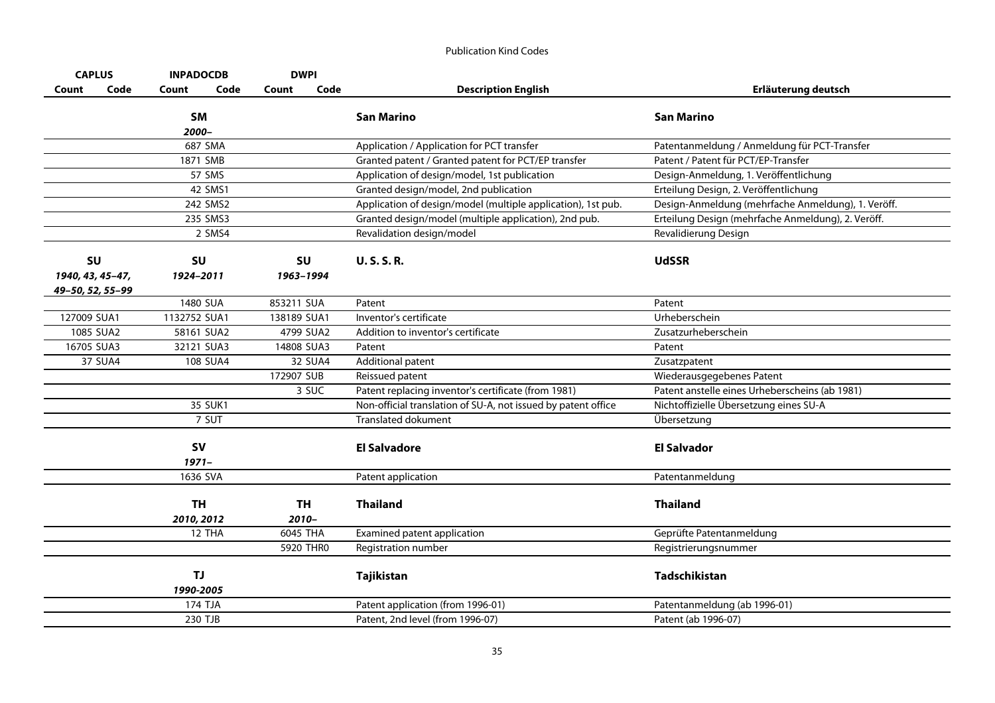| <b>CAPLUS</b>    | <b>INPADOCDB</b> | <b>DWPI</b>   |                                                               |                                                    |
|------------------|------------------|---------------|---------------------------------------------------------------|----------------------------------------------------|
| Code<br>Count    | Code<br>Count    | Code<br>Count | <b>Description English</b>                                    | Erläuterung deutsch                                |
|                  | SM               |               | <b>San Marino</b>                                             | <b>San Marino</b>                                  |
|                  | 2000–            |               |                                                               |                                                    |
|                  | 687 SMA          |               | Application / Application for PCT transfer                    | Patentanmeldung / Anmeldung für PCT-Transfer       |
|                  | 1871 SMB         |               | Granted patent / Granted patent for PCT/EP transfer           | Patent / Patent für PCT/EP-Transfer                |
|                  | 57 SMS           |               | Application of design/model, 1st publication                  | Design-Anmeldung, 1. Veröffentlichung              |
|                  | 42 SMS1          |               | Granted design/model, 2nd publication                         | Erteilung Design, 2. Veröffentlichung              |
|                  | 242 SMS2         |               | Application of design/model (multiple application), 1st pub.  | Design-Anmeldung (mehrfache Anmeldung), 1. Veröff. |
|                  | 235 SMS3         |               | Granted design/model (multiple application), 2nd pub.         | Erteilung Design (mehrfache Anmeldung), 2. Veröff. |
|                  | 2 SMS4           |               | Revalidation design/model                                     | Revalidierung Design                               |
| <b>SU</b>        | <b>SU</b>        | SU            | <b>U.S.S.R.</b>                                               | <b>UdSSR</b>                                       |
| 1940, 43, 45-47, | 1924-2011        | 1963-1994     |                                                               |                                                    |
| 49-50, 52, 55-99 |                  |               |                                                               |                                                    |
|                  | 1480 SUA         | 853211 SUA    | Patent                                                        | Patent                                             |
| 127009 SUA1      | 1132752 SUA1     | 138189 SUA1   | Inventor's certificate                                        | Urheberschein                                      |
| 1085 SUA2        | 58161 SUA2       | 4799 SUA2     | Addition to inventor's certificate                            | Zusatzurheberschein                                |
| 16705 SUA3       | 32121 SUA3       | 14808 SUA3    | Patent                                                        | Patent                                             |
| 37 SUA4          | 108 SUA4         | 32 SUA4       | Additional patent                                             | Zusatzpatent                                       |
|                  |                  | 172907 SUB    | Reissued patent                                               | Wiederausgegebenes Patent                          |
|                  |                  | 3 SUC         | Patent replacing inventor's certificate (from 1981)           | Patent anstelle eines Urheberscheins (ab 1981)     |
|                  | 35 SUK1          |               | Non-official translation of SU-A, not issued by patent office | Nichtoffizielle Übersetzung eines SU-A             |
|                  | 7 SUT            |               | <b>Translated dokument</b>                                    | Übersetzung                                        |
|                  | <b>SV</b>        |               | <b>El Salvadore</b>                                           | <b>El Salvador</b>                                 |
|                  | $1971 -$         |               |                                                               |                                                    |
|                  | 1636 SVA         |               | Patent application                                            | Patentanmeldung                                    |
|                  | <b>TH</b>        | <b>TH</b>     | <b>Thailand</b>                                               | <b>Thailand</b>                                    |
|                  | 2010, 2012       | 2010-         |                                                               |                                                    |
|                  | 12 THA           | 6045 THA      | Examined patent application                                   | Geprüfte Patentanmeldung                           |
|                  |                  | 5920 THRO     | Registration number                                           | Registrierungsnummer                               |
|                  | TJ.              |               | Tajikistan                                                    | <b>Tadschikistan</b>                               |
|                  | 1990-2005        |               |                                                               |                                                    |
|                  | 174 TJA          |               | Patent application (from 1996-01)                             | Patentanmeldung (ab 1996-01)                       |
|                  | 230 TJB          |               | Patent, 2nd level (from 1996-07)                              | Patent (ab 1996-07)                                |
|                  |                  |               |                                                               |                                                    |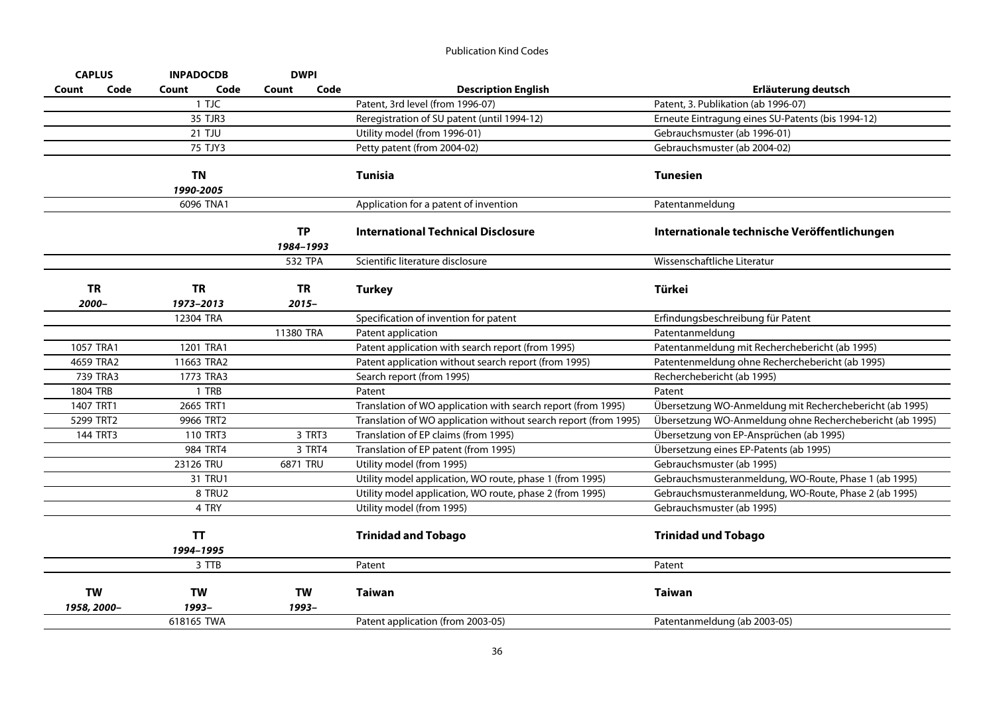| <b>CAPLUS</b>            |          | <b>INPADOCDB</b>       |         | <b>DWPI</b>           |        |                                                                 |                                                          |
|--------------------------|----------|------------------------|---------|-----------------------|--------|-----------------------------------------------------------------|----------------------------------------------------------|
| Count                    | Code     | Count                  | Code    | Count                 | Code   | <b>Description English</b>                                      | Erläuterung deutsch                                      |
|                          |          |                        | 1 TJC   |                       |        | Patent, 3rd level (from 1996-07)                                | Patent, 3. Publikation (ab 1996-07)                      |
|                          |          |                        | 35 TJR3 |                       |        | Reregistration of SU patent (until 1994-12)                     | Erneute Eintragung eines SU-Patents (bis 1994-12)        |
|                          |          | 21 TJU                 |         |                       |        | Utility model (from 1996-01)                                    | Gebrauchsmuster (ab 1996-01)                             |
|                          |          |                        | 75 TJY3 |                       |        | Petty patent (from 2004-02)                                     | Gebrauchsmuster (ab 2004-02)                             |
|                          |          | TN                     |         |                       |        | <b>Tunisia</b>                                                  | <b>Tunesien</b>                                          |
|                          |          | 1990-2005              |         |                       |        |                                                                 |                                                          |
|                          |          | 6096 TNA1              |         |                       |        | Application for a patent of invention                           | Patentanmeldung                                          |
|                          |          |                        |         | <b>TP</b>             |        | <b>International Technical Disclosure</b>                       | Internationale technische Veröffentlichungen             |
|                          |          |                        |         | 1984-1993<br>532 TPA  |        | Scientific literature disclosure                                | Wissenschaftliche Literatur                              |
| <b>TR</b><br>2000-       |          | <b>TR</b><br>1973-2013 |         | <b>TR</b><br>$2015 -$ |        | <b>Turkey</b>                                                   | Türkei                                                   |
|                          |          | 12304 TRA              |         |                       |        | Specification of invention for patent                           | Erfindungsbeschreibung für Patent                        |
|                          |          |                        |         | 11380 TRA             |        | Patent application                                              | Patentanmeldung                                          |
| 1057 TRA1                |          | 1201 TRA1              |         |                       |        | Patent application with search report (from 1995)               | Patentanmeldung mit Recherchebericht (ab 1995)           |
| 4659 TRA2                |          | 11663 TRA2             |         |                       |        | Patent application without search report (from 1995)            | Patentenmeldung ohne Recherchebericht (ab 1995)          |
|                          | 739 TRA3 | 1773 TRA3              |         |                       |        | Search report (from 1995)                                       | Recherchebericht (ab 1995)                               |
| <b>1804 TRB</b>          |          |                        | 1 TRB   |                       |        | Patent                                                          | Patent                                                   |
| 1407 TRT1                |          | 2665 TRT1              |         |                       |        | Translation of WO application with search report (from 1995)    | Übersetzung WO-Anmeldung mit Recherchebericht (ab 1995)  |
| 5299 TRT2                |          | 9966 TRT2              |         |                       |        | Translation of WO application without search report (from 1995) | Übersetzung WO-Anmeldung ohne Recherchebericht (ab 1995) |
|                          | 144 TRT3 | 110 TRT3               |         |                       | 3 TRT3 | Translation of EP claims (from 1995)                            | Übersetzung von EP-Ansprüchen (ab 1995)                  |
|                          |          | 984 TRT4               |         |                       | 3 TRT4 | Translation of EP patent (from 1995)                            | Übersetzung eines EP-Patents (ab 1995)                   |
|                          |          | 23126 TRU              |         | 6871 TRU              |        | Utility model (from 1995)                                       | Gebrauchsmuster (ab 1995)                                |
|                          |          |                        | 31 TRU1 |                       |        | Utility model application, WO route, phase 1 (from 1995)        | Gebrauchsmusteranmeldung, WO-Route, Phase 1 (ab 1995)    |
|                          |          |                        | 8 TRU2  |                       |        | Utility model application, WO route, phase 2 (from 1995)        | Gebrauchsmusteranmeldung, WO-Route, Phase 2 (ab 1995)    |
|                          |          |                        | 4 TRY   |                       |        | Utility model (from 1995)                                       | Gebrauchsmuster (ab 1995)                                |
|                          |          | <b>TT</b><br>1994-1995 |         |                       |        | <b>Trinidad and Tobago</b>                                      | <b>Trinidad und Tobago</b>                               |
|                          |          |                        | 3 TTB   |                       |        | Patent                                                          | Patent                                                   |
|                          |          |                        |         |                       |        |                                                                 |                                                          |
| <b>TW</b><br>1958, 2000- |          | <b>TW</b><br>1993-     |         | <b>TW</b><br>1993-    |        | <b>Taiwan</b>                                                   | <b>Taiwan</b>                                            |
|                          |          | 618165 TWA             |         |                       |        | Patent application (from 2003-05)                               | Patentanmeldung (ab 2003-05)                             |
|                          |          |                        |         |                       |        |                                                                 |                                                          |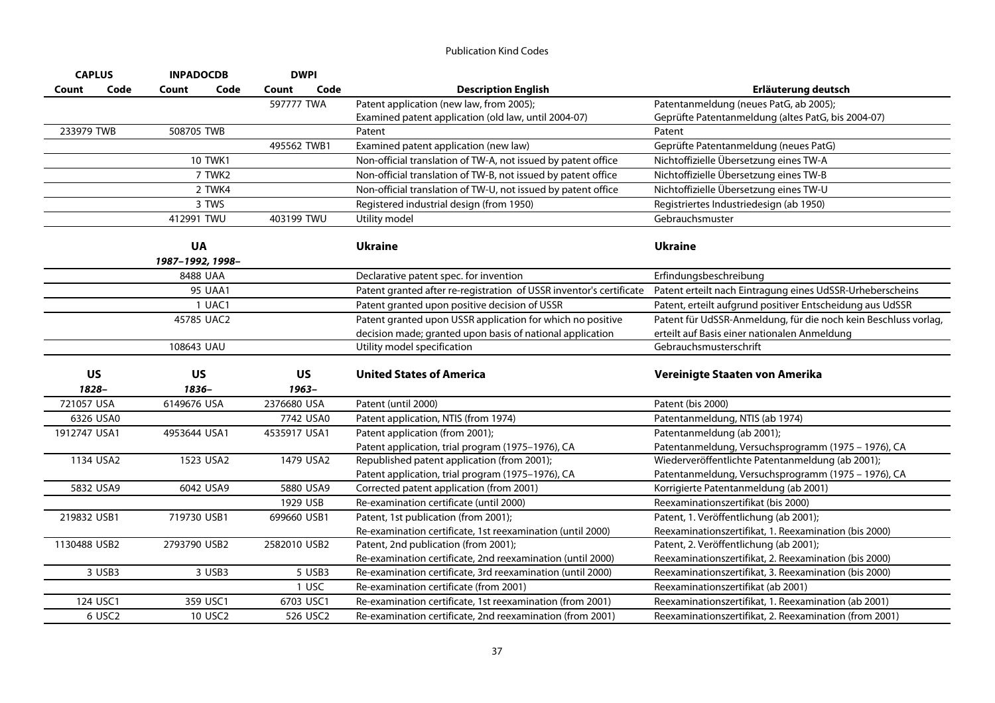| <b>CAPLUS</b><br><b>INPADOCDB</b> |           | <b>DWPI</b>      |                |               |                                                                     |                                                                 |
|-----------------------------------|-----------|------------------|----------------|---------------|---------------------------------------------------------------------|-----------------------------------------------------------------|
| Count                             | Code      | Count            | Code           | Code<br>Count | <b>Description English</b>                                          | Erläuterung deutsch                                             |
|                                   |           |                  |                | 597777 TWA    | Patent application (new law, from 2005);                            | Patentanmeldung (neues PatG, ab 2005);                          |
|                                   |           |                  |                |               | Examined patent application (old law, until 2004-07)                | Geprüfte Patentanmeldung (altes PatG, bis 2004-07)              |
| 233979 TWB                        |           | 508705 TWB       |                |               | Patent                                                              | Patent                                                          |
|                                   |           |                  |                | 495562 TWB1   | Examined patent application (new law)                               | Geprüfte Patentanmeldung (neues PatG)                           |
|                                   |           |                  | 10 TWK1        |               | Non-official translation of TW-A, not issued by patent office       | Nichtoffizielle Übersetzung eines TW-A                          |
|                                   |           |                  | 7 TWK2         |               | Non-official translation of TW-B, not issued by patent office       | Nichtoffizielle Übersetzung eines TW-B                          |
|                                   |           |                  | 2 TWK4         |               | Non-official translation of TW-U, not issued by patent office       | Nichtoffizielle Übersetzung eines TW-U                          |
|                                   |           |                  | 3 TWS          |               | Registered industrial design (from 1950)                            | Registriertes Industriedesign (ab 1950)                         |
|                                   |           | 412991 TWU       |                | 403199 TWU    | Utility model                                                       | Gebrauchsmuster                                                 |
|                                   |           | <b>UA</b>        |                |               | <b>Ukraine</b>                                                      | <b>Ukraine</b>                                                  |
|                                   |           | 1987-1992, 1998- |                |               |                                                                     |                                                                 |
|                                   |           | 8488 UAA         |                |               | Declarative patent spec. for invention                              | Erfindungsbeschreibung                                          |
|                                   |           |                  | <b>95 UAA1</b> |               | Patent granted after re-registration of USSR inventor's certificate | Patent erteilt nach Eintragung eines UdSSR-Urheberscheins       |
|                                   |           |                  | 1 UAC1         |               | Patent granted upon positive decision of USSR                       | Patent, erteilt aufgrund positiver Entscheidung aus UdSSR       |
|                                   |           | 45785 UAC2       |                |               | Patent granted upon USSR application for which no positive          | Patent für UdSSR-Anmeldung, für die noch kein Beschluss vorlag, |
|                                   |           |                  |                |               | decision made; granted upon basis of national application           | erteilt auf Basis einer nationalen Anmeldung                    |
|                                   |           | 108643 UAU       |                |               | Utility model specification                                         | Gebrauchsmusterschrift                                          |
|                                   | <b>US</b> | US               |                | <b>US</b>     | <b>United States of America</b>                                     | Vereinigte Staaten von Amerika                                  |
|                                   | 1828-     | 1836-            |                | 1963-         |                                                                     |                                                                 |
| 721057 USA                        |           | 6149676 USA      |                | 2376680 USA   | Patent (until 2000)                                                 | Patent (bis 2000)                                               |
|                                   | 6326 USA0 |                  |                | 7742 USA0     | Patent application, NTIS (from 1974)                                | Patentanmeldung, NTIS (ab 1974)                                 |
| 1912747 USA1                      |           | 4953644 USA1     |                | 4535917 USA1  | Patent application (from 2001);                                     | Patentanmeldung (ab 2001);                                      |
|                                   |           |                  |                |               | Patent application, trial program (1975-1976), CA                   | Patentanmeldung, Versuchsprogramm (1975 - 1976), CA             |
|                                   | 1134 USA2 | 1523 USA2        |                | 1479 USA2     | Republished patent application (from 2001);                         | Wiederveröffentlichte Patentanmeldung (ab 2001);                |
|                                   |           |                  |                |               | Patent application, trial program (1975-1976), CA                   | Patentanmeldung, Versuchsprogramm (1975 - 1976), CA             |
|                                   | 5832 USA9 | 6042 USA9        |                | 5880 USA9     | Corrected patent application (from 2001)                            | Korrigierte Patentanmeldung (ab 2001)                           |
|                                   |           |                  |                | 1929 USB      | Re-examination certificate (until 2000)                             | Reexaminationszertifikat (bis 2000)                             |
| 219832 USB1                       |           | 719730 USB1      |                | 699660 USB1   | Patent, 1st publication (from 2001);                                | Patent, 1. Veröffentlichung (ab 2001);                          |
|                                   |           |                  |                |               | Re-examination certificate, 1st reexamination (until 2000)          | Reexaminationszertifikat, 1. Reexamination (bis 2000)           |
| 1130488 USB2                      |           | 2793790 USB2     |                | 2582010 USB2  | Patent, 2nd publication (from 2001);                                | Patent, 2. Veröffentlichung (ab 2001);                          |
|                                   |           |                  |                |               | Re-examination certificate, 2nd reexamination (until 2000)          | Reexaminationszertifikat, 2. Reexamination (bis 2000)           |
|                                   | 3 USB3    |                  | 3 USB3         | 5 USB3        | Re-examination certificate, 3rd reexamination (until 2000)          | Reexaminationszertifikat, 3. Reexamination (bis 2000)           |
|                                   |           |                  |                | 1 USC         | Re-examination certificate (from 2001)                              | Reexaminationszertifikat (ab 2001)                              |
|                                   | 124 USC1  |                  | 359 USC1       | 6703 USC1     | Re-examination certificate, 1st reexamination (from 2001)           | Reexaminationszertifikat, 1. Reexamination (ab 2001)            |
|                                   | 6 USC2    |                  | 10 USC2        | 526 USC2      | Re-examination certificate, 2nd reexamination (from 2001)           | Reexaminationszertifikat, 2. Reexamination (from 2001)          |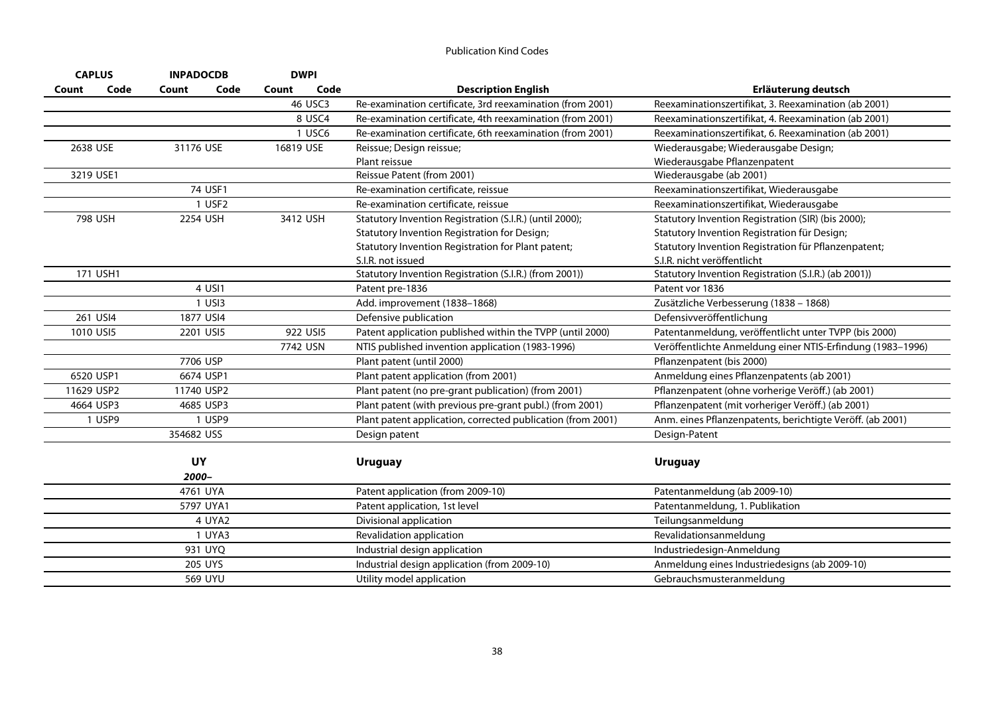| <b>CAPLUS</b>         | <b>INPADOCDB</b> | <b>DWPI</b>   |                                                             |                                                            |
|-----------------------|------------------|---------------|-------------------------------------------------------------|------------------------------------------------------------|
| Code<br>Count         | Count<br>Code    | Code<br>Count | <b>Description English</b>                                  | Erläuterung deutsch                                        |
|                       |                  | 46 USC3       | Re-examination certificate, 3rd reexamination (from 2001)   | Reexaminationszertifikat, 3. Reexamination (ab 2001)       |
|                       |                  | 8 USC4        | Re-examination certificate, 4th reexamination (from 2001)   | Reexaminationszertifikat, 4. Reexamination (ab 2001)       |
|                       |                  | 1 USC6        | Re-examination certificate, 6th reexamination (from 2001)   | Reexaminationszertifikat, 6. Reexamination (ab 2001)       |
| 2638 USE<br>31176 USE |                  | 16819 USE     | Reissue; Design reissue;                                    | Wiederausgabe; Wiederausgabe Design;                       |
|                       |                  |               | Plant reissue                                               | Wiederausgabe Pflanzenpatent                               |
| 3219 USE1             |                  |               | Reissue Patent (from 2001)                                  | Wiederausgabe (ab 2001)                                    |
|                       | 74 USF1          |               | Re-examination certificate, reissue                         | Reexaminationszertifikat, Wiederausgabe                    |
|                       | 1 USF2           |               | Re-examination certificate, reissue                         | Reexaminationszertifikat, Wiederausgabe                    |
| 798 USH               | 2254 USH         | 3412 USH      | Statutory Invention Registration (S.I.R.) (until 2000);     | Statutory Invention Registration (SIR) (bis 2000);         |
|                       |                  |               | Statutory Invention Registration for Design;                | Statutory Invention Registration für Design;               |
|                       |                  |               | Statutory Invention Registration for Plant patent;          | Statutory Invention Registration für Pflanzenpatent;       |
|                       |                  |               | S.I.R. not issued                                           | S.I.R. nicht veröffentlicht                                |
| 171 USH1              |                  |               | Statutory Invention Registration (S.I.R.) (from 2001))      | Statutory Invention Registration (S.I.R.) (ab 2001))       |
|                       | 4 USI1           |               | Patent pre-1836                                             | Patent vor 1836                                            |
|                       | $1$ USI $3$      |               | Add. improvement (1838-1868)                                | Zusätzliche Verbesserung (1838 - 1868)                     |
| 261 USI4              | 1877 USI4        |               | Defensive publication                                       | Defensivveröffentlichung                                   |
| 1010 USI5             | 2201 USI5        | 922 USI5      | Patent application published within the TVPP (until 2000)   | Patentanmeldung, veröffentlicht unter TVPP (bis 2000)      |
|                       |                  | 7742 USN      | NTIS published invention application (1983-1996)            | Veröffentlichte Anmeldung einer NTIS-Erfindung (1983-1996) |
|                       | 7706 USP         |               | Plant patent (until 2000)                                   | Pflanzenpatent (bis 2000)                                  |
| 6520 USP1             | 6674 USP1        |               | Plant patent application (from 2001)                        | Anmeldung eines Pflanzenpatents (ab 2001)                  |
| 11629 USP2            | 11740 USP2       |               | Plant patent (no pre-grant publication) (from 2001)         | Pflanzenpatent (ohne vorherige Veröff.) (ab 2001)          |
| 4664 USP3             | 4685 USP3        |               | Plant patent (with previous pre-grant publ.) (from 2001)    | Pflanzenpatent (mit vorheriger Veröff.) (ab 2001)          |
| 1 USP9                | 1 USP9           |               | Plant patent application, corrected publication (from 2001) | Anm. eines Pflanzenpatents, berichtigte Veröff. (ab 2001)  |
|                       | 354682 USS       |               | Design patent                                               | Design-Patent                                              |
|                       |                  |               |                                                             |                                                            |
|                       | UY               |               | <b>Uruguay</b>                                              | <b>Uruguay</b>                                             |
|                       | 2000–            |               |                                                             |                                                            |
|                       | 4761 UYA         |               | Patent application (from 2009-10)                           | Patentanmeldung (ab 2009-10)                               |
|                       | 5797 UYA1        |               | Patent application, 1st level                               | Patentanmeldung, 1. Publikation                            |
|                       | 4 UYA2           |               | Divisional application                                      | Teilungsanmeldung                                          |
|                       | 1 UYA3           |               | Revalidation application                                    | Revalidationsanmeldung                                     |
|                       | 931 UYQ          |               | Industrial design application                               | Industriedesign-Anmeldung                                  |
|                       | 205 UYS          |               | Industrial design application (from 2009-10)                | Anmeldung eines Industriedesigns (ab 2009-10)              |
|                       | 569 UYU          |               | Utility model application                                   | Gebrauchsmusteranmeldung                                   |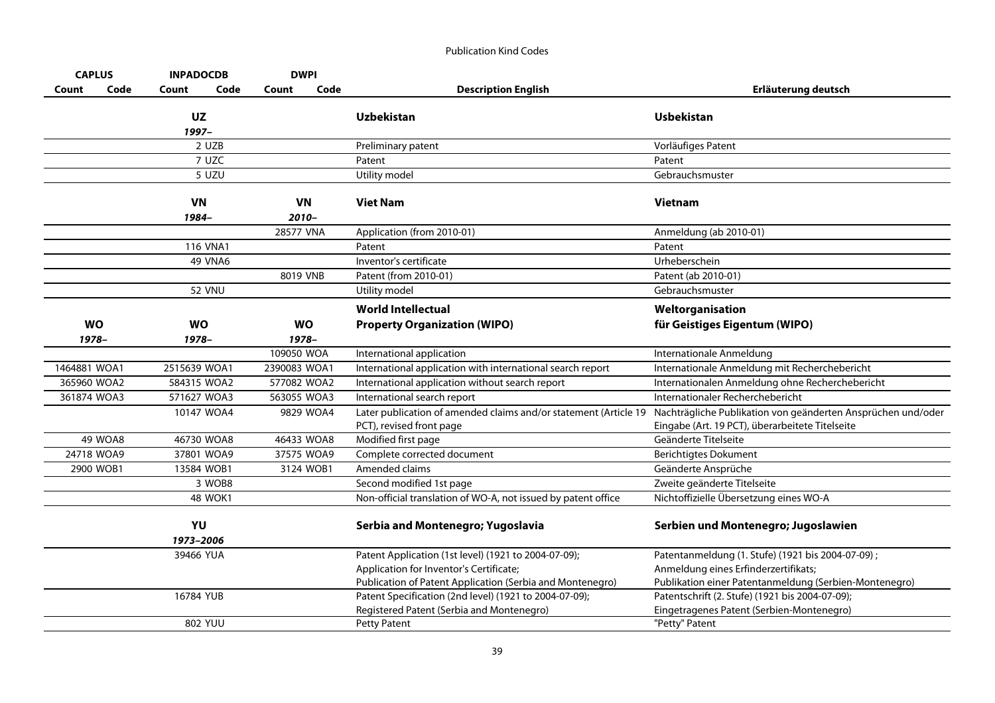| <b>CAPLUS</b> |                | <b>INPADOCDB</b> | <b>DWPI</b>  |                                                           |                                                                  |                                                              |
|---------------|----------------|------------------|--------------|-----------------------------------------------------------|------------------------------------------------------------------|--------------------------------------------------------------|
| Count         | Code           | Code<br>Count    | Count        | Code                                                      | <b>Description English</b>                                       | Erläuterung deutsch                                          |
|               |                | <b>UZ</b>        |              |                                                           | <b>Uzbekistan</b>                                                | <b>Usbekistan</b>                                            |
|               |                | 1997-            |              |                                                           |                                                                  |                                                              |
|               |                | 2 UZB<br>7 UZC   |              |                                                           | Preliminary patent                                               | Vorläufiges Patent                                           |
|               |                | 5 UZU            |              |                                                           | Patent                                                           | Patent<br>Gebrauchsmuster                                    |
|               |                |                  |              |                                                           | Utility model                                                    |                                                              |
|               |                | <b>VN</b>        | <b>VN</b>    |                                                           | <b>Viet Nam</b>                                                  | <b>Vietnam</b>                                               |
|               |                | 1984-            | $2010 -$     |                                                           |                                                                  |                                                              |
|               |                |                  | 28577 VNA    |                                                           | Application (from 2010-01)                                       | Anmeldung (ab 2010-01)                                       |
|               |                | <b>116 VNA1</b>  |              |                                                           | Patent                                                           | Patent                                                       |
|               |                | 49 VNA6          |              |                                                           | Inventor's certificate                                           | Urheberschein                                                |
|               |                |                  | 8019 VNB     |                                                           | Patent (from 2010-01)                                            | Patent (ab 2010-01)                                          |
|               |                | <b>52 VNU</b>    |              |                                                           | Utility model                                                    | Gebrauchsmuster                                              |
|               |                |                  |              |                                                           | <b>World Intellectual</b>                                        | Weltorganisation                                             |
| <b>WO</b>     |                | <b>WO</b>        | <b>WO</b>    |                                                           | <b>Property Organization (WIPO)</b>                              | für Geistiges Eigentum (WIPO)                                |
| 1978-         |                | $1978 -$         | 1978-        |                                                           |                                                                  |                                                              |
|               |                |                  | 109050 WOA   |                                                           | International application                                        | Internationale Anmeldung                                     |
| 1464881 WOA1  |                | 2515639 WOA1     | 2390083 WOA1 |                                                           | International application with international search report       | Internationale Anmeldung mit Recherchebericht                |
| 365960 WOA2   |                | 584315 WOA2      | 577082 WOA2  |                                                           | International application without search report                  | Internationalen Anmeldung ohne Recherchebericht              |
| 361874 WOA3   |                | 571627 WOA3      | 563055 WOA3  |                                                           | International search report                                      | Internationaler Recherchebericht                             |
|               |                | 10147 WOA4       | 9829 WOA4    |                                                           | Later publication of amended claims and/or statement (Article 19 | Nachträgliche Publikation von geänderten Ansprüchen und/oder |
|               |                |                  |              |                                                           | PCT), revised front page                                         | Eingabe (Art. 19 PCT), überarbeitete Titelseite              |
|               | <b>49 WOA8</b> | 46730 WOA8       | 46433 WOA8   |                                                           | Modified first page                                              | Geänderte Titelseite                                         |
| 24718 WOA9    |                | 37801 WOA9       | 37575 WOA9   |                                                           | Complete corrected document                                      | <b>Berichtigtes Dokument</b>                                 |
|               | 2900 WOB1      | 13584 WOB1       | 3124 WOB1    |                                                           | Amended claims                                                   | Geänderte Ansprüche                                          |
|               |                | 3 WOB8           |              |                                                           | Second modified 1st page                                         | Zweite geänderte Titelseite                                  |
|               |                | <b>48 WOK1</b>   |              |                                                           | Non-official translation of WO-A, not issued by patent office    | Nichtoffizielle Übersetzung eines WO-A                       |
|               |                | YU<br>1973-2006  |              |                                                           | Serbia and Montenegro; Yugoslavia                                | Serbien und Montenegro; Jugoslawien                          |
|               |                | 39466 YUA        |              |                                                           | Patent Application (1st level) (1921 to 2004-07-09);             | Patentanmeldung (1. Stufe) (1921 bis 2004-07-09);            |
|               |                |                  |              |                                                           | Application for Inventor's Certificate;                          | Anmeldung eines Erfinderzertifikats;                         |
|               |                |                  |              | Publication of Patent Application (Serbia and Montenegro) | Publikation einer Patentanmeldung (Serbien-Montenegro)           |                                                              |
|               |                | 16784 YUB        |              |                                                           | Patent Specification (2nd level) (1921 to 2004-07-09);           | Patentschrift (2. Stufe) (1921 bis 2004-07-09);              |
|               |                |                  |              |                                                           | Registered Patent (Serbia and Montenegro)                        | Eingetragenes Patent (Serbien-Montenegro)                    |
|               |                | 802 YUU          |              |                                                           | <b>Petty Patent</b>                                              | "Petty" Patent                                               |
|               |                |                  |              |                                                           |                                                                  |                                                              |